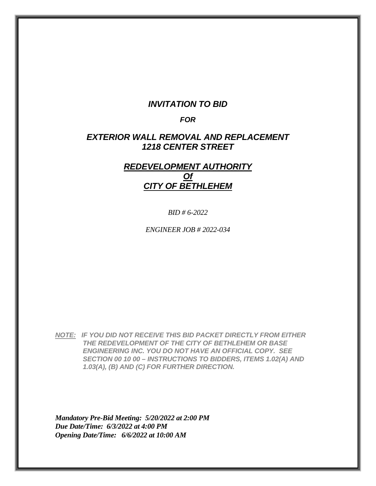# *INVITATION TO BID*

## *FOR*

# *EXTERIOR WALL REMOVAL AND REPLACEMENT 1218 CENTER STREET*

# *REDEVELOPMENT AUTHORITY Of CITY OF BETHLEHEM*

*BID # 6-2022*

*ENGINEER JOB # 2022-034*

*NOTE: IF YOU DID NOT RECEIVE THIS BID PACKET DIRECTLY FROM EITHER THE REDEVELOPMENT OF THE CITY OF BETHLEHEM OR BASE ENGINEERING INC. YOU DO NOT HAVE AN OFFICIAL COPY. SEE SECTION 00 10 00 – INSTRUCTIONS TO BIDDERS, ITEMS 1.02(A) AND 1.03(A), (B) AND (C) FOR FURTHER DIRECTION.* 

*Mandatory Pre-Bid Meeting: 5/20/2022 at 2:00 PM Due Date/Time: 6/3/2022 at 4:00 PM Opening Date/Time: 6/6/2022 at 10:00 AM*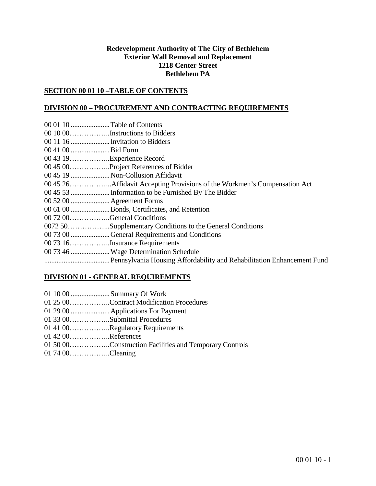# **Redevelopment Authority of The City of Bethlehem Exterior Wall Removal and Replacement 1218 Center Street Bethlehem PA**

## **SECTION 00 01 10 –TABLE OF CONTENTS**

## **DIVISION 00 – PROCUREMENT AND CONTRACTING REQUIREMENTS**

- 00 01 10 ......................Table of Contents
- 00 10 00……………..Instructions to Bidders
- 00 11 16 ......................Invitation to Bidders
- 00 41 00 ......................Bid Form
- 00 43 19……………..Experience Record
- 00 45 00……………..Project References of Bidder
- 00 45 19 ......................Non-Collusion Affidavit
- 00 45 26……………...Affidavit Accepting Provisions of the Workmen's Compensation Act
- 00 45 53 ......................Information to be Furnished By The Bidder
- 00 52 00 ......................Agreement Forms
- 00 61 00 ......................Bonds, Certificates, and Retention
- 00 72 00……………..General Conditions
- 0072 50……………...Supplementary Conditions to the General Conditions
- 00 73 00 ......................General Requirements and Conditions
- 00 73 16……………..Insurance Requirements
- 00 73 46 ......................Wage Determination Schedule

.....................................Pennsylvania Housing Affordability and Rehabilitation Enhancement Fund

# **DIVISION 01 - GENERAL REQUIREMENTS**

- 01 10 00 ......................Summary Of Work
- 01 25 00……………..Contract Modification Procedures
- 01 29 00 ......................Applications For Payment
- 01 33 00……………..Submittal Procedures
- 01 41 00……………..Regulatory Requirements
- 01 42 00……………..References
- 01 50 00……………..Construction Facilities and Temporary Controls
- 01 74 00……………..Cleaning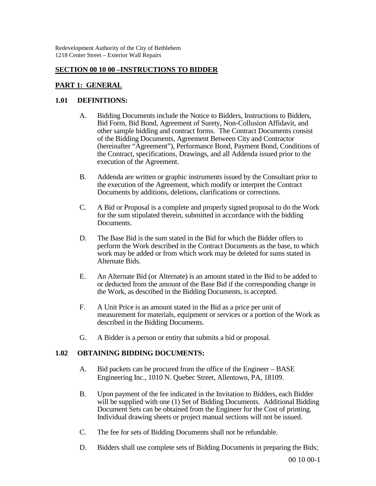# **SECTION 00 10 00 –INSTRUCTIONS TO BIDDER**

# **PART 1: GENERAL**

## **1.01 DEFINITIONS:**

- A. Bidding Documents include the Notice to Bidders, Instructions to Bidders, Bid Form, Bid Bond, Agreement of Surety, Non-Collusion Affidavit, and other sample bidding and contract forms. The Contract Documents consist of the Bidding Documents, Agreement Between City and Contractor (hereinafter "Agreement"), Performance Bond, Payment Bond, Conditions of the Contract, specifications, Drawings, and all Addenda issued prior to the execution of the Agreement.
- B. Addenda are written or graphic instruments issued by the Consultant prior to the execution of the Agreement, which modify or interpret the Contract Documents by additions, deletions, clarifications or corrections.
- C. A Bid or Proposal is a complete and properly signed proposal to do the Work for the sum stipulated therein, submitted in accordance with the bidding Documents.
- D. The Base Bid is the sum stated in the Bid for which the Bidder offers to perform the Work described in the Contract Documents as the base, to which work may be added or from which work may be deleted for sums stated in Alternate Bids.
- E. An Alternate Bid (or Alternate) is an amount stated in the Bid to be added to or deducted from the amount of the Base Bid if the corresponding change in the Work, as described in the Bidding Documents, is accepted.
- F. A Unit Price is an amount stated in the Bid as a price per unit of measurement for materials, equipment or services or a portion of the Work as described in the Bidding Documents.
- G. A Bidder is a person or entity that submits a bid or proposal.

## **1.02 OBTAINING BIDDING DOCUMENTS:**

- A. Bid packets can be procured from the office of the Engineer BASE Engineering Inc., 1010 N. Quebec Street, Allentown, PA, 18109.
- B. Upon payment of the fee indicated in the Invitation to Bidders, each Bidder will be supplied with one (1) Set of Bidding Documents. Additional Bidding Document Sets can be obtained from the Engineer for the Cost of printing. Individual drawing sheets or project manual sections will not be issued.
- C. The fee for sets of Bidding Documents shall not be refundable.
- D. Bidders shall use complete sets of Bidding Documents in preparing the Bids;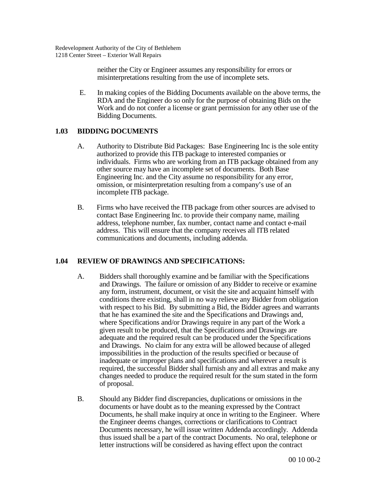neither the City or Engineer assumes any responsibility for errors or misinterpretations resulting from the use of incomplete sets.

E. In making copies of the Bidding Documents available on the above terms, the RDA and the Engineer do so only for the purpose of obtaining Bids on the Work and do not confer a license or grant permission for any other use of the Bidding Documents.

# **1.03 BIDDING DOCUMENTS**

- A. Authority to Distribute Bid Packages: Base Engineering Inc is the sole entity authorized to provide this ITB package to interested companies or individuals. Firms who are working from an ITB package obtained from any other source may have an incomplete set of documents. Both Base Engineering Inc. and the City assume no responsibility for any error, omission, or misinterpretation resulting from a company's use of an incomplete ITB package.
- B. Firms who have received the ITB package from other sources are advised to contact Base Engineering Inc. to provide their company name, mailing address, telephone number, fax number, contact name and contact e-mail address. This will ensure that the company receives all ITB related communications and documents, including addenda.

# **1.04 REVIEW OF DRAWINGS AND SPECIFICATIONS:**

- A. Bidders shall thoroughly examine and be familiar with the Specifications and Drawings. The failure or omission of any Bidder to receive or examine any form, instrument, document, or visit the site and acquaint himself with conditions there existing, shall in no way relieve any Bidder from obligation with respect to his Bid. By submitting a Bid, the Bidder agrees and warrants that he has examined the site and the Specifications and Drawings and, where Specifications and/or Drawings require in any part of the Work a given result to be produced, that the Specifications and Drawings are adequate and the required result can be produced under the Specifications and Drawings. No claim for any extra will be allowed because of alleged impossibilities in the production of the results specified or because of inadequate or improper plans and specifications and wherever a result is required, the successful Bidder shall furnish any and all extras and make any changes needed to produce the required result for the sum stated in the form of proposal.
- B. Should any Bidder find discrepancies, duplications or omissions in the documents or have doubt as to the meaning expressed by the Contract Documents, he shall make inquiry at once in writing to the Engineer. Where the Engineer deems changes, corrections or clarifications to Contract Documents necessary, he will issue written Addenda accordingly. Addenda thus issued shall be a part of the contract Documents. No oral, telephone or letter instructions will be considered as having effect upon the contract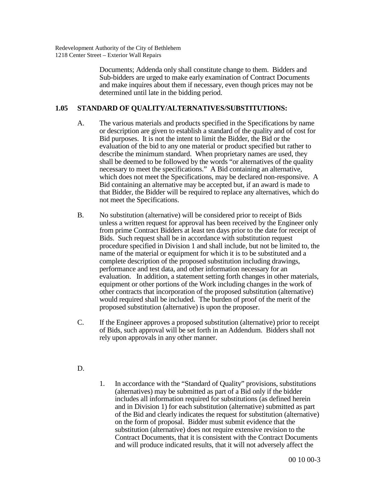Documents; Addenda only shall constitute change to them. Bidders and Sub-bidders are urged to make early examination of Contract Documents and make inquires about them if necessary, even though prices may not be determined until late in the bidding period.

# **1.05 STANDARD OF QUALITY/ALTERNATIVES/SUBSTITUTIONS:**

- A. The various materials and products specified in the Specifications by name or description are given to establish a standard of the quality and of cost for Bid purposes. It is not the intent to limit the Bidder, the Bid or the evaluation of the bid to any one material or product specified but rather to describe the minimum standard. When proprietary names are used, they shall be deemed to be followed by the words "or alternatives of the quality necessary to meet the specifications." A Bid containing an alternative, which does not meet the Specifications, may be declared non-responsive. A Bid containing an alternative may be accepted but, if an award is made to that Bidder, the Bidder will be required to replace any alternatives, which do not meet the Specifications.
- B. No substitution (alternative) will be considered prior to receipt of Bids unless a written request for approval has been received by the Engineer only from prime Contract Bidders at least ten days prior to the date for receipt of Bids. Such request shall be in accordance with substitution request procedure specified in Division 1 and shall include, but not be limited to, the name of the material or equipment for which it is to be substituted and a complete description of the proposed substitution including drawings, performance and test data, and other information necessary for an evaluation. In addition, a statement setting forth changes in other materials, equipment or other portions of the Work including changes in the work of other contracts that incorporation of the proposed substitution (alternative) would required shall be included. The burden of proof of the merit of the proposed substitution (alternative) is upon the proposer.
- C. If the Engineer approves a proposed substitution (alternative) prior to receipt of Bids, such approval will be set forth in an Addendum. Bidders shall not rely upon approvals in any other manner.
- D.
- 1. In accordance with the "Standard of Quality" provisions, substitutions (alternatives) may be submitted as part of a Bid only if the bidder includes all information required for substitutions (as defined herein and in Division 1) for each substitution (alternative) submitted as part of the Bid and clearly indicates the request for substitution (alternative) on the form of proposal. Bidder must submit evidence that the substitution (alternative) does not require extensive revision to the Contract Documents, that it is consistent with the Contract Documents and will produce indicated results, that it will not adversely affect the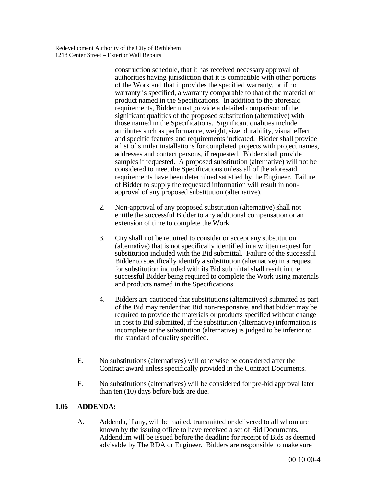> construction schedule, that it has received necessary approval of authorities having jurisdiction that it is compatible with other portions of the Work and that it provides the specified warranty, or if no warranty is specified, a warranty comparable to that of the material or product named in the Specifications. In addition to the aforesaid requirements, Bidder must provide a detailed comparison of the significant qualities of the proposed substitution (alternative) with those named in the Specifications. Significant qualities include attributes such as performance, weight, size, durability, visual effect, and specific features and requirements indicated. Bidder shall provide a list of similar installations for completed projects with project names, addresses and contact persons, if requested. Bidder shall provide samples if requested. A proposed substitution (alternative) will not be considered to meet the Specifications unless all of the aforesaid requirements have been determined satisfied by the Engineer. Failure of Bidder to supply the requested information will result in nonapproval of any proposed substitution (alternative).

- 2. Non-approval of any proposed substitution (alternative) shall not entitle the successful Bidder to any additional compensation or an extension of time to complete the Work.
- 3. City shall not be required to consider or accept any substitution (alternative) that is not specifically identified in a written request for substitution included with the Bid submittal. Failure of the successful Bidder to specifically identify a substitution (alternative) in a request for substitution included with its Bid submittal shall result in the successful Bidder being required to complete the Work using materials and products named in the Specifications.
- 4. Bidders are cautioned that substitutions (alternatives) submitted as part of the Bid may render that Bid non-responsive, and that bidder may be required to provide the materials or products specified without change in cost to Bid submitted, if the substitution (alternative) information is incomplete or the substitution (alternative) is judged to be inferior to the standard of quality specified.
- E. No substitutions (alternatives) will otherwise be considered after the Contract award unless specifically provided in the Contract Documents.
- F. No substitutions (alternatives) will be considered for pre-bid approval later than ten (10) days before bids are due.

## **1.06 ADDENDA:**

A. Addenda, if any, will be mailed, transmitted or delivered to all whom are known by the issuing office to have received a set of Bid Documents. Addendum will be issued before the deadline for receipt of Bids as deemed advisable by The RDA or Engineer. Bidders are responsible to make sure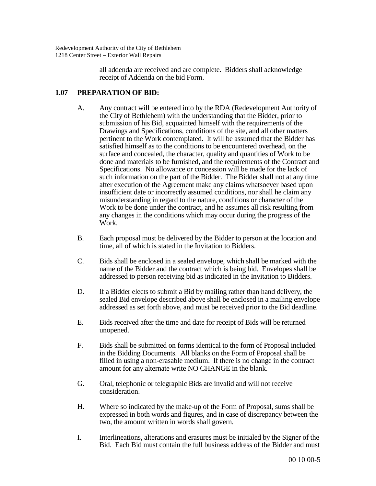> all addenda are received and are complete. Bidders shall acknowledge receipt of Addenda on the bid Form.

# **1.07 PREPARATION OF BID:**

- A. Any contract will be entered into by the RDA (Redevelopment Authority of the City of Bethlehem) with the understanding that the Bidder, prior to submission of his Bid, acquainted himself with the requirements of the Drawings and Specifications, conditions of the site, and all other matters pertinent to the Work contemplated. It will be assumed that the Bidder has satisfied himself as to the conditions to be encountered overhead, on the surface and concealed, the character, quality and quantities of Work to be done and materials to be furnished, and the requirements of the Contract and Specifications. No allowance or concession will be made for the lack of such information on the part of the Bidder. The Bidder shall not at any time after execution of the Agreement make any claims whatsoever based upon insufficient date or incorrectly assumed conditions, nor shall he claim any misunderstanding in regard to the nature, conditions or character of the Work to be done under the contract, and he assumes all risk resulting from any changes in the conditions which may occur during the progress of the Work.
- B. Each proposal must be delivered by the Bidder to person at the location and time, all of which is stated in the Invitation to Bidders.
- C. Bids shall be enclosed in a sealed envelope, which shall be marked with the name of the Bidder and the contract which is being bid. Envelopes shall be addressed to person receiving bid as indicated in the Invitation to Bidders.
- D. If a Bidder elects to submit a Bid by mailing rather than hand delivery, the sealed Bid envelope described above shall be enclosed in a mailing envelope addressed as set forth above, and must be received prior to the Bid deadline.
- E. Bids received after the time and date for receipt of Bids will be returned unopened.
- F. Bids shall be submitted on forms identical to the form of Proposal included in the Bidding Documents. All blanks on the Form of Proposal shall be filled in using a non-erasable medium. If there is no change in the contract amount for any alternate write NO CHANGE in the blank.
- G. Oral, telephonic or telegraphic Bids are invalid and will not receive consideration.
- H. Where so indicated by the make-up of the Form of Proposal, sums shall be expressed in both words and figures, and in case of discrepancy between the two, the amount written in words shall govern.
- I. Interlineations, alterations and erasures must be initialed by the Signer of the Bid. Each Bid must contain the full business address of the Bidder and must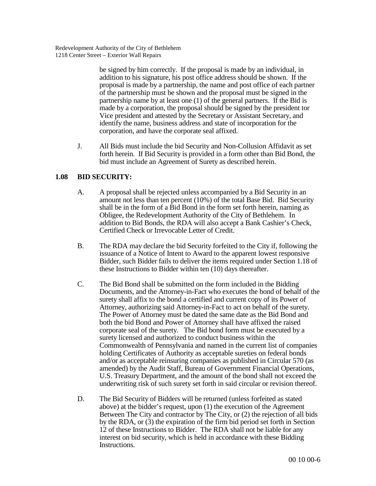be signed by him correctly. If the proposal is made by an individual, in addition to his signature, his post office address should be shown. If the proposal is made by a partnership, the name and post office of each partner of the partnership must be shown and the proposal must be signed in the partnership name by at least one (1) of the general partners. If the Bid is made by a corporation, the proposal should be signed by the president tor Vice president and attested by the Secretary or Assistant Secretary, and identify the name, business address and state of incorporation for the corporation, and have the corporate seal affixed.

J. All Bids must include the bid Security and Non-Collusion Affidavit as set forth herein. If Bid Security is provided in a form other than Bid Bond, the bid must include an Agreement of Surety as described herein.

# **1.08 BID SECURITY:**

- A. A proposal shall be rejected unless accompanied by a Bid Security in an amount not less than ten percent (10%) of the total Base Bid. Bid Security shall be in the form of a Bid Bond in the form set forth herein, naming as Obligee, the Redevelopment Authority of the City of Bethlehem. In addition to Bid Bonds, the RDA will also accept a Bank Cashier's Check, Certified Check or Irrevocable Letter of Credit.
- B. The RDA may declare the bid Security forfeited to the City if, following the issuance of a Notice of Intent to Award to the apparent lowest responsive Bidder, such Bidder fails to deliver the items required under Section 1.18 of these Instructions to Bidder within ten (10) days thereafter.
- C. The Bid Bond shall be submitted on the form included in the Bidding Documents, and the Attorney-in-Fact who executes the bond of behalf of the surety shall affix to the bond a certified and current copy of its Power of Attorney, authorizing said Attorney-in-Fact to act on behalf of the surety. The Power of Attorney must be dated the same date as the Bid Bond and both the bid Bond and Power of Attorney shall have affixed the raised corporate seal of the surety. The Bid bond form must be executed by a surety licensed and authorized to conduct business within the Commonwealth of Pennsylvania and named in the current list of companies holding Certificates of Authority as acceptable sureties on federal bonds and/or as acceptable reinsuring companies as published in Circular 570 (as amended) by the Audit Staff, Bureau of Government Financial Operations, U.S. Treasury Department, and the amount of the bond shall not exceed the underwriting risk of such surety set forth in said circular or revision thereof.
- D. The Bid Security of Bidders will be returned (unless forfeited as stated above) at the bidder's request, upon (1) the execution of the Agreement Between The City and contractor by The City, or (2) the rejection of all bids by the RDA, or (3) the expiration of the firm bid period set forth in Section 12 of these Instructions to Bidder. The RDA shall not be liable for any interest on bid security, which is held in accordance with these Bidding Instructions.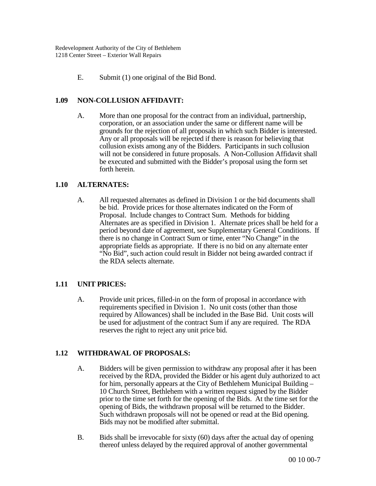E. Submit (1) one original of the Bid Bond.

## **1.09 NON-COLLUSION AFFIDAVIT:**

A. More than one proposal for the contract from an individual, partnership, corporation, or an association under the same or different name will be grounds for the rejection of all proposals in which such Bidder is interested. Any or all proposals will be rejected if there is reason for believing that collusion exists among any of the Bidders. Participants in such collusion will not be considered in future proposals. A Non-Collusion Affidavit shall be executed and submitted with the Bidder's proposal using the form set forth herein.

### **1.10 ALTERNATES:**

A. All requested alternates as defined in Division 1 or the bid documents shall be bid. Provide prices for those alternates indicated on the Form of Proposal. Include changes to Contract Sum. Methods for bidding Alternates are as specified in Division 1. Alternate prices shall be held for a period beyond date of agreement, see Supplementary General Conditions. If there is no change in Contract Sum or time, enter "No Change" in the appropriate fields as appropriate. If there is no bid on any alternate enter "No Bid", such action could result in Bidder not being awarded contract if the RDA selects alternate.

## **1.11 UNIT PRICES:**

A. Provide unit prices, filled-in on the form of proposal in accordance with requirements specified in Division 1. No unit costs (other than those required by Allowances) shall be included in the Base Bid. Unit costs will be used for adjustment of the contract Sum if any are required. The RDA reserves the right to reject any unit price bid.

## **1.12 WITHDRAWAL OF PROPOSALS:**

- A. Bidders will be given permission to withdraw any proposal after it has been received by the RDA, provided the Bidder or his agent duly authorized to act for him, personally appears at the City of Bethlehem Municipal Building – 10 Church Street, Bethlehem with a written request signed by the Bidder prior to the time set forth for the opening of the Bids. At the time set for the opening of Bids, the withdrawn proposal will be returned to the Bidder. Such withdrawn proposals will not be opened or read at the Bid opening. Bids may not be modified after submittal.
- B. Bids shall be irrevocable for sixty (60) days after the actual day of opening thereof unless delayed by the required approval of another governmental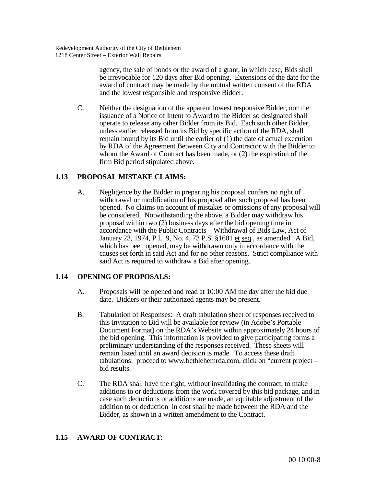agency, the sale of bonds or the award of a grant, in which case, Bids shall be irrevocable for 120 days after Bid opening. Extensions of the date for the award of contract may be made by the mutual written consent of the RDA and the lowest responsible and responsive Bidder.

C. Neither the designation of the apparent lowest responsive Bidder, nor the issuance of a Notice of Intent to Award to the Bidder so designated shall operate to release any other Bidder from its Bid. Each such other Bidder, unless earlier released from its Bid by specific action of the RDA, shall remain bound by its Bid until the earlier of (1) the date of actual execution by RDA of the Agreement Between City and Contractor with the Bidder to whom the Award of Contract has been made, or (2) the expiration of the firm Bid period stipulated above.

# **1.13 PROPOSAL MISTAKE CLAIMS:**

A. Negligence by the Bidder in preparing his proposal confers no right of withdrawal or modification of his proposal after such proposal has been opened. No claims on account of mistakes or omissions of any proposal will be considered. Notwithstanding the above, a Bidder may withdraw his proposal within two (2) business days after the bid opening time in accordance with the Public Contracts – Withdrawal of Bids Law, Act of January 23, 1974, P.L. 9, No. 4, 73 P.S. §1601 et seq., as amended. A Bid, which has been opened, may be withdrawn only in accordance with the causes set forth in said Act and for no other reasons. Strict compliance with said Act is required to withdraw a Bid after opening.

## **1.14 OPENING OF PROPOSALS:**

- A. Proposals will be opened and read at 10:00 AM the day after the bid due date. Bidders or their authorized agents may be present.
- B. Tabulation of Responses: A draft tabulation sheet of responses received to this Invitation to Bid will be available for review (in Adobe's Portable Document Format) on the RDA's Website within approximately 24 hours of the bid opening. This information is provided to give participating forms a preliminary understanding of the responses received. These sheets will remain listed until an award decision is made. To access these draft tabulations: proceed to www.bethlehemrda.com, click on "current project – bid results.
- C. The RDA shall have the right, without invalidating the contract, to make additions to or deductions from the work covered by this bid package, and in case such deductions or additions are made, an equitable adjustment of the addition to or deduction in cost shall be made between the RDA and the Bidder, as shown in a written amendment to the Contract.

# **1.15 AWARD OF CONTRACT:**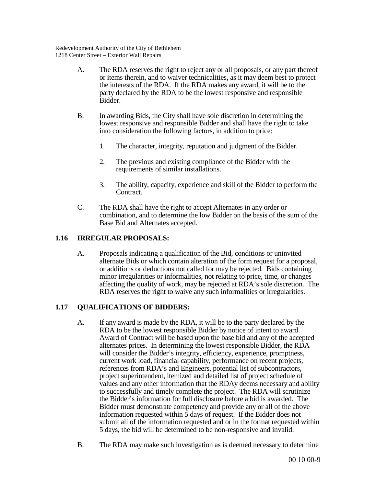- A. The RDA reserves the right to reject any or all proposals, or any part thereof or items therein, and to waiver technicalities, as it may deem best to protect the interests of the RDA. If the RDA makes any award, it will be to the party declared by the RDA to be the lowest responsive and responsible Bidder.
- B. In awarding Bids, the City shall have sole discretion in determining the lowest responsive and responsible Bidder and shall have the right to take into consideration the following factors, in addition to price:
	- 1. The character, integrity, reputation and judgment of the Bidder.
	- 2. The previous and existing compliance of the Bidder with the requirements of similar installations.
	- 3. The ability, capacity, experience and skill of the Bidder to perform the Contract.
- C. The RDA shall have the right to accept Alternates in any order or combination, and to determine the low Bidder on the basis of the sum of the Base Bid and Alternates accepted.

# **1.16 IRREGULAR PROPOSALS:**

A. Proposals indicating a qualification of the Bid, conditions or uninvited alternate Bids or which contain alteration of the form request for a proposal, or additions or deductions not called for may be rejected. Bids containing minor irregularities or informalities, not relating to price, time, or changes affecting the quality of work, may be rejected at RDA's sole discretion. The RDA reserves the right to waive any such informalities or irregularities.

# **1.17 QUALIFICATIONS OF BIDDERS:**

- A. If any award is made by the RDA, it will be to the party declared by the RDA to be the lowest responsible Bidder by notice of intent to award. Award of Contract will be based upon the base bid and any of the accepted alternates prices. In determining the lowest responsible Bidder, the RDA will consider the Bidder's integrity, efficiency, experience, promptness, current work load, financial capability, performance on recent projects, references from RDA's and Engineers, potential list of subcontractors, project superintendent, itemized and detailed list of project schedule of values and any other information that the RDAy deems necessary and ability to successfully and timely complete the project. The RDA will scrutinize the Bidder's information for full disclosure before a bid is awarded. The Bidder must demonstrate competency and provide any or all of the above information requested within  $\bar{5}$  days of request. If the Bidder does not submit all of the information requested and or in the format requested within 5 days, the bid will be determined to be non-responsive and invalid.
- B. The RDA may make such investigation as is deemed necessary to determine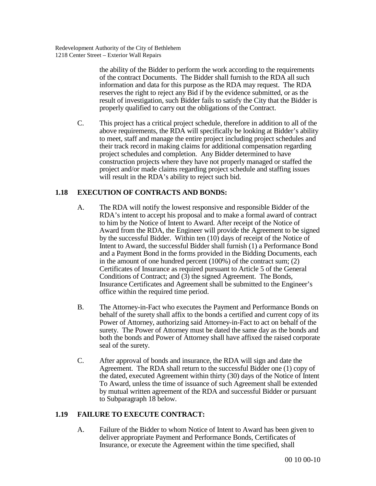the ability of the Bidder to perform the work according to the requirements of the contract Documents. The Bidder shall furnish to the RDA all such information and data for this purpose as the RDA may request. The RDA reserves the right to reject any Bid if by the evidence submitted, or as the result of investigation, such Bidder fails to satisfy the City that the Bidder is properly qualified to carry out the obligations of the Contract.

C. This project has a critical project schedule, therefore in addition to all of the above requirements, the RDA will specifically be looking at Bidder's ability to meet, staff and manage the entire project including project schedules and their track record in making claims for additional compensation regarding project schedules and completion. Any Bidder determined to have construction projects where they have not properly managed or staffed the project and/or made claims regarding project schedule and staffing issues will result in the RDA's ability to reject such bid.

# **1.18 EXECUTION OF CONTRACTS AND BONDS:**

- A. The RDA will notify the lowest responsive and responsible Bidder of the RDA's intent to accept his proposal and to make a formal award of contract to him by the Notice of Intent to Award. After receipt of the Notice of Award from the RDA, the Engineer will provide the Agreement to be signed by the successful Bidder. Within ten (10) days of receipt of the Notice of Intent to Award, the successful Bidder shall furnish (1) a Performance Bond and a Payment Bond in the forms provided in the Bidding Documents, each in the amount of one hundred percent (100%) of the contract sum; (2) Certificates of Insurance as required pursuant to Article 5 of the General Conditions of Contract; and (3) the signed Agreement. The Bonds, Insurance Certificates and Agreement shall be submitted to the Engineer's office within the required time period.
- B. The Attorney-in-Fact who executes the Payment and Performance Bonds on behalf of the surety shall affix to the bonds a certified and current copy of its Power of Attorney, authorizing said Attorney-in-Fact to act on behalf of the surety. The Power of Attorney must be dated the same day as the bonds and both the bonds and Power of Attorney shall have affixed the raised corporate seal of the surety.
- C. After approval of bonds and insurance, the RDA will sign and date the Agreement. The RDA shall return to the successful Bidder one (1) copy of the dated, executed Agreement within thirty (30) days of the Notice of Intent To Award, unless the time of issuance of such Agreement shall be extended by mutual written agreement of the RDA and successful Bidder or pursuant to Subparagraph 18 below.

# **1.19 FAILURE TO EXECUTE CONTRACT:**

A. Failure of the Bidder to whom Notice of Intent to Award has been given to deliver appropriate Payment and Performance Bonds, Certificates of Insurance, or execute the Agreement within the time specified, shall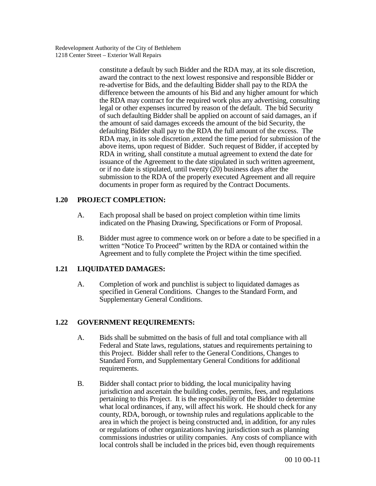> constitute a default by such Bidder and the RDA may, at its sole discretion, award the contract to the next lowest responsive and responsible Bidder or re-advertise for Bids, and the defaulting Bidder shall pay to the RDA the difference between the amounts of his Bid and any higher amount for which the RDA may contract for the required work plus any advertising, consulting legal or other expenses incurred by reason of the default. The bid Security of such defaulting Bidder shall be applied on account of said damages, an if the amount of said damages exceeds the amount of the bid Security, the defaulting Bidder shall pay to the RDA the full amount of the excess. The RDA may, in its sole discretion ,extend the time period for submission of the above items, upon request of Bidder. Such request of Bidder, if accepted by RDA in writing, shall constitute a mutual agreement to extend the date for issuance of the Agreement to the date stipulated in such written agreement, or if no date is stipulated, until twenty  $(20)$  business days after the submission to the RDA of the properly executed Agreement and all require documents in proper form as required by the Contract Documents.

## **1.20 PROJECT COMPLETION:**

- A. Each proposal shall be based on project completion within time limits indicated on the Phasing Drawing, Specifications or Form of Proposal.
- B. Bidder must agree to commence work on or before a date to be specified in a written "Notice To Proceed" written by the RDA or contained within the Agreement and to fully complete the Project within the time specified.

## **1.21 LIQUIDATED DAMAGES:**

A. Completion of work and punchlist is subject to liquidated damages as specified in General Conditions. Changes to the Standard Form, and Supplementary General Conditions.

## **1.22 GOVERNMENT REQUIREMENTS:**

- A. Bids shall be submitted on the basis of full and total compliance with all Federal and State laws, regulations, statues and requirements pertaining to this Project. Bidder shall refer to the General Conditions, Changes to Standard Form, and Supplementary General Conditions for additional requirements.
- B. Bidder shall contact prior to bidding, the local municipality having jurisdiction and ascertain the building codes, permits, fees, and regulations pertaining to this Project. It is the responsibility of the Bidder to determine what local ordinances, if any, will affect his work. He should check for any county, RDA, borough, or township rules and regulations applicable to the area in which the project is being constructed and, in addition, for any rules or regulations of other organizations having jurisdiction such as planning commissions industries or utility companies. Any costs of compliance with local controls shall be included in the prices bid, even though requirements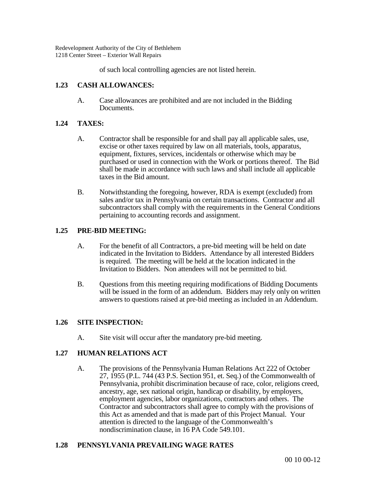of such local controlling agencies are not listed herein.

# **1.23 CASH ALLOWANCES:**

A. Case allowances are prohibited and are not included in the Bidding Documents.

## **1.24 TAXES:**

- A. Contractor shall be responsible for and shall pay all applicable sales, use, excise or other taxes required by law on all materials, tools, apparatus, equipment, fixtures, services, incidentals or otherwise which may be purchased or used in connection with the Work or portions thereof. The Bid shall be made in accordance with such laws and shall include all applicable taxes in the Bid amount.
- B. Notwithstanding the foregoing, however, RDA is exempt (excluded) from sales and/or tax in Pennsylvania on certain transactions. Contractor and all subcontractors shall comply with the requirements in the General Conditions pertaining to accounting records and assignment.

## **1.25 PRE-BID MEETING:**

- A. For the benefit of all Contractors, a pre-bid meeting will be held on date indicated in the Invitation to Bidders. Attendance by all interested Bidders is required. The meeting will be held at the location indicated in the Invitation to Bidders. Non attendees will not be permitted to bid.
- B. Questions from this meeting requiring modifications of Bidding Documents will be issued in the form of an addendum. Bidders may rely only on written answers to questions raised at pre-bid meeting as included in an Addendum.

## **1.26 SITE INSPECTION:**

A. Site visit will occur after the mandatory pre-bid meeting.

# **1.27 HUMAN RELATIONS ACT**

A. The provisions of the Pennsylvania Human Relations Act 222 of October 27, 1955 (P.L. 744 (43 P.S. Section 951, et. Seq.) of the Commonwealth of Pennsylvania, prohibit discrimination because of race, color, religions creed, ancestry, age, sex national origin, handicap or disability, by employers, employment agencies, labor organizations, contractors and others. The Contractor and subcontractors shall agree to comply with the provisions of this Act as amended and that is made part of this Project Manual. Your attention is directed to the language of the Commonwealth's nondiscrimination clause, in 16 PA Code 549.101.

## **1.28 PENNSYLVANIA PREVAILING WAGE RATES**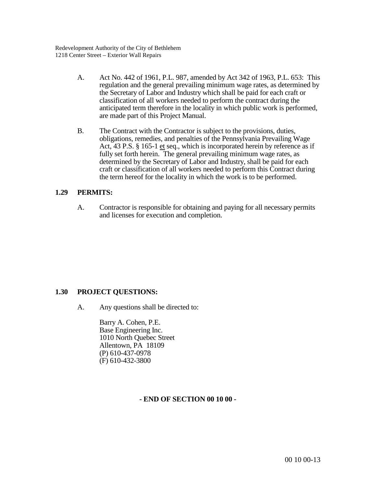- A. Act No. 442 of 1961, P.L. 987, amended by Act 342 of 1963, P.L. 653: This regulation and the general prevailing minimum wage rates, as determined by the Secretary of Labor and Industry which shall be paid for each craft or classification of all workers needed to perform the contract during the anticipated term therefore in the locality in which public work is performed, are made part of this Project Manual.
- B. The Contract with the Contractor is subject to the provisions, duties, obligations, remedies, and penalties of the Pennsylvania Prevailing Wage Act, 43 P.S. § 165-1 et seq., which is incorporated herein by reference as if fully set forth herein. The general prevailing minimum wage rates, as determined by the Secretary of Labor and Industry, shall be paid for each craft or classification of all workers needed to perform this Contract during the term hereof for the locality in which the work is to be performed.

### **1.29 PERMITS:**

A. Contractor is responsible for obtaining and paying for all necessary permits and licenses for execution and completion.

### **1.30 PROJECT QUESTIONS:**

A. Any questions shall be directed to:

Barry A. Cohen, P.E. Base Engineering Inc. 1010 North Quebec Street Allentown, PA 18109 (P) 610-437-0978 (F) 610-432-3800

### **- END OF SECTION 00 10 00 -**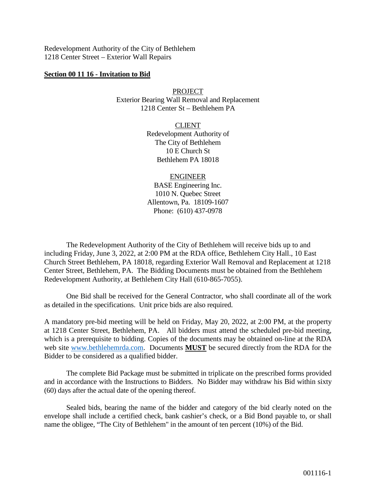### **Section 00 11 16 - Invitation to Bid**

PROJECT Exterior Bearing Wall Removal and Replacement 1218 Center St – Bethlehem PA

> CLIENT Redevelopment Authority of The City of Bethlehem 10 E Church St Bethlehem PA 18018

### ENGINEER

BASE Engineering Inc. 1010 N. Quebec Street Allentown, Pa. 18109-1607 Phone: (610) 437-0978

The Redevelopment Authority of the City of Bethlehem will receive bids up to and including Friday, June 3, 2022, at 2:00 PM at the RDA office, Bethlehem City Hall., 10 East Church Street Bethlehem, PA 18018, regarding Exterior Wall Removal and Replacement at 1218 Center Street, Bethlehem, PA. The Bidding Documents must be obtained from the Bethlehem Redevelopment Authority, at Bethlehem City Hall (610-865-7055).

One Bid shall be received for the General Contractor, who shall coordinate all of the work as detailed in the specifications. Unit price bids are also required.

A mandatory pre-bid meeting will be held on Friday, May 20, 2022, at 2:00 PM, at the property at 1218 Center Street, Bethlehem, PA. All bidders must attend the scheduled pre-bid meeting, which is a prerequisite to bidding. Copies of the documents may be obtained on-line at the RDA web site [www.bethlehemrda.com.](http://www.bethlehemrda.com/) Documents **MUST** be secured directly from the RDA for the Bidder to be considered as a qualified bidder.

The complete Bid Package must be submitted in triplicate on the prescribed forms provided and in accordance with the Instructions to Bidders. No Bidder may withdraw his Bid within sixty (60) days after the actual date of the opening thereof.

Sealed bids, bearing the name of the bidder and category of the bid clearly noted on the envelope shall include a certified check, bank cashier's check, or a Bid Bond payable to, or shall name the obligee, "The City of Bethlehem" in the amount of ten percent (10%) of the Bid.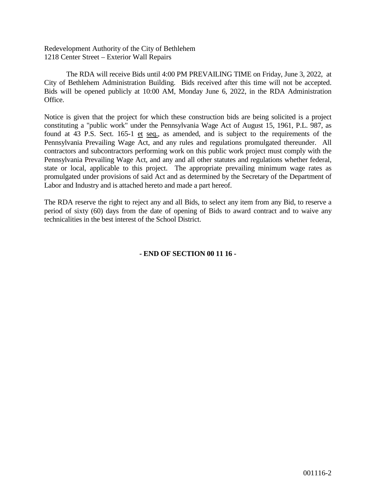The RDA will receive Bids until 4:00 PM PREVAILING TIME on Friday, June 3, 2022, at City of Bethlehem Administration Building. Bids received after this time will not be accepted. Bids will be opened publicly at 10:00 AM, Monday June 6, 2022, in the RDA Administration Office.

Notice is given that the project for which these construction bids are being solicited is a project constituting a "public work" under the Pennsylvania Wage Act of August 15, 1961, P.L. 987, as found at 43 P.S. Sect. 165-1 et seq., as amended, and is subject to the requirements of the Pennsylvania Prevailing Wage Act, and any rules and regulations promulgated thereunder. All contractors and subcontractors performing work on this public work project must comply with the Pennsylvania Prevailing Wage Act, and any and all other statutes and regulations whether federal, state or local, applicable to this project. The appropriate prevailing minimum wage rates as promulgated under provisions of said Act and as determined by the Secretary of the Department of Labor and Industry and is attached hereto and made a part hereof.

The RDA reserve the right to reject any and all Bids, to select any item from any Bid, to reserve a period of sixty (60) days from the date of opening of Bids to award contract and to waive any technicalities in the best interest of the School District.

# **- END OF SECTION 00 11 16 -**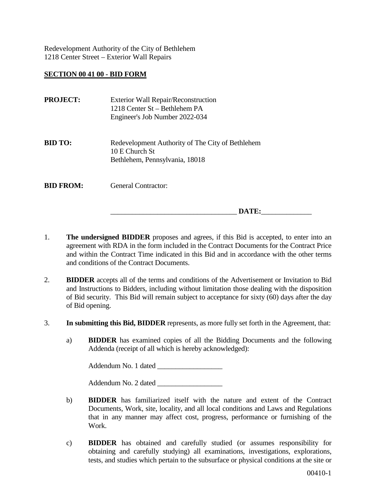## **SECTION 00 41 00 - BID FORM**

| <b>PROJECT:</b>  | <b>Exterior Wall Repair/Reconstruction</b><br>1218 Center St – Bethlehem PA<br>Engineer's Job Number 2022-034 |
|------------------|---------------------------------------------------------------------------------------------------------------|
| <b>BID TO:</b>   | Redevelopment Authority of The City of Bethlehem<br>10 E Church St<br>Bethlehem, Pennsylvania, 18018          |
| <b>BID FROM:</b> | General Contractor:                                                                                           |

1. **The undersigned BIDDER** proposes and agrees, if this Bid is accepted, to enter into an agreement with RDA in the form included in the Contract Documents for the Contract Price and within the Contract Time indicated in this Bid and in accordance with the other terms and conditions of the Contract Documents.

DATE:

- 2. **BIDDER** accepts all of the terms and conditions of the Advertisement or Invitation to Bid and Instructions to Bidders, including without limitation those dealing with the disposition of Bid security. This Bid will remain subject to acceptance for sixty (60) days after the day of Bid opening.
- 3. **In submitting this Bid, BIDDER** represents, as more fully set forth in the Agreement, that:
	- a) **BIDDER** has examined copies of all the Bidding Documents and the following Addenda (receipt of all which is hereby acknowledged):

Addendum No. 1 dated

Addendum No. 2 dated \_\_\_\_\_\_\_\_\_\_\_\_\_\_\_\_\_\_

- b) **BIDDER** has familiarized itself with the nature and extent of the Contract Documents, Work, site, locality, and all local conditions and Laws and Regulations that in any manner may affect cost, progress, performance or furnishing of the Work.
- c) **BIDDER** has obtained and carefully studied (or assumes responsibility for obtaining and carefully studying) all examinations, investigations, explorations, tests, and studies which pertain to the subsurface or physical conditions at the site or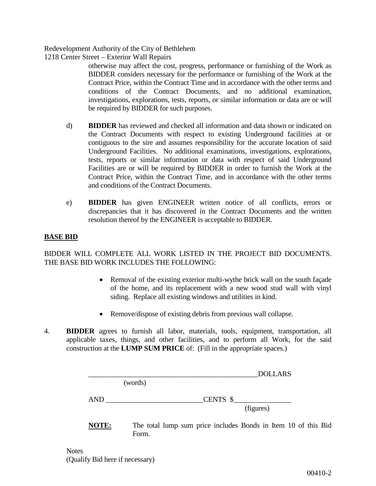Redevelopment Authority of the City of Bethlehem

1218 Center Street – Exterior Wall Repairs

otherwise may affect the cost, progress, performance or furnishing of the Work as BIDDER considers necessary for the performance or furnishing of the Work at the Contract Price, within the Contract Time and in accordance with the other terms and conditions of the Contract Documents, and no additional examination, investigations, explorations, tests, reports, or similar information or data are or will be required by BIDDER for such purposes.

- d) **BIDDER** has reviewed and checked all information and data shown or indicated on the Contract Documents with respect to existing Underground facilities at or contiguous to the sire and assumes responsibility for the accurate location of said Underground Facilities. No additional examinations, investigations, explorations, tests, reports or similar information or data with respect of said Underground Facilities are or will be required by BIDDER in order to furnish the Work at the Contract Price, within the Contract Time, and in accordance with the other terms and conditions of the Contract Documents.
- e) **BIDDER** has given ENGINEER written notice of all conflicts, errors or discrepancies that it has discovered in the Contract Documents and the written resolution thereof by the ENGINEER is acceptable to BIDDER.

# **BASE BID**

BIDDER WILL COMPLETE ALL WORK LISTED IN THE PROJECT BID DOCUMENTS. THE BASE BID WORK INCLUDES THE FOLLOWING:

- Removal of the existing exterior multi-wythe brick wall on the south façade of the home, and its replacement with a new wood stud wall with vinyl siding. Replace all existing windows and utilities in kind.
- Remove/dispose of existing debris from previous wall collapse.
- 4. **BIDDER** agrees to furnish all labor, materials, tools, equipment, transportation, all applicable taxes, things, and other facilities, and to perform all Work, for the said construction at the **LUMP SUM PRICE** of: (Fill in the appropriate spaces.)

|            | (words) |          | <b>DOLLARS</b> |
|------------|---------|----------|----------------|
| <b>AND</b> |         | CENTS \$ | (figures)      |

**NOTE:** The total lump sum price includes Bonds in Item 10 of this Bid Form.

**Notes** (Qualify Bid here if necessary)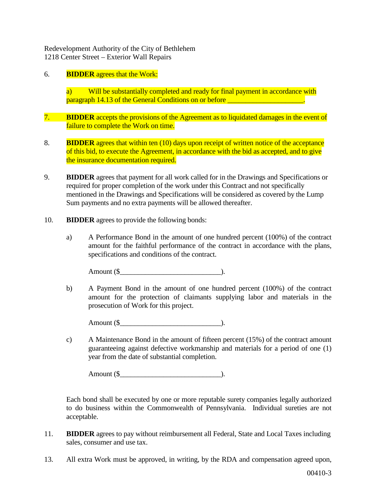6. **BIDDER** agrees that the Work:

a) Will be substantially completed and ready for final payment in accordance with paragraph 14.13 of the General Conditions on or before \_\_\_\_\_\_\_\_\_\_\_\_\_\_\_\_\_\_\_\_\_\_\_.

- 7. **BIDDER** accepts the provisions of the Agreement as to liquidated damages in the event of failure to complete the Work on time.
- 8. **BIDDER** agrees that within ten (10) days upon receipt of written notice of the acceptance of this bid, to execute the Agreement, in accordance with the bid as accepted, and to give the insurance documentation required.
- 9. **BIDDER** agrees that payment for all work called for in the Drawings and Specifications or required for proper completion of the work under this Contract and not specifically mentioned in the Drawings and Specifications will be considered as covered by the Lump Sum payments and no extra payments will be allowed thereafter.
- 10. **BIDDER** agrees to provide the following bonds:
	- a) A Performance Bond in the amount of one hundred percent (100%) of the contract amount for the faithful performance of the contract in accordance with the plans, specifications and conditions of the contract.

Amount (\$

b) A Payment Bond in the amount of one hundred percent (100%) of the contract amount for the protection of claimants supplying labor and materials in the prosecution of Work for this project.

Amount (\$

c) A Maintenance Bond in the amount of fifteen percent (15%) of the contract amount guaranteeing against defective workmanship and materials for a period of one (1) year from the date of substantial completion.

Amount (\$\_\_\_\_\_\_\_\_\_\_\_\_\_\_\_\_\_\_\_\_\_\_\_\_\_\_\_\_).

Each bond shall be executed by one or more reputable surety companies legally authorized to do business within the Commonwealth of Pennsylvania. Individual sureties are not acceptable.

- 11. **BIDDER** agrees to pay without reimbursement all Federal, State and Local Taxes including sales, consumer and use tax.
- 13. All extra Work must be approved, in writing, by the RDA and compensation agreed upon,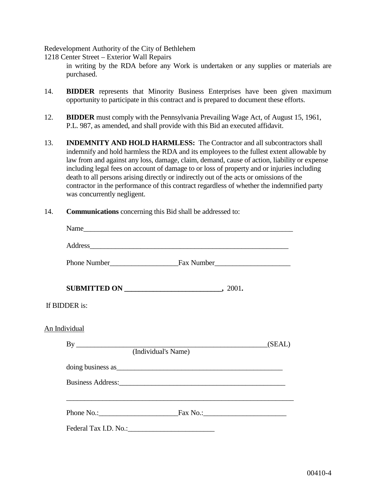Redevelopment Authority of the City of Bethlehem

1218 Center Street – Exterior Wall Repairs

in writing by the RDA before any Work is undertaken or any supplies or materials are purchased.

- 14. **BIDDER** represents that Minority Business Enterprises have been given maximum opportunity to participate in this contract and is prepared to document these efforts.
- 12. **BIDDER** must comply with the Pennsylvania Prevailing Wage Act, of August 15, 1961, P.L. 987, as amended, and shall provide with this Bid an executed affidavit.
- 13. **INDEMNITY AND HOLD HARMLESS:** The Contractor and all subcontractors shall indemnify and hold harmless the RDA and its employees to the fullest extent allowable by law from and against any loss, damage, claim, demand, cause of action, liability or expense including legal fees on account of damage to or loss of property and or injuries including death to all persons arising directly or indirectly out of the acts or omissions of the contractor in the performance of this contract regardless of whether the indemnified party was concurrently negligent.
- 14. **Communications** concerning this Bid shall be addressed to:

|               | Name                                                                                                                                                                                                                                 |  |
|---------------|--------------------------------------------------------------------------------------------------------------------------------------------------------------------------------------------------------------------------------------|--|
|               | Address and the contract of the contract of the contract of the contract of the contract of the contract of the contract of the contract of the contract of the contract of the contract of the contract of the contract of th       |  |
|               |                                                                                                                                                                                                                                      |  |
|               |                                                                                                                                                                                                                                      |  |
| If BIDDER is: |                                                                                                                                                                                                                                      |  |
| An Individual |                                                                                                                                                                                                                                      |  |
|               | $By$ (SEAL)<br>(Individual's Name)                                                                                                                                                                                                   |  |
|               | doing business as <u>contract the contract of the contract of the contract of the contract of the contract of the contract of the contract of the contract of the contract of the contract of the contract of the contract of th</u> |  |
|               | Business Address: 2008. [2016] The Manual Address: 2016. [2016] The Manual Address: 2016. [2016] The Manual Address: 2016. [2016] The Manual Address: 2016. [2016] The Manual Address: 2016. [2016] The Manual Address: 2016.        |  |
|               | Phone No.: Fax No.: Fax No.:                                                                                                                                                                                                         |  |
|               |                                                                                                                                                                                                                                      |  |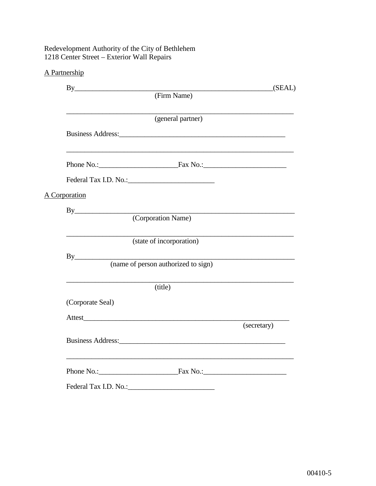A Partnership

| By               |                                                                                                                                                                                                                                | SEAL        |
|------------------|--------------------------------------------------------------------------------------------------------------------------------------------------------------------------------------------------------------------------------|-------------|
|                  | (Firm Name)                                                                                                                                                                                                                    |             |
|                  | (general partner)                                                                                                                                                                                                              |             |
|                  | Business Address: 2008. [1] All and the Material Address: 2008. [1] All and the Material Address: 2008. [1] All and the Material Address: 2008. [1] All and the Material Address: 2008. [1] All and the Material Address: 2008 |             |
|                  |                                                                                                                                                                                                                                |             |
|                  | Phone No.: Fax No.: Fax No.:                                                                                                                                                                                                   |             |
|                  |                                                                                                                                                                                                                                |             |
| A Corporation    |                                                                                                                                                                                                                                |             |
| By               |                                                                                                                                                                                                                                |             |
|                  | (Corporation Name)                                                                                                                                                                                                             |             |
|                  | (state of incorporation)                                                                                                                                                                                                       |             |
|                  |                                                                                                                                                                                                                                |             |
|                  |                                                                                                                                                                                                                                |             |
|                  | <u> 1989 - Johann Stoff, amerikansk politiker (d. 1989)</u><br>(title)                                                                                                                                                         |             |
| (Corporate Seal) |                                                                                                                                                                                                                                |             |
|                  | Attest and the state of the state of the state of the state of the state of the state of the state of the state of the state of the state of the state of the state of the state of the state of the state of the state of the |             |
|                  |                                                                                                                                                                                                                                | (secretary) |
|                  | Business Address: 2008. [19] All The Manual Address: 2008. [19] All The Manual Address: 2008. [19] All The Manual Address: 2008. [19] All The Manual Address: 2008. [19] All The Manual Address: 2008. [19] All The Manual Add |             |
|                  | Phone No.: Fax No.: Fax No.:                                                                                                                                                                                                   |             |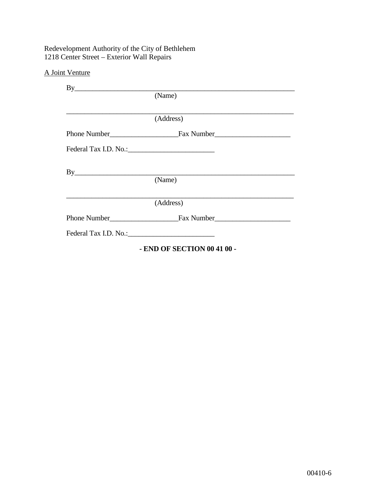# A Joint Venture

| By |                                          |  |
|----|------------------------------------------|--|
|    | (Name)                                   |  |
|    |                                          |  |
|    | (Address)                                |  |
|    |                                          |  |
|    |                                          |  |
|    | By                                       |  |
|    | (Name)                                   |  |
|    | (Address)                                |  |
|    | Phone Number <b>Example 1</b> Fax Number |  |
|    |                                          |  |
|    | - END OF SECTION 00 41 00 -              |  |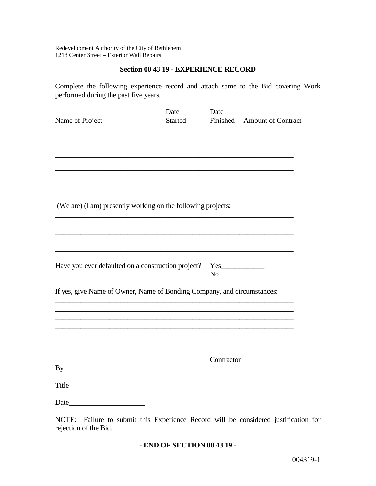# **Section 00 43 19 - EXPERIENCE RECORD**

Complete the following experience record and attach same to the Bid covering Work performed during the past five years.

|                                                                         | Date    | Date       |                             |
|-------------------------------------------------------------------------|---------|------------|-----------------------------|
| Name of Project                                                         | Started |            | Finished Amount of Contract |
|                                                                         |         |            |                             |
|                                                                         |         |            |                             |
|                                                                         |         |            |                             |
|                                                                         |         |            |                             |
|                                                                         |         |            |                             |
|                                                                         |         |            |                             |
|                                                                         |         |            |                             |
| (We are) (I am) presently working on the following projects:            |         |            |                             |
|                                                                         |         |            |                             |
|                                                                         |         |            |                             |
|                                                                         |         |            |                             |
|                                                                         |         |            |                             |
| Have you ever defaulted on a construction project?                      |         |            |                             |
|                                                                         |         |            |                             |
| If yes, give Name of Owner, Name of Bonding Company, and circumstances: |         |            |                             |
|                                                                         |         |            |                             |
|                                                                         |         |            |                             |
|                                                                         |         |            |                             |
|                                                                         |         |            |                             |
|                                                                         |         |            |                             |
|                                                                         |         |            |                             |
| By                                                                      |         | Contractor |                             |
|                                                                         |         |            |                             |
|                                                                         |         |            |                             |
|                                                                         |         |            |                             |
|                                                                         |         |            |                             |

NOTE: Failure to submit this Experience Record will be considered justification for rejection of the Bid.

**- END OF SECTION 00 43 19 -**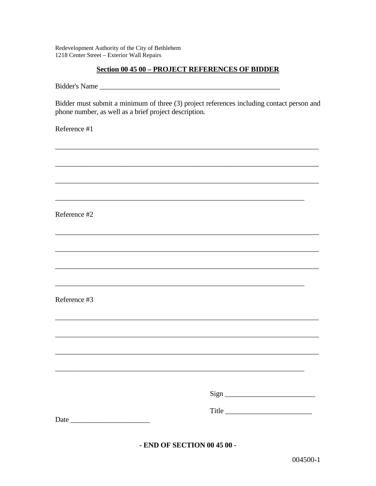# **Section 00 45 00 - PROJECT REFERENCES OF BIDDER**

Bidder's Name

Bidder must submit a minimum of three (3) project references including contact person and phone number, as well as a brief project description.

Reference #1

Reference #2

Reference #3 Title 

- END OF SECTION 00 45 00 -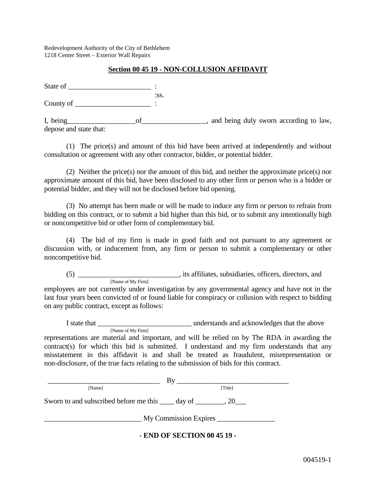## **Section 00 45 19 - NON-COLLUSION AFFIDAVIT**

State of \_\_\_\_\_\_\_\_\_\_\_\_\_\_\_\_\_\_\_\_\_\_\_ : :ss.

County of \_\_\_\_\_\_\_\_\_\_\_\_\_\_\_\_\_\_\_\_\_ :

I, being of of a set of a set of a set of a set of a set of  $\Box$  and being duly sworn according to law, depose and state that:

(1) The price(s) and amount of this bid have been arrived at independently and without consultation or agreement with any other contractor, bidder, or potential bidder.

(2) Neither the price(s) nor the amount of this bid, and neither the approximate price(s) nor approximate amount of this bid, have been disclosed to any other firm or person who is a bidder or potential bidder, and they will not be disclosed before bid opening.

(3) No attempt has been made or will be made to induce any firm or person to refrain from bidding on this contract, or to submit a bid higher than this bid, or to submit any intentionally high or noncompetitive bid or other form of complementary bid.

(4) The bid of my firm is made in good faith and not pursuant to any agreement or discussion with, or inducement from, any firm or person to submit a complementary or other noncompetitive bid.

(5) \_\_\_\_\_\_\_\_\_\_\_\_\_\_\_\_\_\_\_\_\_\_\_\_\_\_\_\_, its affiliates, subsidiaries, officers, directors, and [Name of My Firm]

employees are not currently under investigation by any governmental agency and have not in the last four years been convicted of or found liable for conspiracy or collusion with respect to bidding on any public contract, except as follows:

I state that \_\_\_\_\_\_\_\_\_\_\_\_\_\_\_\_\_\_\_\_\_\_\_\_\_\_ understands and acknowledges that the above

[Name of My Firm]

representations are material and important, and will be relied on by The RDA in awarding the contract(s) for which this bid is submitted. I understand and my firm understands that any misstatement in this affidavit is and shall be treated as fraudulent, misrepresentation or

non-disclosure, of the true facts relating to the submission of bids for this contract.

 $\qquad \qquad \text{By} \qquad \qquad \qquad \qquad \text{By}$ [Name] [Title] Sworn to and subscribed before me this \_\_\_\_\_ day of \_\_\_\_\_\_\_\_, 20\_\_\_\_

\_\_\_\_\_\_\_\_\_\_\_\_\_\_\_\_\_\_\_\_\_\_\_\_\_\_\_ My Commission Expires \_\_\_\_\_\_\_\_\_\_\_\_\_\_\_\_

**- END OF SECTION 00 45 19 -**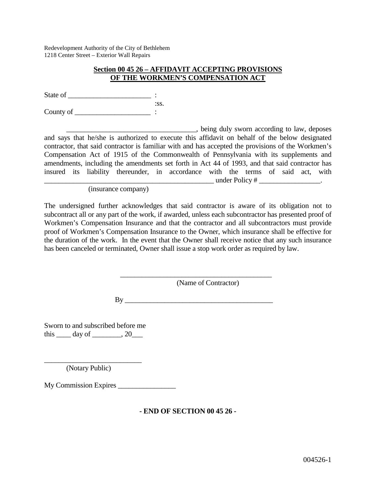## **Section 00 45 26 – AFFIDAVIT ACCEPTING PROVISIONS OF THE WORKMEN'S COMPENSATION ACT**

:ss.

State of  $\qquad \qquad$  :

County of  $\cdot$ 

\_\_\_\_\_\_\_\_\_\_\_\_\_\_\_\_\_\_\_\_\_\_\_\_\_\_\_\_\_\_\_\_\_\_\_\_, being duly sworn according to law, deposes and says that he/she is authorized to execute this affidavit on behalf of the below designated contractor, that said contractor is familiar with and has accepted the provisions of the Workmen's Compensation Act of 1915 of the Commonwealth of Pennsylvania with its supplements and amendments, including the amendments set forth in Act 44 of 1993, and that said contractor has insured its liability thereunder, in accordance with the terms of said act, with  $\blacksquare$  under Policy  $\#$  \_\_\_\_\_\_\_\_\_\_\_\_\_\_\_\_.

(insurance company)

The undersigned further acknowledges that said contractor is aware of its obligation not to subcontract all or any part of the work, if awarded, unless each subcontractor has presented proof of Workmen's Compensation Insurance and that the contractor and all subcontractors must provide proof of Workmen's Compensation Insurance to the Owner, which insurance shall be effective for the duration of the work. In the event that the Owner shall receive notice that any such insurance has been canceled or terminated, Owner shall issue a stop work order as required by law.

(Name of Contractor)

 $\mathbf{By} \_\_\$ 

\_\_\_\_\_\_\_\_\_\_\_\_\_\_\_\_\_\_\_\_\_\_\_\_\_\_\_\_\_\_\_\_\_\_\_\_\_\_\_\_\_\_

Sworn to and subscribed before me this  $\rule{1em}{0.15mm}$  day of  $\rule{1em}{0.15mm}$ , 20 $\rule{1em}{0.15mm}$ 

 $\overline{\phantom{a}}$  , where  $\overline{\phantom{a}}$  , where  $\overline{\phantom{a}}$  , where  $\overline{\phantom{a}}$ (Notary Public)

My Commission Expires \_\_\_\_\_\_\_\_\_\_\_\_\_\_\_\_

**- END OF SECTION 00 45 26 -**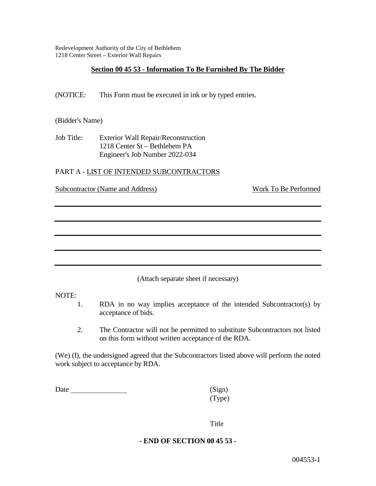## **Section 00 45 53 - Information To Be Furnished By The Bidder**

(NOTICE: This Form must be executed in ink or by typed entries.

(Bidder's Name)

Job Title: Exterior Wall Repair/Reconstruction 1218 Center St – Bethlehem PA Engineer's Job Number 2022-034

PART A - LIST OF INTENDED SUBCONTRACTORS

Subcontractor (Name and Address) Work To Be Performed

(Attach separate sheet if necessary)

NOTE:

- 1. RDA in no way implies acceptance of the intended Subcontractor(s) by acceptance of bids.
- 2. The Contractor will not be permitted to substitute Subcontractors not listed on this form without written acceptance of the RDA.

(We) (I), the undersigned agreed that the Subcontractors listed above will perform the noted work subject to acceptance by RDA.

Date (Sign)

(Type)

Title

**- END OF SECTION 00 45 53 -**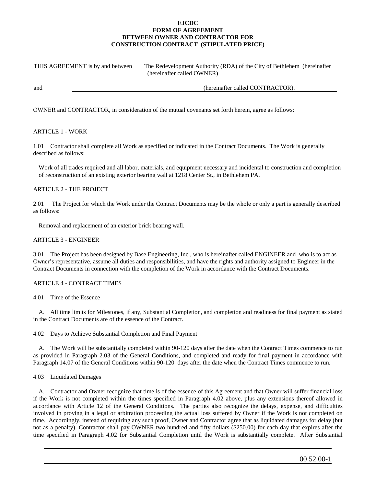#### **EJCDC FORM OF AGREEMENT BETWEEN OWNER AND CONTRACTOR FOR CONSTRUCTION CONTRACT (STIPULATED PRICE)**

| THIS AGREEMENT is by and between | The Redevelopment Authority (RDA) of the City of Bethlehem (hereinafter<br>(hereinafter called OWNER) |  |
|----------------------------------|-------------------------------------------------------------------------------------------------------|--|
| and                              | (hereinafter called CONTRACTOR).                                                                      |  |
|                                  |                                                                                                       |  |
|                                  | OWNER and CONTRACTOR, in consideration of the mutual covenants set forth herein, agree as follows:    |  |
| ARTICLE 1 - WORK                 |                                                                                                       |  |

1.01 Contractor shall complete all Work as specified or indicated in the Contract Documents. The Work is generally described as follows:

Work of all trades required and all labor, materials, and equipment necessary and incidental to construction and completion of reconstruction of an existing exterior bearing wall at 1218 Center St., in Bethlehem PA.

### ARTICLE 2 - THE PROJECT

2.01 The Project for which the Work under the Contract Documents may be the whole or only a part is generally described as follows:

Removal and replacement of an exterior brick bearing wall.

#### ARTICLE 3 - ENGINEER

3.01 The Project has been designed by Base Engineering, Inc., who is hereinafter called ENGINEER and who is to act as Owner's representative, assume all duties and responsibilities, and have the rights and authority assigned to Engineer in the Contract Documents in connection with the completion of the Work in accordance with the Contract Documents.

### ARTICLE 4 - CONTRACT TIMES

4.01 Time of the Essence

A. All time limits for Milestones, if any, Substantial Completion, and completion and readiness for final payment as stated in the Contract Documents are of the essence of the Contract.

4.02 Days to Achieve Substantial Completion and Final Payment

A. The Work will be substantially completed within 90-120 days after the date when the Contract Times commence to run as provided in Paragraph 2.03 of the General Conditions, and completed and ready for final payment in accordance with Paragraph 14.07 of the General Conditions within 90-120 days after the date when the Contract Times commence to run.

#### 4.03 Liquidated Damages

A. Contractor and Owner recognize that time is of the essence of this Agreement and that Owner will suffer financial loss if the Work is not completed within the times specified in Paragraph 4.02 above, plus any extensions thereof allowed in accordance with Article 12 of the General Conditions. The parties also recognize the delays, expense, and difficulties involved in proving in a legal or arbitration proceeding the actual loss suffered by Owner if the Work is not completed on time. Accordingly, instead of requiring any such proof, Owner and Contractor agree that as liquidated damages for delay (but not as a penalty), Contractor shall pay OWNER two hundred and fifty dollars (\$250.00) for each day that expires after the time specified in Paragraph 4.02 for Substantial Completion until the Work is substantially complete. After Substantial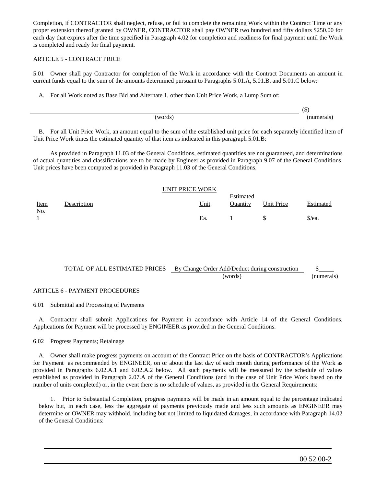Completion, if CONTRACTOR shall neglect, refuse, or fail to complete the remaining Work within the Contract Time or any proper extension thereof granted by OWNER, CONTRACTOR shall pay OWNER two hundred and fifty dollars \$250.00 for each day that expires after the time specified in Paragraph 4.02 for completion and readiness for final payment until the Work is completed and ready for final payment.

### ARTICLE 5 - CONTRACT PRICE

5.01 Owner shall pay Contractor for completion of the Work in accordance with the Contract Documents an amount in current funds equal to the sum of the amounts determined pursuant to Paragraphs 5.01.A, 5.01.B, and 5.01.C below:

A. For all Work noted as Base Bid and Alternate 1, other than Unit Price Work, a Lump Sum of:

|                       | ′∩<br>Φ |
|-----------------------|---------|
| worde<br>$\mathbf{u}$ |         |
|                       |         |

B. For all Unit Price Work, an amount equal to the sum of the established unit price for each separately identified item of Unit Price Work times the estimated quantity of that item as indicated in this paragraph 5.01.B:

As provided in Paragraph 11.03 of the General Conditions, estimated quantities are not guaranteed, and determinations of actual quantities and classifications are to be made by Engineer as provided in Paragraph 9.07 of the General Conditions. Unit prices have been computed as provided in Paragraph 11.03 of the General Conditions.

UNIT PRICE WORK

|             |             | UNII PRICE WORK | Estimated       |            |                               |
|-------------|-------------|-----------------|-----------------|------------|-------------------------------|
| <b>Item</b> | Description | <u>Unit</u>     | <b>Ouantity</b> | Unit Price | Estimated                     |
| <u>No.</u>  |             | Ea.             |                 |            | $\frac{\text{S}}{\text{e}}$ . |

| TOTAL OF ALL ESTIMATED PRICES By Change Order Add/Deduct during construction |            |
|------------------------------------------------------------------------------|------------|
| (words)                                                                      | (numerals) |

### ARTICLE 6 - PAYMENT PROCEDURES

6.01 Submittal and Processing of Payments

A. Contractor shall submit Applications for Payment in accordance with Article 14 of the General Conditions. Applications for Payment will be processed by ENGINEER as provided in the General Conditions.

#### 6.02 Progress Payments; Retainage

A. Owner shall make progress payments on account of the Contract Price on the basis of CONTRACTOR's Applications for Payment as recommended by ENGINEER, on or about the last day of each month during performance of the Work as provided in Paragraphs 6.02.A.1 and 6.02.A.2 below. All such payments will be measured by the schedule of values established as provided in Paragraph 2.07.A of the General Conditions (and in the case of Unit Price Work based on the number of units completed) or, in the event there is no schedule of values, as provided in the General Requirements:

1. Prior to Substantial Completion, progress payments will be made in an amount equal to the percentage indicated below but, in each case, less the aggregate of payments previously made and less such amounts as ENGINEER may determine or OWNER may withhold, including but not limited to liquidated damages, in accordance with Paragraph 14.02 of the General Conditions: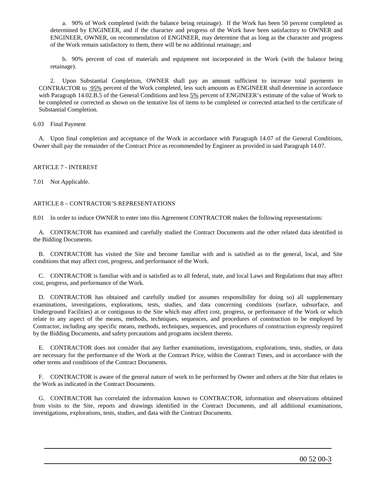a. 90% of Work completed (with the balance being retainage). If the Work has been 50 percent completed as determined by ENGINEER, and if the character and progress of the Work have been satisfactory to OWNER and ENGINEER, OWNER, on recommendation of ENGINEER, may determine that as long as the character and progress of the Work remain satisfactory to them, there will be no additional retainage; and

b. 90% percent of cost of materials and equipment not incorporated in the Work (with the balance being retainage).

2. Upon Substantial Completion, OWNER shall pay an amount sufficient to increase total payments to CONTRACTOR to 95% percent of the Work completed, less such amounts as ENGINEER shall determine in accordance with Paragraph 14.02.B.5 of the General Conditions and less 5% percent of ENGINEER's estimate of the value of Work to be completed or corrected as shown on the tentative list of items to be completed or corrected attached to the certificate of Substantial Completion.

6.03 Final Payment

A. Upon final completion and acceptance of the Work in accordance with Paragraph 14.07 of the General Conditions, Owner shall pay the remainder of the Contract Price as recommended by Engineer as provided in said Paragraph 14.07.

### ARTICLE 7 - INTEREST

7.01 Not Applicable.

#### ARTICLE 8 – CONTRACTOR'S REPRESENTATIONS

8.01 In order to induce OWNER to enter into this Agreement CONTRACTOR makes the following representations:

A. CONTRACTOR has examined and carefully studied the Contract Documents and the other related data identified in the Bidding Documents.

B. CONTRACTOR has visited the Site and become familiar with and is satisfied as to the general, local, and Site conditions that may affect cost, progress, and performance of the Work.

C. CONTRACTOR is familiar with and is satisfied as to all federal, state, and local Laws and Regulations that may affect cost, progress, and performance of the Work.

D. CONTRACTOR has obtained and carefully studied (or assumes responsibility for doing so) all supplementary examinations, investigations, explorations, tests, studies, and data concerning conditions (surface, subsurface, and Underground Facilities) at or contiguous to the Site which may affect cost, progress, or performance of the Work or which relate to any aspect of the means, methods, techniques, sequences, and procedures of construction to be employed by Contractor, including any specific means, methods, techniques, sequences, and procedures of construction expressly required by the Bidding Documents, and safety precautions and programs incident thereto.

E. CONTRACTOR does not consider that any further examinations, investigations, explorations, tests, studies, or data are necessary for the performance of the Work at the Contract Price, within the Contract Times, and in accordance with the other terms and conditions of the Contract Documents.

F. CONTRACTOR is aware of the general nature of work to be performed by Owner and others at the Site that relates to the Work as indicated in the Contract Documents.

G. CONTRACTOR has correlated the information known to CONTRACTOR, information and observations obtained from visits to the Site, reports and drawings identified in the Contract Documents, and all additional examinations, investigations, explorations, tests, studies, and data with the Contract Documents.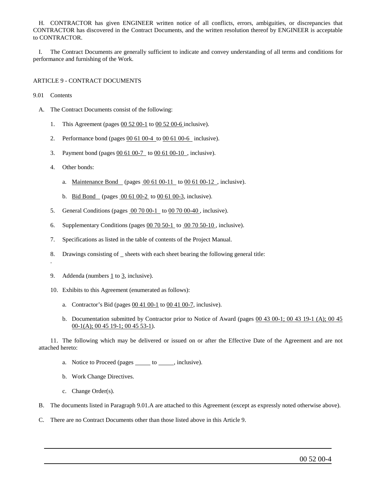H. CONTRACTOR has given ENGINEER written notice of all conflicts, errors, ambiguities, or discrepancies that CONTRACTOR has discovered in the Contract Documents, and the written resolution thereof by ENGINEER is acceptable to CONTRACTOR.

I. The Contract Documents are generally sufficient to indicate and convey understanding of all terms and conditions for performance and furnishing of the Work.

### ARTICLE 9 - CONTRACT DOCUMENTS

9.01 Contents

.

- A. The Contract Documents consist of the following:
	- 1. This Agreement (pages 00 52 00-1 to 00 52 00-6 inclusive).
	- 2. Performance bond (pages  $\underline{00}$  61 00-4 to  $\underline{00}$  61 00-6 inclusive).
	- 3. Payment bond (pages 00 61 00-7 to 00 61 00-10 , inclusive).
	- 4. Other bonds:
		- a. Maintenance Bond (pages  $\underline{00 61 00-11}$  to  $\underline{00 61 00-12}$ , inclusive).
		- b. Bid Bond (pages 00 61 00-2 to 00 61 00-3, inclusive).
	- 5. General Conditions (pages 00 70 00-1 to 00 70 00-40 , inclusive).
	- 6. Supplementary Conditions (pages  $\underline{00}$  70 50-1 to  $\underline{00}$  70 50-10, inclusive).
	- 7. Specifications as listed in the table of contents of the Project Manual.
	- 8. Drawings consisting of general sheets with each sheet bearing the following general title:
	- 9. Addenda (numbers  $1$  to  $3$ , inclusive).
	- 10. Exhibits to this Agreement (enumerated as follows):
		- a. Contractor's Bid (pages 00 41 00-1 to 00 41 00-7, inclusive).
		- b. Documentation submitted by Contractor prior to Notice of Award (pages 00 43 00-1; 00 43 19-1 (A); 00 45 00-1(A); 00 45 19-1; 00 45 53-1).

11. The following which may be delivered or issued on or after the Effective Date of the Agreement and are not attached hereto:

- a. Notice to Proceed (pages \_\_\_\_\_\_ to \_\_\_\_\_, inclusive).
- b. Work Change Directives.
- c. Change Order(s).
- B. The documents listed in Paragraph 9.01.A are attached to this Agreement (except as expressly noted otherwise above).
- C. There are no Contract Documents other than those listed above in this Article 9.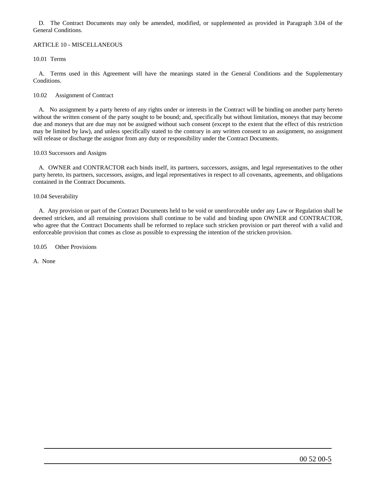D. The Contract Documents may only be amended, modified, or supplemented as provided in Paragraph 3.04 of the General Conditions.

### ARTICLE 10 - MISCELLANEOUS

10.01 Terms

A. Terms used in this Agreement will have the meanings stated in the General Conditions and the Supplementary Conditions.

#### 10.02 Assignment of Contract

A. No assignment by a party hereto of any rights under or interests in the Contract will be binding on another party hereto without the written consent of the party sought to be bound; and, specifically but without limitation, moneys that may become due and moneys that are due may not be assigned without such consent (except to the extent that the effect of this restriction may be limited by law), and unless specifically stated to the contrary in any written consent to an assignment, no assignment will release or discharge the assignor from any duty or responsibility under the Contract Documents.

#### 10.03 Successors and Assigns

A. OWNER and CONTRACTOR each binds itself, its partners, successors, assigns, and legal representatives to the other party hereto, its partners, successors, assigns, and legal representatives in respect to all covenants, agreements, and obligations contained in the Contract Documents.

#### 10.04 Severability

A. Any provision or part of the Contract Documents held to be void or unenforceable under any Law or Regulation shall be deemed stricken, and all remaining provisions shall continue to be valid and binding upon OWNER and CONTRACTOR, who agree that the Contract Documents shall be reformed to replace such stricken provision or part thereof with a valid and enforceable provision that comes as close as possible to expressing the intention of the stricken provision.

10.05 Other Provisions

A. None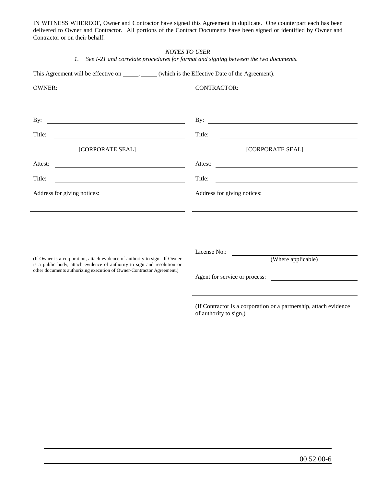IN WITNESS WHEREOF, Owner and Contractor have signed this Agreement in duplicate. One counterpart each has been delivered to Owner and Contractor. All portions of the Contract Documents have been signed or identified by Owner and Contractor or on their behalf.

| <b>NOTES TO USER</b><br>See I-21 and correlate procedures for format and signing between the two documents.<br>$\mathcal{I}$ .                    |                                                               |  |  |  |
|---------------------------------------------------------------------------------------------------------------------------------------------------|---------------------------------------------------------------|--|--|--|
| This Agreement will be effective on ______, ______ (which is the Effective Date of the Agreement).                                                |                                                               |  |  |  |
| <b>OWNER:</b>                                                                                                                                     | <b>CONTRACTOR:</b>                                            |  |  |  |
| By:                                                                                                                                               | By: $\qquad \qquad$                                           |  |  |  |
| Title:                                                                                                                                            | Title:<br><u> 1989 - Johann Barbara, martxa alemaniar arg</u> |  |  |  |
| [CORPORATE SEAL]                                                                                                                                  | [CORPORATE SEAL]                                              |  |  |  |
| Attest:                                                                                                                                           | <u> 1989 - Johann Barbara, martxa alemaniar a</u><br>Attest:  |  |  |  |
| Title:<br><u> 1989 - Johann Stoff, deutscher Stoff, der Stoff, der Stoff, der Stoff, der Stoff, der Stoff, der Stoff, der S</u>                   | Title:<br><u> 1989 - Andrea Station Barbara (b. 1989)</u>     |  |  |  |
| Address for giving notices:                                                                                                                       | Address for giving notices:                                   |  |  |  |
|                                                                                                                                                   |                                                               |  |  |  |
|                                                                                                                                                   |                                                               |  |  |  |
| (If Owner is a corporation, attach evidence of authority to sign. If Owner                                                                        | License No.:<br>(Where applicable)                            |  |  |  |
| is a public body, attach evidence of authority to sign and resolution or<br>other documents authorizing execution of Owner-Contractor Agreement.) | Agent for service or process:                                 |  |  |  |
|                                                                                                                                                   |                                                               |  |  |  |

(If Contractor is a corporation or a partnership, attach evidence of authority to sign.)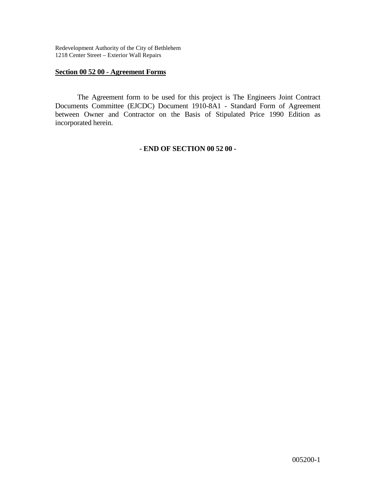### **Section 00 52 00 - Agreement Forms**

The Agreement form to be used for this project is The Engineers Joint Contract Documents Committee (EJCDC) Document 1910-8A1 - Standard Form of Agreement between Owner and Contractor on the Basis of Stipulated Price 1990 Edition as incorporated herein.

### **- END OF SECTION 00 52 00 -**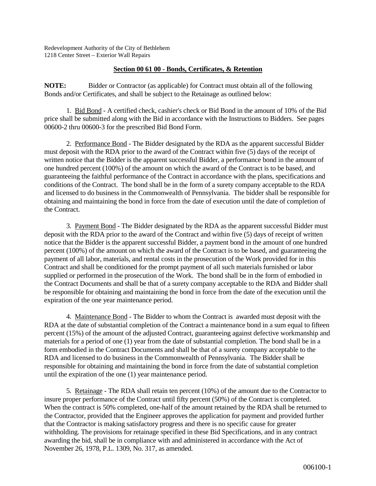### **Section 00 61 00 - Bonds, Certificates, & Retention**

**NOTE:** Bidder or Contractor (as applicable) for Contract must obtain all of the following Bonds and/or Certificates, and shall be subject to the Retainage as outlined below:

1. Bid Bond - A certified check, cashier's check or Bid Bond in the amount of 10% of the Bid price shall be submitted along with the Bid in accordance with the Instructions to Bidders. See pages 00600-2 thru 00600-3 for the prescribed Bid Bond Form.

2. Performance Bond - The Bidder designated by the RDA as the apparent successful Bidder must deposit with the RDA prior to the award of the Contract within five (5) days of the receipt of written notice that the Bidder is the apparent successful Bidder, a performance bond in the amount of one hundred percent (100%) of the amount on which the award of the Contract is to be based, and guaranteeing the faithful performance of the Contract in accordance with the plans, specifications and conditions of the Contract. The bond shall be in the form of a surety company acceptable to the RDA and licensed to do business in the Commonwealth of Pennsylvania. The bidder shall be responsible for obtaining and maintaining the bond in force from the date of execution until the date of completion of the Contract.

3. Payment Bond - The Bidder designated by the RDA as the apparent successful Bidder must deposit with the RDA prior to the award of the Contract and within five (5) days of receipt of written notice that the Bidder is the apparent successful Bidder, a payment bond in the amount of one hundred percent (100%) of the amount on which the award of the Contract is to be based, and guaranteeing the payment of all labor, materials, and rental costs in the prosecution of the Work provided for in this Contract and shall be conditioned for the prompt payment of all such materials furnished or labor supplied or performed in the prosecution of the Work. The bond shall be in the form of embodied in the Contract Documents and shall be that of a surety company acceptable to the RDA and Bidder shall be responsible for obtaining and maintaining the bond in force from the date of the execution until the expiration of the one year maintenance period.

4. Maintenance Bond - The Bidder to whom the Contract is awarded must deposit with the RDA at the date of substantial completion of the Contract a maintenance bond in a sum equal to fifteen percent (15%) of the amount of the adjusted Contract, guaranteeing against defective workmanship and materials for a period of one (1) year from the date of substantial completion. The bond shall be in a form embodied in the Contract Documents and shall be that of a surety company acceptable to the RDA and licensed to do business in the Commonwealth of Pennsylvania. The Bidder shall be responsible for obtaining and maintaining the bond in force from the date of substantial completion until the expiration of the one (1) year maintenance period.

5. Retainage - The RDA shall retain ten percent (10%) of the amount due to the Contractor to insure proper performance of the Contract until fifty percent (50%) of the Contract is completed. When the contract is 50% completed, one-half of the amount retained by the RDA shall be returned to the Contractor, provided that the Engineer approves the application for payment and provided further that the Contractor is making satisfactory progress and there is no specific cause for greater withholding. The provisions for retainage specified in these Bid Specifications, and in any contract awarding the bid, shall be in compliance with and administered in accordance with the Act of November 26, 1978, P.L. 1309, No. 317, as amended.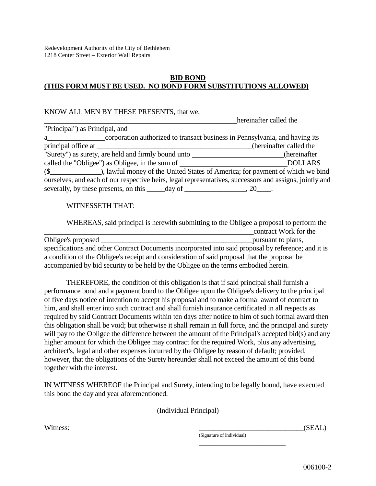# **BID BOND (THIS FORM MUST BE USED. NO BOND FORM SUBSTITUTIONS ALLOWED)**

# KNOW ALL MEN BY THESE PRESENTS, that we,

| "Principal") as Principal, and                                                                          |                         |
|---------------------------------------------------------------------------------------------------------|-------------------------|
| a corporation authorized to transact business in Pennsylvania, and having its                           |                         |
|                                                                                                         | (hereinafter called the |
| "Surety") as surety, are held and firmly bound unto                                                     | (hereinafter)           |
| called the "Obligee") as Obligee, in the sum of                                                         | <b>DOLLARS</b>          |
|                                                                                                         |                         |
| ourselves, and each of our respective heirs, legal representatives, successors and assigns, jointly and |                         |
| severally, by these presents, on this _______ day of ___________________, 20_____                       |                         |

hereinafter called the

# WITNESSETH THAT:

|                                                                                                     | WHEREAS, said principal is herewith submitting to the Obligee a proposal to perform the |
|-----------------------------------------------------------------------------------------------------|-----------------------------------------------------------------------------------------|
|                                                                                                     | contract Work for the                                                                   |
| Obligee's proposed                                                                                  | pursuant to plans,                                                                      |
| specifications and other Contract Documents incorporated into said proposal by reference; and it is |                                                                                         |
| a condition of the Obligee's receipt and consideration of said proposal that the proposal be        |                                                                                         |
| accompanied by bid security to be held by the Obligee on the terms embodied herein.                 |                                                                                         |

THEREFORE, the condition of this obligation is that if said principal shall furnish a performance bond and a payment bond to the Obligee upon the Obligee's delivery to the principal of five days notice of intention to accept his proposal and to make a formal award of contract to him, and shall enter into such contract and shall furnish insurance certificated in all respects as required by said Contract Documents within ten days after notice to him of such formal award then this obligation shall be void; but otherwise it shall remain in full force, and the principal and surety will pay to the Obligee the difference between the amount of the Principal's accepted bid(s) and any higher amount for which the Obligee may contract for the required Work, plus any advertising, architect's, legal and other expenses incurred by the Obligee by reason of default; provided, however, that the obligations of the Surety hereunder shall not exceed the amount of this bond together with the interest.

IN WITNESS WHEREOF the Principal and Surety, intending to be legally bound, have executed this bond the day and year aforementioned.

(Individual Principal)

 $W$ itness:  $\overline{\text{(Signature of Individual)}}$ 

\_\_\_\_\_\_\_\_\_\_\_\_\_\_\_\_\_\_\_\_\_\_\_\_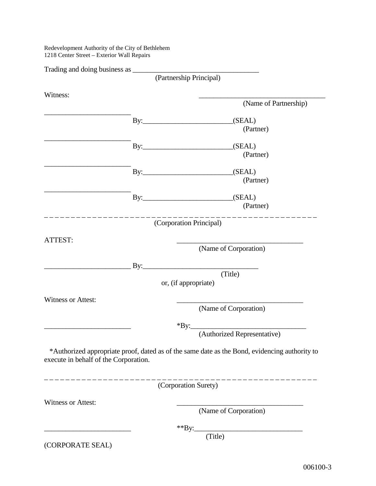Trading and doing business as

| Traumg and doing business as _______  | (Partnership Principal)                                                                       |
|---------------------------------------|-----------------------------------------------------------------------------------------------|
| Witness:                              |                                                                                               |
|                                       | (Name of Partnership)                                                                         |
|                                       | By: (SEAL)<br>(Partner)                                                                       |
|                                       | By: (SEAL)<br>(Partner)                                                                       |
|                                       | (Partner)                                                                                     |
|                                       | By: (SEAL)<br>(Partner)                                                                       |
|                                       | . _ _ _ _ _ _ _ _ _ _ _ _ _ _<br>(Corporation Principal)                                      |
| ATTEST:                               | (Name of Corporation)                                                                         |
|                                       | $\mathbf{By:}\_\_\_\_\_\_\_\_$                                                                |
|                                       | (Title)<br>or, (if appropriate)                                                               |
| <b>Witness or Attest:</b>             | (Name of Corporation)                                                                         |
|                                       | *By: (Authorized Representative)                                                              |
| execute in behalf of the Corporation. | *Authorized appropriate proof, dated as of the same date as the Bond, evidencing authority to |
|                                       | _________<br>-------------<br>(Corporation Surety)                                            |
| <b>Witness or Attest:</b>             | (Name of Corporation)                                                                         |
|                                       |                                                                                               |
| (CORPORATE SEAL)                      | (Title)                                                                                       |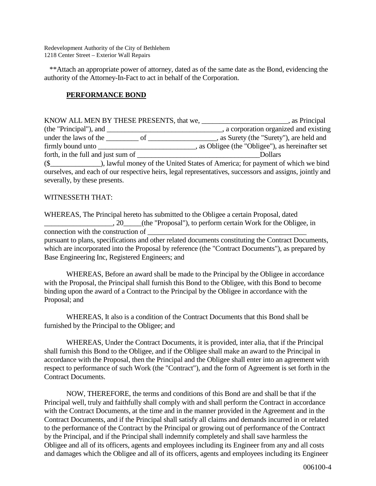\*\*Attach an appropriate power of attorney, dated as of the same date as the Bond, evidencing the authority of the Attorney-In-Fact to act in behalf of the Corporation.

# **PERFORMANCE BOND**

| KNOW ALL MEN BY THESE PRESENTS, that we,                                                                | s Principal                                      |
|---------------------------------------------------------------------------------------------------------|--------------------------------------------------|
| (the "Principal"), and                                                                                  | , a corporation organized and existing           |
| under the laws of the same of                                                                           | , as Surety (the "Surety"), are held and         |
| firmly bound unto                                                                                       | s as Obligee (the "Obligee"), as hereinafter set |
| forth, in the full and just sum of                                                                      | <b>Dollars</b>                                   |
|                                                                                                         |                                                  |
| ourselves, and each of our respective heirs, legal representatives, successors and assigns, jointly and |                                                  |
| severally, by these presents.                                                                           |                                                  |

# WITNESSETH THAT:

WHEREAS, The Principal hereto has submitted to the Obligee a certain Proposal, dated \_\_\_\_\_\_\_\_\_\_\_\_\_\_\_\_\_\_\_, 20\_\_\_\_\_(the "Proposal"), to perform certain Work for the Obligee, in connection with the construction of pursuant to plans, specifications and other related documents constituting the Contract Documents, which are incorporated into the Proposal by reference (the "Contract Documents"), as prepared by Base Engineering Inc, Registered Engineers; and

WHEREAS, Before an award shall be made to the Principal by the Obligee in accordance with the Proposal, the Principal shall furnish this Bond to the Obligee, with this Bond to become binding upon the award of a Contract to the Principal by the Obligee in accordance with the Proposal; and

WHEREAS, It also is a condition of the Contract Documents that this Bond shall be furnished by the Principal to the Obligee; and

WHEREAS, Under the Contract Documents, it is provided, inter alia, that if the Principal shall furnish this Bond to the Obligee, and if the Obligee shall make an award to the Principal in accordance with the Proposal, then the Principal and the Obligee shall enter into an agreement with respect to performance of such Work (the "Contract"), and the form of Agreement is set forth in the Contract Documents.

NOW, THEREFORE, the terms and conditions of this Bond are and shall be that if the Principal well, truly and faithfully shall comply with and shall perform the Contract in accordance with the Contract Documents, at the time and in the manner provided in the Agreement and in the Contract Documents, and if the Principal shall satisfy all claims and demands incurred in or related to the performance of the Contract by the Principal or growing out of performance of the Contract by the Principal, and if the Principal shall indemnify completely and shall save harmless the Obligee and all of its officers, agents and employees including its Engineer from any and all costs and damages which the Obligee and all of its officers, agents and employees including its Engineer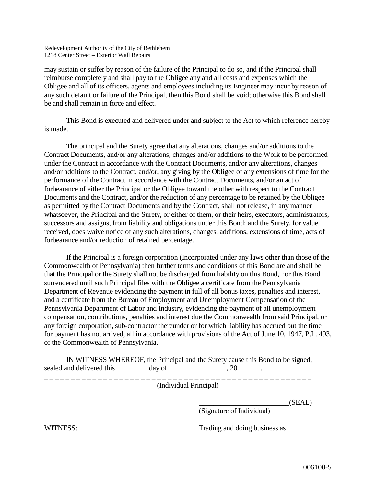may sustain or suffer by reason of the failure of the Principal to do so, and if the Principal shall reimburse completely and shall pay to the Obligee any and all costs and expenses which the Obligee and all of its officers, agents and employees including its Engineer may incur by reason of any such default or failure of the Principal, then this Bond shall be void; otherwise this Bond shall be and shall remain in force and effect.

This Bond is executed and delivered under and subject to the Act to which reference hereby is made.

The principal and the Surety agree that any alterations, changes and/or additions to the Contract Documents, and/or any alterations, changes and/or additions to the Work to be performed under the Contract in accordance with the Contract Documents, and/or any alterations, changes and/or additions to the Contract, and/or, any giving by the Obligee of any extensions of time for the performance of the Contract in accordance with the Contract Documents, and/or an act of forbearance of either the Principal or the Obligee toward the other with respect to the Contract Documents and the Contract, and/or the reduction of any percentage to be retained by the Obligee as permitted by the Contract Documents and by the Contract, shall not release, in any manner whatsoever, the Principal and the Surety, or either of them, or their heirs, executors, administrators, successors and assigns, from liability and obligations under this Bond; and the Surety, for value received, does waive notice of any such alterations, changes, additions, extensions of time, acts of forbearance and/or reduction of retained percentage.

If the Principal is a foreign corporation (Incorporated under any laws other than those of the Commonwealth of Pennsylvania) then further terms and conditions of this Bond are and shall be that the Principal or the Surety shall not be discharged from liability on this Bond, nor this Bond surrendered until such Principal files with the Obligee a certificate from the Pennsylvania Department of Revenue evidencing the payment in full of all bonus taxes, penalties and interest, and a certificate from the Bureau of Employment and Unemployment Compensation of the Pennsylvania Department of Labor and Industry, evidencing the payment of all unemployment compensation, contributions, penalties and interest due the Commonwealth from said Principal, or any foreign corporation, sub-contractor thereunder or for which liability has accrued but the time for payment has not arrived, all in accordance with provisions of the Act of June 10, 1947, P.L. 493, of the Commonwealth of Pennsylvania.

|                           |                        | IN WITNESS WHEREOF, the Principal and the Surety cause this Bond to be signed, |
|---------------------------|------------------------|--------------------------------------------------------------------------------|
| sealed and delivered this | $day of \_\_\_\_$ , 20 |                                                                                |
|                           |                        |                                                                                |

(Individual Principal)

\_\_\_\_\_\_\_\_\_\_\_\_\_\_\_\_\_\_\_\_\_\_\_\_\_\_\_ \_\_\_\_\_\_\_\_\_\_\_\_\_\_\_\_\_\_\_\_\_\_\_\_\_\_\_\_\_\_\_\_\_\_\_\_

 $(SEAL)$ 

(Signature of Individual)

WITNESS: Trading and doing business as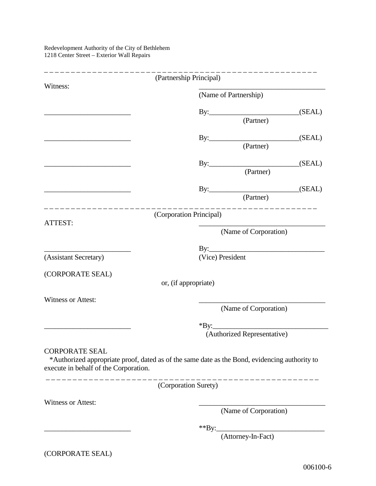|                                                                                                                                                                                                                                      | (Partnership Principal)                                                                       |
|--------------------------------------------------------------------------------------------------------------------------------------------------------------------------------------------------------------------------------------|-----------------------------------------------------------------------------------------------|
| Witness:                                                                                                                                                                                                                             | (Name of Partnership)                                                                         |
|                                                                                                                                                                                                                                      | (SEAL)                                                                                        |
|                                                                                                                                                                                                                                      | (Partner)                                                                                     |
|                                                                                                                                                                                                                                      | (SEAL)<br>(Partner)                                                                           |
| <u> 1980 - Johann John Stone, markin fan it ferstjer fan it ferstjer fan it ferstjer fan it ferstjer fan it ferstjer fan it ferstjer fan it ferstjer fan it ferstjer fan it ferstjer fan it ferstjer fan it ferstjer fan it fers</u> | (SEAL)<br>(Partner)                                                                           |
|                                                                                                                                                                                                                                      |                                                                                               |
| -----------                                                                                                                                                                                                                          | (Partner)<br>-----                                                                            |
| ATTEST:                                                                                                                                                                                                                              | (Corporation Principal)                                                                       |
|                                                                                                                                                                                                                                      | (Name of Corporation)                                                                         |
| (Assistant Secretary)                                                                                                                                                                                                                | (Vice) President                                                                              |
| (CORPORATE SEAL)                                                                                                                                                                                                                     | or, (if appropriate)                                                                          |
| <b>Witness or Attest:</b>                                                                                                                                                                                                            | (Name of Corporation)                                                                         |
|                                                                                                                                                                                                                                      |                                                                                               |
|                                                                                                                                                                                                                                      | $*$ By:<br>(Authorized Representative)                                                        |
| <b>CORPORATE SEAL</b><br>execute in behalf of the Corporation.                                                                                                                                                                       | *Authorized appropriate proof, dated as of the same date as the Bond, evidencing authority to |
|                                                                                                                                                                                                                                      | ---------------------<br>(Corporation Surety)                                                 |
| <b>Witness or Attest:</b>                                                                                                                                                                                                            | (Name of Corporation)                                                                         |
|                                                                                                                                                                                                                                      | (Attorney-In-Fact)                                                                            |

(CORPORATE SEAL)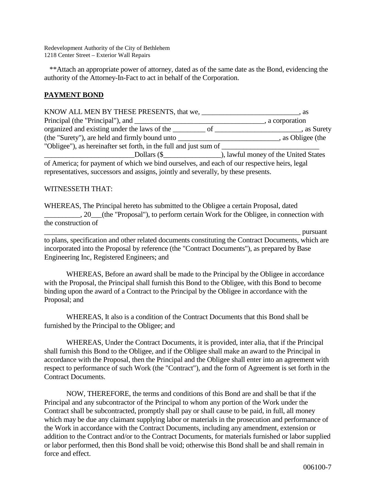\*\*Attach an appropriate power of attorney, dated as of the same date as the Bond, evidencing the authority of the Attorney-In-Fact to act in behalf of the Corporation.

# **PAYMENT BOND**

KNOW ALL MEN BY THESE PRESENTS, that we, \_\_\_\_\_\_\_\_\_\_\_\_\_\_\_\_\_\_\_\_\_\_\_\_\_, as Principal (the "Principal"), and \_\_\_\_\_\_\_\_\_\_\_\_\_\_\_\_\_\_\_\_\_\_\_\_\_\_\_\_\_\_\_\_\_\_\_\_, a corporation organized and existing under the laws of the \_\_\_\_\_\_\_\_\_\_ of \_\_\_\_\_\_\_\_\_\_\_\_\_\_\_\_\_\_\_\_\_\_\_, as Surety (the "Surety"), are held and firmly bound unto \_\_\_\_\_\_\_\_\_\_\_\_\_\_\_\_\_\_\_\_\_\_\_\_\_\_\_\_, as Obligee (the "Obligee"), as hereinafter set forth, in the full and just sum of \_\_\_\_\_\_\_\_\_\_\_\_\_\_\_\_\_\_\_\_\_\_\_\_\_Dollars (\$\_\_\_\_\_\_\_\_\_\_\_\_\_\_\_\_), lawful money of the United States of America; for payment of which we bind ourselves, and each of our respective heirs, legal representatives, successors and assigns, jointly and severally, by these presents.

# WITNESSETH THAT:

WHEREAS, The Principal hereto has submitted to the Obligee a certain Proposal, dated  $\qquad \qquad .$ , 20 (the "Proposal"), to perform certain Work for the Obligee, in connection with the construction of

\_\_\_\_\_\_\_\_\_\_\_\_\_\_\_\_\_\_\_\_\_\_\_\_\_\_\_\_\_\_\_\_\_\_\_\_\_\_\_\_\_\_\_\_\_\_\_\_\_\_\_\_\_\_\_\_\_\_\_\_\_\_\_\_\_\_\_\_\_\_\_ pursuant to plans, specification and other related documents constituting the Contract Documents, which are incorporated into the Proposal by reference (the "Contract Documents"), as prepared by Base Engineering Inc, Registered Engineers; and

WHEREAS, Before an award shall be made to the Principal by the Obligee in accordance with the Proposal, the Principal shall furnish this Bond to the Obligee, with this Bond to become binding upon the award of a Contract to the Principal by the Obligee in accordance with the Proposal; and

WHEREAS, It also is a condition of the Contract Documents that this Bond shall be furnished by the Principal to the Obligee; and

WHEREAS, Under the Contract Documents, it is provided, inter alia, that if the Principal shall furnish this Bond to the Obligee, and if the Obligee shall make an award to the Principal in accordance with the Proposal, then the Principal and the Obligee shall enter into an agreement with respect to performance of such Work (the "Contract"), and the form of Agreement is set forth in the Contract Documents.

NOW, THEREFORE, the terms and conditions of this Bond are and shall be that if the Principal and any subcontractor of the Principal to whom any portion of the Work under the Contract shall be subcontracted, promptly shall pay or shall cause to be paid, in full, all money which may be due any claimant supplying labor or materials in the prosecution and performance of the Work in accordance with the Contract Documents, including any amendment, extension or addition to the Contract and/or to the Contract Documents, for materials furnished or labor supplied or labor performed, then this Bond shall be void; otherwise this Bond shall be and shall remain in force and effect.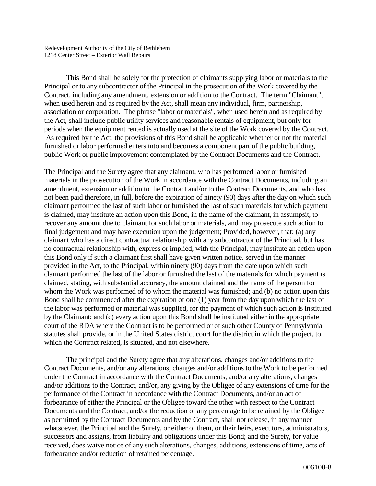This Bond shall be solely for the protection of claimants supplying labor or materials to the Principal or to any subcontractor of the Principal in the prosecution of the Work covered by the Contract, including any amendment, extension or addition to the Contract. The term "Claimant", when used herein and as required by the Act, shall mean any individual, firm, partnership, association or corporation. The phrase "labor or materials", when used herein and as required by the Act, shall include public utility services and reasonable rentals of equipment, but only for periods when the equipment rented is actually used at the site of the Work covered by the Contract. As required by the Act, the provisions of this Bond shall be applicable whether or not the material furnished or labor performed enters into and becomes a component part of the public building, public Work or public improvement contemplated by the Contract Documents and the Contract.

The Principal and the Surety agree that any claimant, who has performed labor or furnished materials in the prosecution of the Work in accordance with the Contract Documents, including an amendment, extension or addition to the Contract and/or to the Contract Documents, and who has not been paid therefore, in full, before the expiration of ninety (90) days after the day on which such claimant performed the last of such labor or furnished the last of such materials for which payment is claimed, may institute an action upon this Bond, in the name of the claimant, in assumpsit, to recover any amount due to claimant for such labor or materials, and may prosecute such action to final judgement and may have execution upon the judgement; Provided, however, that: (a) any claimant who has a direct contractual relationship with any subcontractor of the Principal, but has no contractual relationship with, express or implied, with the Principal, may institute an action upon this Bond only if such a claimant first shall have given written notice, served in the manner provided in the Act, to the Principal, within ninety (90) days from the date upon which such claimant performed the last of the labor or furnished the last of the materials for which payment is claimed, stating, with substantial accuracy, the amount claimed and the name of the person for whom the Work was performed of to whom the material was furnished; and (b) no action upon this Bond shall be commenced after the expiration of one (1) year from the day upon which the last of the labor was performed or material was supplied, for the payment of which such action is instituted by the Claimant; and (c) every action upon this Bond shall be instituted either in the appropriate court of the RDA where the Contract is to be performed or of such other County of Pennsylvania statutes shall provide, or in the United States district court for the district in which the project, to which the Contract related, is situated, and not elsewhere.

The principal and the Surety agree that any alterations, changes and/or additions to the Contract Documents, and/or any alterations, changes and/or additions to the Work to be performed under the Contract in accordance with the Contract Documents, and/or any alterations, changes and/or additions to the Contract, and/or, any giving by the Obligee of any extensions of time for the performance of the Contract in accordance with the Contract Documents, and/or an act of forbearance of either the Principal or the Obligee toward the other with respect to the Contract Documents and the Contract, and/or the reduction of any percentage to be retained by the Obligee as permitted by the Contract Documents and by the Contract, shall not release, in any manner whatsoever, the Principal and the Surety, or either of them, or their heirs, executors, administrators, successors and assigns, from liability and obligations under this Bond; and the Surety, for value received, does waive notice of any such alterations, changes, additions, extensions of time, acts of forbearance and/or reduction of retained percentage.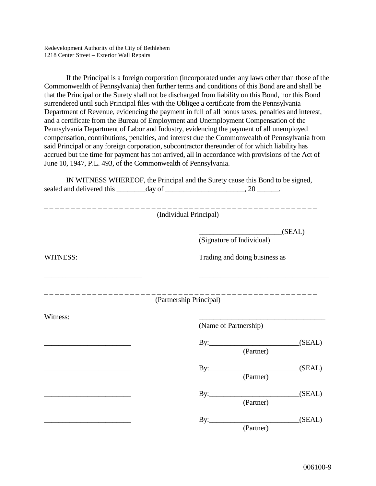If the Principal is a foreign corporation (incorporated under any laws other than those of the Commonwealth of Pennsylvania) then further terms and conditions of this Bond are and shall be that the Principal or the Surety shall not be discharged from liability on this Bond, nor this Bond surrendered until such Principal files with the Obligee a certificate from the Pennsylvania Department of Revenue, evidencing the payment in full of all bonus taxes, penalties and interest, and a certificate from the Bureau of Employment and Unemployment Compensation of the Pennsylvania Department of Labor and Industry, evidencing the payment of all unemployed compensation, contributions, penalties, and interest due the Commonwealth of Pennsylvania from said Principal or any foreign corporation, subcontractor thereunder of for which liability has accrued but the time for payment has not arrived, all in accordance with provisions of the Act of June 10, 1947, P.L. 493, of the Commonwealth of Pennsylvania.

IN WITNESS WHEREOF, the Principal and the Surety cause this Bond to be signed, sealed and delivered this \_\_\_\_\_\_\_\_ day of \_\_\_\_\_\_\_\_\_\_\_\_\_\_\_\_\_\_\_\_\_, 20 \_\_\_\_\_\_\_.

|          | (Individual Principal)        |                                                                                                              |
|----------|-------------------------------|--------------------------------------------------------------------------------------------------------------|
|          |                               | (SEAL)                                                                                                       |
|          | (Signature of Individual)     |                                                                                                              |
| WITNESS: | Trading and doing business as |                                                                                                              |
|          | (Partnership Principal)       | the control of the control of the control of the control of the control of the control of<br>--------------- |
|          |                               |                                                                                                              |
| Witness: | (Name of Partnership)         |                                                                                                              |
|          |                               | (SEAL)<br>(Partner)                                                                                          |
|          |                               | (SEAL)<br>(Partner)                                                                                          |
|          | $\mathbf{By:}\_\_\_\_\_\_\_$  | (SEAL)<br>(Partner)                                                                                          |
|          | By: $\qquad \qquad$           | (SEAL)<br>(Partner)                                                                                          |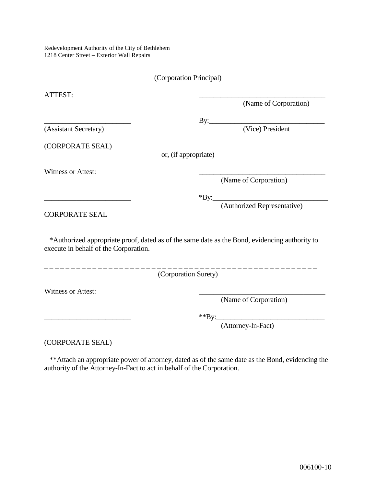| (Corporation Principal) |  |  |
|-------------------------|--|--|
|-------------------------|--|--|

ATTEST:

(Name of Corporation)

\_\_\_\_\_\_\_\_\_\_\_\_\_\_\_\_\_\_\_\_\_\_\_\_ By:\_\_\_\_\_\_\_\_\_\_\_\_\_\_\_\_\_\_\_\_\_\_\_\_\_\_\_\_\_\_\_\_

(Assistant Secretary) (Vice) President

(CORPORATE SEAL)

or, (if appropriate)

Witness or Attest:

(Name of Corporation)

\_\_\_\_\_\_\_\_\_\_\_\_\_\_\_\_\_\_\_\_\_\_\_\_ \*By:\_\_\_\_\_\_\_\_\_\_\_\_\_\_\_\_\_\_\_\_\_\_\_\_\_\_\_\_\_\_\_\_

(Authorized Representative)

CORPORATE SEAL

 \*Authorized appropriate proof, dated as of the same date as the Bond, evidencing authority to execute in behalf of the Corporation.

\_ \_ \_ \_ \_ \_ \_ \_ \_ \_ \_ \_ \_ \_ \_ \_ \_ \_ \_ \_ \_ \_ \_ \_ \_ \_ \_ \_ \_ \_ \_ \_ \_ \_ \_ \_ \_ \_ \_ \_ \_ \_ \_ \_ \_ \_ \_ \_ \_ \_ \_ (Corporation Surety)

Witness or Attest:

(Name of Corporation)

\_\_\_\_\_\_\_\_\_\_\_\_\_\_\_\_\_\_\_\_\_\_\_\_ \*\*By:\_\_\_\_\_\_\_\_\_\_\_\_\_\_\_\_\_\_\_\_\_\_\_\_\_\_\_\_\_\_

(Attorney-In-Fact)

(CORPORATE SEAL)

 \*\*Attach an appropriate power of attorney, dated as of the same date as the Bond, evidencing the authority of the Attorney-In-Fact to act in behalf of the Corporation.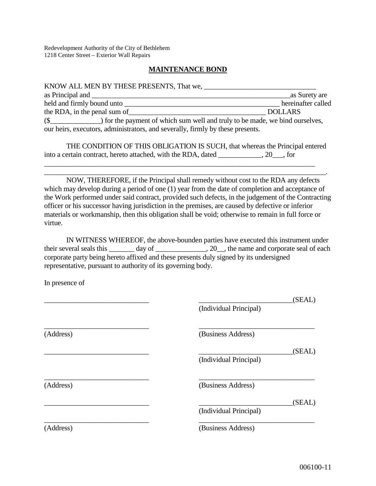# **MAINTENANCE BOND**

| KNOW ALL MEN BY THESE PRESENTS, That we,                                                                     |                    |
|--------------------------------------------------------------------------------------------------------------|--------------------|
|                                                                                                              | as Surety are      |
| held and firmly bound unto                                                                                   | hereinafter called |
| the RDA, in the penal sum of                                                                                 | <b>DOLLARS</b>     |
| $\left( \mathcal{S} \right)$<br>) for the payment of which sum well and truly to be made, we bind ourselves, |                    |

our heirs, executors, administrators, and severally, firmly by these presents.

| THE CONDITION OF THIS OBLIGATION IS SUCH, that whereas the Principal entered |           |
|------------------------------------------------------------------------------|-----------|
| into a certain contract, hereto attached, with the RDA, dated                | $.20$ for |

\_\_\_\_\_\_\_\_\_\_\_\_\_\_\_\_\_\_\_\_\_\_\_\_\_\_\_\_\_\_\_\_\_\_\_\_\_\_\_\_\_\_\_\_\_\_\_\_\_\_\_\_\_\_\_\_\_\_\_\_\_\_\_\_\_\_\_\_\_\_\_\_\_\_\_ \_\_\_\_\_\_\_\_\_\_\_\_\_\_\_\_\_\_\_\_\_\_\_\_\_\_\_\_\_\_\_\_\_\_\_\_\_\_\_\_\_\_\_\_\_\_\_\_\_\_\_\_\_\_\_\_\_\_\_\_\_\_\_\_\_\_\_\_\_\_\_\_\_\_\_\_\_\_.

NOW, THEREFORE, if the Principal shall remedy without cost to the RDA any defects which may develop during a period of one (1) year from the date of completion and acceptance of the Work performed under said contract, provided such defects, in the judgement of the Contracting officer or his successor having jurisdiction in the premises, are caused by defective or inferior materials or workmanship, then this obligation shall be void; otherwise to remain in full force or virtue.

IN WITNESS WHEREOF, the above-bounden parties have executed this instrument under their several seals this \_\_\_\_\_\_\_ day of \_\_\_\_\_\_\_\_\_\_\_\_, 20\_\_, the name and corporate seal of each corporate party being hereto affixed and these presents duly signed by its undersigned representative, pursuant to authority of its governing body.

In presence of

|           |                        | (SEAL) |
|-----------|------------------------|--------|
|           | (Individual Principal) |        |
| (Address) | (Business Address)     |        |
|           |                        | (SEAL) |
|           | (Individual Principal) |        |
| (Address) | (Business Address)     |        |
|           |                        | (SEAL) |
|           | (Individual Principal) |        |
| (Address) | (Business Address)     |        |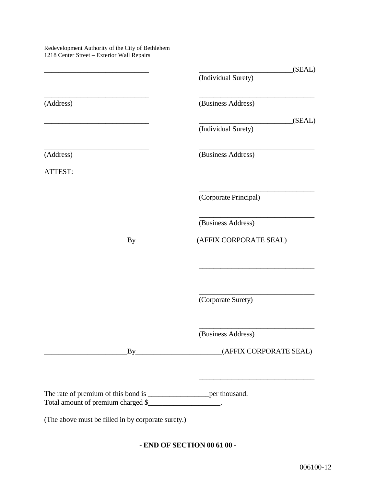|                                    | (SEAL)                        |
|------------------------------------|-------------------------------|
|                                    | (Individual Surety)           |
| (Address)                          | (Business Address)            |
|                                    | (SEAL)<br>(Individual Surety) |
| (Address)                          | (Business Address)            |
| <b>ATTEST:</b>                     |                               |
|                                    | (Corporate Principal)         |
|                                    | (Business Address)            |
| By                                 | (AFFIX CORPORATE SEAL)        |
|                                    |                               |
|                                    | (Corporate Surety)            |
|                                    | (Business Address)            |
|                                    | By By AFFIX CORPORATE SEAL)   |
|                                    |                               |
| Total amount of premium charged \$ |                               |

**- END OF SECTION 00 61 00 -**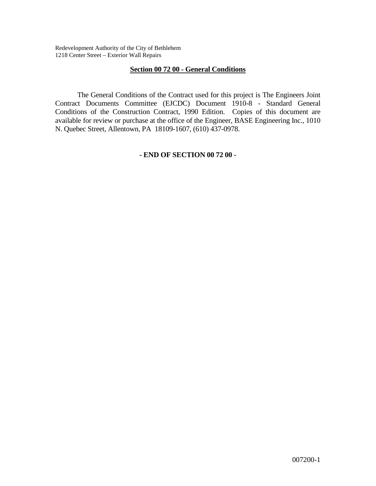# **Section 00 72 00 - General Conditions**

The General Conditions of the Contract used for this project is The Engineers Joint Contract Documents Committee (EJCDC) Document 1910-8 - Standard General Conditions of the Construction Contract, 1990 Edition. Copies of this document are available for review or purchase at the office of the Engineer, BASE Engineering Inc., 1010 N. Quebec Street, Allentown, PA 18109-1607, (610) 437-0978.

# **- END OF SECTION 00 72 00 -**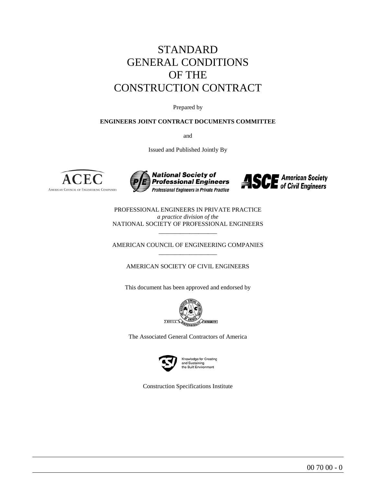# STANDARD GENERAL CONDITIONS OF THE CONSTRUCTION CONTRACT

Prepared by

# **ENGINEERS JOINT CONTRACT DOCUMENTS COMMITTEE**

and

Issued and Published Jointly By







PROFESSIONAL ENGINEERS IN PRIVATE PRACTICE *a practice division of the* NATIONAL SOCIETY OF PROFESSIONAL ENGINEERS

AMERICAN COUNCIL OF ENGINEERING COMPANIES \_\_\_\_\_\_\_\_\_\_\_\_\_\_\_\_\_\_\_

\_\_\_\_\_\_\_\_\_\_\_\_\_\_\_\_\_\_\_

# AMERICAN SOCIETY OF CIVIL ENGINEERS

This document has been approved and endorsed by



The Associated General Contractors of America



Construction Specifications Institute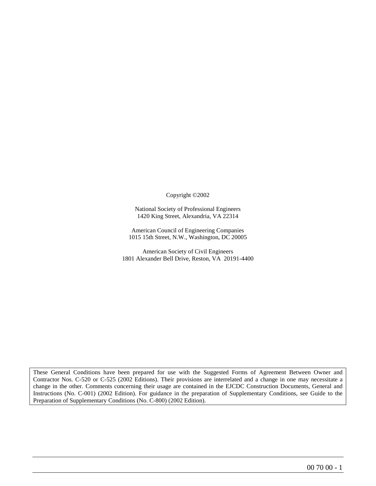Copyright ©2002

National Society of Professional Engineers 1420 King Street, Alexandria, VA 22314

American Council of Engineering Companies 1015 15th Street, N.W., Washington, DC 20005

American Society of Civil Engineers 1801 Alexander Bell Drive, Reston, VA 20191-4400

These General Conditions have been prepared for use with the Suggested Forms of Agreement Between Owner and Contractor Nos. C-520 or C-525 (2002 Editions). Their provisions are interrelated and a change in one may necessitate a change in the other. Comments concerning their usage are contained in the EJCDC Construction Documents, General and Instructions (No. C-001) (2002 Edition). For guidance in the preparation of Supplementary Conditions, see Guide to the Preparation of Supplementary Conditions (No. C-800) (2002 Edition).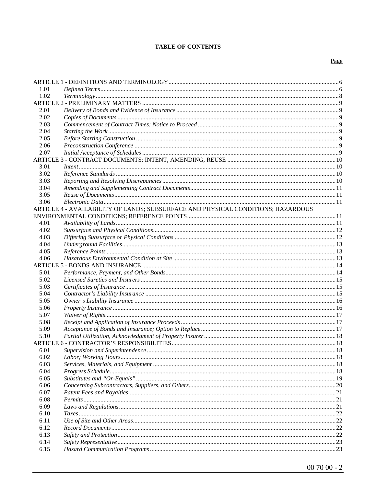# **TABLE OF CONTENTS**

| 1.01 |                                                                                  |  |
|------|----------------------------------------------------------------------------------|--|
| 1.02 |                                                                                  |  |
|      |                                                                                  |  |
| 2.01 |                                                                                  |  |
| 2.02 |                                                                                  |  |
| 2.03 |                                                                                  |  |
| 2.04 |                                                                                  |  |
| 2.05 |                                                                                  |  |
| 2.06 |                                                                                  |  |
| 2.07 |                                                                                  |  |
|      |                                                                                  |  |
| 3.01 |                                                                                  |  |
| 3.02 |                                                                                  |  |
| 3.03 |                                                                                  |  |
| 3.04 |                                                                                  |  |
| 3.05 |                                                                                  |  |
| 3.06 |                                                                                  |  |
|      | ARTICLE 4 - AVAILABILITY OF LANDS; SUBSURFACE AND PHYSICAL CONDITIONS; HAZARDOUS |  |
|      |                                                                                  |  |
| 4.01 |                                                                                  |  |
| 4.02 |                                                                                  |  |
| 4.03 |                                                                                  |  |
| 4.04 |                                                                                  |  |
| 4.05 |                                                                                  |  |
| 4.06 |                                                                                  |  |
|      |                                                                                  |  |
| 5.01 |                                                                                  |  |
| 5.02 |                                                                                  |  |
| 5.03 |                                                                                  |  |
| 5.04 |                                                                                  |  |
| 5.05 |                                                                                  |  |
| 5.06 |                                                                                  |  |
| 5.07 |                                                                                  |  |
| 5.08 |                                                                                  |  |
| 5.09 |                                                                                  |  |
| 5.10 |                                                                                  |  |
|      |                                                                                  |  |
| 6.01 |                                                                                  |  |
| 6.02 |                                                                                  |  |
| 6.03 |                                                                                  |  |
| 6.04 |                                                                                  |  |
| 6.05 |                                                                                  |  |
| 6.06 |                                                                                  |  |
| 6.07 |                                                                                  |  |
| 6.08 |                                                                                  |  |
| 6.09 |                                                                                  |  |
| 6.10 |                                                                                  |  |
| 6.11 |                                                                                  |  |
| 6.12 |                                                                                  |  |
| 6.13 |                                                                                  |  |
| 6.14 |                                                                                  |  |
| 6.15 |                                                                                  |  |
|      |                                                                                  |  |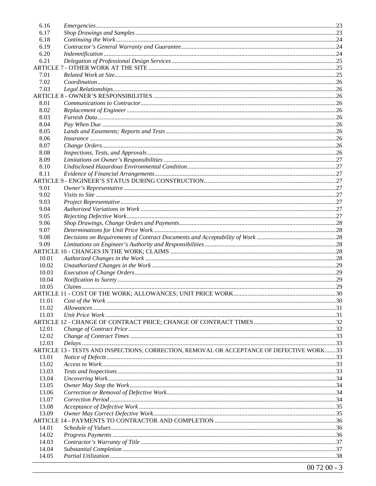| 6.16  |                                                                                           |  |
|-------|-------------------------------------------------------------------------------------------|--|
| 6.17  |                                                                                           |  |
| 6.18  |                                                                                           |  |
| 6.19  |                                                                                           |  |
| 6.20  |                                                                                           |  |
| 6.21  |                                                                                           |  |
|       |                                                                                           |  |
| 7.01  |                                                                                           |  |
| 7.02  |                                                                                           |  |
| 7.03  |                                                                                           |  |
|       |                                                                                           |  |
| 8.01  |                                                                                           |  |
| 8.02  |                                                                                           |  |
| 8.03  |                                                                                           |  |
| 8.04  |                                                                                           |  |
| 8.05  |                                                                                           |  |
| 8.06  |                                                                                           |  |
| 8.07  |                                                                                           |  |
| 8.08  |                                                                                           |  |
| 8.09  |                                                                                           |  |
| 8.10  |                                                                                           |  |
| 8.11  |                                                                                           |  |
|       |                                                                                           |  |
| 9.01  |                                                                                           |  |
| 9.02  |                                                                                           |  |
| 9.03  |                                                                                           |  |
| 9.04  |                                                                                           |  |
|       |                                                                                           |  |
| 9.05  |                                                                                           |  |
| 9.06  |                                                                                           |  |
| 9.07  |                                                                                           |  |
| 9.08  |                                                                                           |  |
| 9.09  |                                                                                           |  |
|       |                                                                                           |  |
| 10.01 |                                                                                           |  |
| 10.02 |                                                                                           |  |
| 10.03 |                                                                                           |  |
| 10.04 |                                                                                           |  |
| 10.05 |                                                                                           |  |
|       |                                                                                           |  |
| 11.01 |                                                                                           |  |
| 11.02 |                                                                                           |  |
| 11.03 |                                                                                           |  |
|       |                                                                                           |  |
| 12.01 |                                                                                           |  |
| 12.02 |                                                                                           |  |
| 12.03 |                                                                                           |  |
|       | ARTICLE 13 - TESTS AND INSPECTIONS; CORRECTION, REMOVAL OR ACCEPTANCE OF DEFECTIVE WORK33 |  |
| 13.01 |                                                                                           |  |
| 13.02 |                                                                                           |  |
| 13.03 |                                                                                           |  |
| 13.04 |                                                                                           |  |
| 13.05 |                                                                                           |  |
| 13.06 |                                                                                           |  |
| 13.07 |                                                                                           |  |
| 13.08 |                                                                                           |  |
| 13.09 |                                                                                           |  |
|       |                                                                                           |  |
| 14.01 |                                                                                           |  |
| 14.02 |                                                                                           |  |
| 14.03 |                                                                                           |  |
| 14.04 |                                                                                           |  |
| 14.05 |                                                                                           |  |
|       |                                                                                           |  |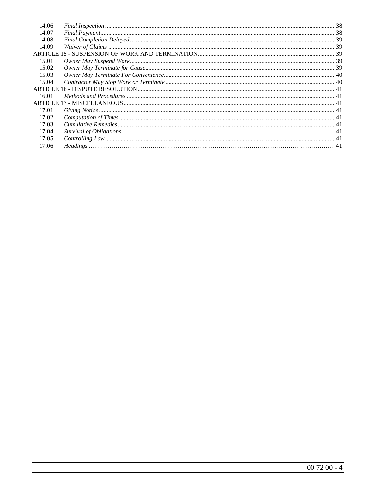| 14.06 |                                                                                                                                                                                                                                                                                                                                                                                                                                                                                                                                              |  |
|-------|----------------------------------------------------------------------------------------------------------------------------------------------------------------------------------------------------------------------------------------------------------------------------------------------------------------------------------------------------------------------------------------------------------------------------------------------------------------------------------------------------------------------------------------------|--|
| 14.07 | $Final\ Insection \, 38\, 38\, 508\, 1000\, 5000\, 5000\, 5000\, 5000\, 5000\, 5000\, 5000\, 5000\, 5000\, 5000\, 5000\, 5000\, 5000\, 5000\, 5000\, 5000\, 5000\, 5000\, 5000\, 5000\, 5000\, 5000\, 5000\, 5000\, 5000\, 5000\, 5000\, 5$                                                                                                                                                                                                                                                                                                  |  |
| 14.08 |                                                                                                                                                                                                                                                                                                                                                                                                                                                                                                                                              |  |
| 14.09 |                                                                                                                                                                                                                                                                                                                                                                                                                                                                                                                                              |  |
|       |                                                                                                                                                                                                                                                                                                                                                                                                                                                                                                                                              |  |
| 15.01 |                                                                                                                                                                                                                                                                                                                                                                                                                                                                                                                                              |  |
| 15.02 |                                                                                                                                                                                                                                                                                                                                                                                                                                                                                                                                              |  |
| 15.03 |                                                                                                                                                                                                                                                                                                                                                                                                                                                                                                                                              |  |
| 15.04 |                                                                                                                                                                                                                                                                                                                                                                                                                                                                                                                                              |  |
|       |                                                                                                                                                                                                                                                                                                                                                                                                                                                                                                                                              |  |
| 16.01 |                                                                                                                                                                                                                                                                                                                                                                                                                                                                                                                                              |  |
|       |                                                                                                                                                                                                                                                                                                                                                                                                                                                                                                                                              |  |
| 17.01 |                                                                                                                                                                                                                                                                                                                                                                                                                                                                                                                                              |  |
| 17.02 | $\label{eq:computation of Time} Computation of Times. \textit{} \textit{} \textit{} \textit{} \textit{} \textit{} \textit{} \textit{} \textit{} \textit{} \textit{} \textit{} \textit{} \textit{} \textit{} \textit{} \textit{} \textit{} \textit{} \textit{} \textit{} \textit{} \textit{} \textit{} \textit{} \textit{} \textit{} \textit{} \textit{} \textit{} \textit{} \textit{} \textit{} \textit{} \$                                                                                                                                 |  |
| 17.03 |                                                                                                                                                                                                                                                                                                                                                                                                                                                                                                                                              |  |
| 17.04 |                                                                                                                                                                                                                                                                                                                                                                                                                                                                                                                                              |  |
| 17.05 |                                                                                                                                                                                                                                                                                                                                                                                                                                                                                                                                              |  |
| 17.06 | $\begin{minipage}{0.4\linewidth} \textit{Curvival of Obligations} \textit{} \end{minipage} \begin{minipage}{0.49\linewidth} \textit{Autvoling Law} \end{minipage} \begin{minipage}{0.49\linewidth} \textit{Autvoling Law} \end{minipage} \begin{minipage}{0.49\linewidth} \textit{Autvoling Law} \end{minipage} \begin{minipage}{0.49\linewidth} \textit{Autvoling law} \end{minipage} \begin{minipage}{0.49\linewidth} \textit{Autvoling law} \end{minipage} \begin{minipage}{0.49\linewidth} \textit{Autvoling law} \end{minipage} \begin$ |  |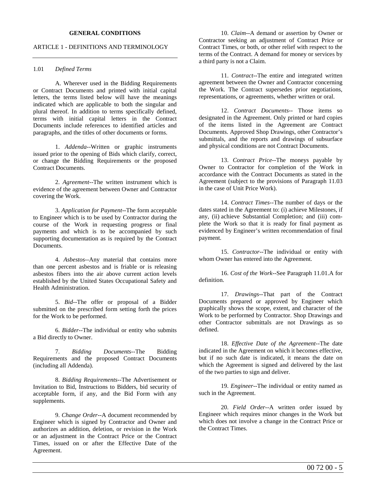#### ARTICLE 1 - DEFINITIONS AND TERMINOLOGY

# 1.01 *Defined Terms*

A. Wherever used in the Bidding Requirements or Contract Documents and printed with initial capital letters, the terms listed below will have the meanings indicated which are applicable to both the singular and plural thereof. In addition to terms specifically defined, terms with initial capital letters in the Contract Documents include references to identified articles and paragraphs, and the titles of other documents or forms.

1. *Addenda--*Written or graphic instruments issued prior to the opening of Bids which clarify, correct, or change the Bidding Requirements or the proposed Contract Documents.

2. *Agreement--*The written instrument which is evidence of the agreement between Owner and Contractor covering the Work.

3. *Application for Payment*--The form acceptable to Engineer which is to be used by Contractor during the course of the Work in requesting progress or final payments and which is to be accompanied by such supporting documentation as is required by the Contract Documents.

4. *Asbestos--*Any material that contains more than one percent asbestos and is friable or is releasing asbestos fibers into the air above current action levels established by the United States Occupational Safety and Health Administration.

5. *Bid--*The offer or proposal of a Bidder submitted on the prescribed form setting forth the prices for the Work to be performed.

6. *Bidder*--The individual or entity who submits a Bid directly to Owner.

7. *Bidding Documents--*The Bidding Requirements and the proposed Contract Documents (including all Addenda).

8. *Bidding Requirements--*The Advertisement or Invitation to Bid, Instructions to Bidders, bid security of acceptable form, if any, and the Bid Form with any supplements.

9. *Change Order--*A document recommended by Engineer which is signed by Contractor and Owner and authorizes an addition, deletion, or revision in the Work or an adjustment in the Contract Price or the Contract Times, issued on or after the Effective Date of the Agreement.

10. *Claim--*A demand or assertion by Owner or Contractor seeking an adjustment of Contract Price or Contract Times, or both, or other relief with respect to the terms of the Contract. A demand for money or services by a third party is not a Claim.

11. *Contract--*The entire and integrated written agreement between the Owner and Contractor concerning the Work. The Contract supersedes prior negotiations, representations, or agreements, whether written or oral.

12. *Contract Documents--* Those items so designated in the Agreement. Only printed or hard copies of the items listed in the Agreement are Contract Documents. Approved Shop Drawings, other Contractor's submittals, and the reports and drawings of subsurface and physical conditions are not Contract Documents.

13. *Contract Price--*The moneys payable by Owner to Contractor for completion of the Work in accordance with the Contract Documents as stated in the Agreement (subject to the provisions of Paragraph 11.03 in the case of Unit Price Work).

14. *Contract Times--*The number of days or the dates stated in the Agreement to: (i) achieve Milestones, if any, (ii) achieve Substantial Completion; and (iii) complete the Work so that it is ready for final payment as evidenced by Engineer's written recommendation of final payment.

15. *Contractor*--The individual or entity with whom Owner has entered into the Agreement.

16. *Cost of the Work--*See Paragraph 11.01.A for definition.

17. *Drawings--*That part of the Contract Documents prepared or approved by Engineer which graphically shows the scope, extent, and character of the Work to be performed by Contractor. Shop Drawings and other Contractor submittals are not Drawings as so defined.

18. *Effective Date of the Agreement--*The date indicated in the Agreement on which it becomes effective, but if no such date is indicated, it means the date on which the Agreement is signed and delivered by the last of the two parties to sign and deliver.

19. *Engineer*--The individual or entity named as such in the Agreement.

20. *Field Order--*A written order issued by Engineer which requires minor changes in the Work but which does not involve a change in the Contract Price or the Contract Times.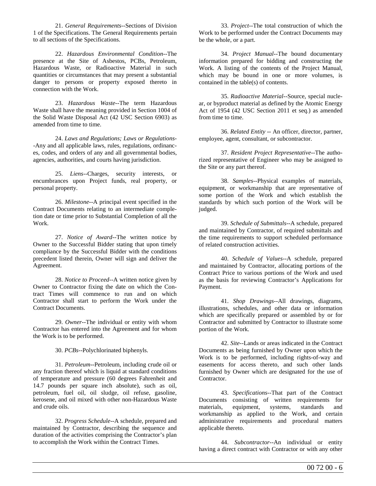21. *General Requirements--*Sections of Division 1 of the Specifications. The General Requirements pertain to all sections of the Specifications.

22. *Hazardous Environmental Condition--*The presence at the Site of Asbestos, PCBs, Petroleum, Hazardous Waste, or Radioactive Material in such quantities or circumstances that may present a substantial danger to persons or property exposed thereto in connection with the Work.

23. *Hazardous Waste--*The term Hazardous Waste shall have the meaning provided in Section 1004 of the Solid Waste Disposal Act (42 USC Section 6903) as amended from time to time.

24. *Laws and Regulations; Laws or Regulations- -*Any and all applicable laws, rules, regulations, ordinances, codes, and orders of any and all governmental bodies, agencies, authorities, and courts having jurisdiction.

25. *Liens--*Charges, security interests, or encumbrances upon Project funds, real property, or personal property.

26. *Milestone--*A principal event specified in the Contract Documents relating to an intermediate completion date or time prior to Substantial Completion of all the Work.

27. *Notice of Award--*The written notice by Owner to the Successful Bidder stating that upon timely compliance by the Successful Bidder with the conditions precedent listed therein, Owner will sign and deliver the Agreement.

28. *Notice to Proceed--*A written notice given by Owner to Contractor fixing the date on which the Contract Times will commence to run and on which Contractor shall start to perform the Work under the Contract Documents.

29. *Owner*--The individual or entity with whom Contractor has entered into the Agreement and for whom the Work is to be performed.

30. *PCBs--*Polychlorinated biphenyls.

31. *Petroleum--*Petroleum, including crude oil or any fraction thereof which is liquid at standard conditions of temperature and pressure (60 degrees Fahrenheit and 14.7 pounds per square inch absolute), such as oil, petroleum, fuel oil, oil sludge, oil refuse, gasoline, kerosene, and oil mixed with other non-Hazardous Waste and crude oils.

32. *Progress Schedule*--A schedule, prepared and maintained by Contractor, describing the sequence and duration of the activities comprising the Contractor's plan to accomplish the Work within the Contract Times.

33. *Project--*The total construction of which the Work to be performed under the Contract Documents may be the whole, or a part.

34. *Project Manual--*The bound documentary information prepared for bidding and constructing the Work. A listing of the contents of the Project Manual, which may be bound in one or more volumes, is contained in the table(s) of contents.

35. *Radioactive Material--*Source, special nuclear, or byproduct material as defined by the Atomic Energy Act of 1954 (42 USC Section 2011 et seq.) as amended from time to time.

36. *Related Entity* -- An officer, director, partner, employee, agent, consultant, or subcontractor.

37. *Resident Project Representative--*The authorized representative of Engineer who may be assigned to the Site or any part thereof.

38. *Samples--*Physical examples of materials, equipment, or workmanship that are representative of some portion of the Work and which establish the standards by which such portion of the Work will be judged.

39. *Schedule of Submittals*--A schedule, prepared and maintained by Contractor, of required submittals and the time requirements to support scheduled performance of related construction activities.

40. *Schedule of Values*--A schedule, prepared and maintained by Contractor, allocating portions of the Contract Price to various portions of the Work and used as the basis for reviewing Contractor's Applications for Payment.

41. *Shop Drawings--*All drawings, diagrams, illustrations, schedules, and other data or information which are specifically prepared or assembled by or for Contractor and submitted by Contractor to illustrate some portion of the Work.

42. *Site--*Lands or areas indicated in the Contract Documents as being furnished by Owner upon which the Work is to be performed, including rights-of-way and easements for access thereto, and such other lands furnished by Owner which are designated for the use of Contractor.

43. *Specifications--*That part of the Contract Documents consisting of written requirements for materials, equipment, systems, standards and workmanship as applied to the Work, and certain administrative requirements and procedural matters applicable thereto.

44. *Subcontractor--*An individual or entity having a direct contract with Contractor or with any other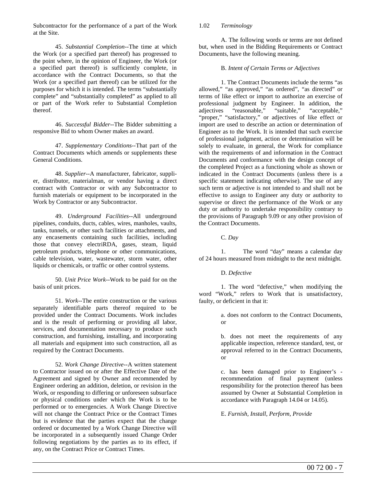Subcontractor for the performance of a part of the Work at the Site.

45. *Substantial Completion--*The time at which the Work (or a specified part thereof) has progressed to the point where, in the opinion of Engineer, the Work (or a specified part thereof) is sufficiently complete, in accordance with the Contract Documents, so that the Work (or a specified part thereof) can be utilized for the purposes for which it is intended. The terms "substantially complete" and "substantially completed" as applied to all or part of the Work refer to Substantial Completion thereof.

46. *Successful Bidder*--The Bidder submitting a responsive Bid to whom Owner makes an award.

47. *Supplementary Conditions--*That part of the Contract Documents which amends or supplements these General Conditions.

48. *Supplier--*A manufacturer, fabricator, supplier, distributor, materialman, or vendor having a direct contract with Contractor or with any Subcontractor to furnish materials or equipment to be incorporated in the Work by Contractor or any Subcontractor.

49. *Underground Facilities--*All underground pipelines, conduits, ducts, cables, wires, manholes, vaults, tanks, tunnels, or other such facilities or attachments, and any encasements containing such facilities, including those that convey electriRDA, gases, steam, liquid petroleum products, telephone or other communications, cable television, water, wastewater, storm water, other liquids or chemicals, or traffic or other control systems.

50. *Unit Price Work*--Work to be paid for on the basis of unit prices.

51. *Work--*The entire construction or the various separately identifiable parts thereof required to be provided under the Contract Documents. Work includes and is the result of performing or providing all labor, services, and documentation necessary to produce such construction, and furnishing, installing, and incorporating all materials and equipment into such construction, all as required by the Contract Documents.

52. *Work Change Directive--*A written statement to Contractor issued on or after the Effective Date of the Agreement and signed by Owner and recommended by Engineer ordering an addition, deletion, or revision in the Work, or responding to differing or unforeseen subsurface or physical conditions under which the Work is to be performed or to emergencies. A Work Change Directive will not change the Contract Price or the Contract Times but is evidence that the parties expect that the change ordered or documented by a Work Change Directive will be incorporated in a subsequently issued Change Order following negotiations by the parties as to its effect, if any, on the Contract Price or Contract Times.

# 1.02 *Terminology*

A. The following words or terms are not defined but, when used in the Bidding Requirements or Contract Documents, have the following meaning.

# B. *Intent of Certain Terms or Adjectives*

1. The Contract Documents include the terms "as allowed," "as approved," "as ordered", "as directed" or terms of like effect or import to authorize an exercise of professional judgment by Engineer. In addition, the adjectives "reasonable," "suitable," "acceptable," adjectives "reasonable," "suitable," "acceptable," "proper," "satisfactory," or adjectives of like effect or import are used to describe an action or determination of Engineer as to the Work. It is intended that such exercise of professional judgment, action or determination will be solely to evaluate, in general, the Work for compliance with the requirements of and information in the Contract Documents and conformance with the design concept of the completed Project as a functioning whole as shown or indicated in the Contract Documents (unless there is a specific statement indicating otherwise). The use of any such term or adjective is not intended to and shall not be effective to assign to Engineer any duty or authority to supervise or direct the performance of the Work or any duty or authority to undertake responsibility contrary to the provisions of Paragraph 9.09 or any other provision of the Contract Documents.

C. *Day*

1. The word "day" means a calendar day of 24 hours measured from midnight to the next midnight.

# D. *Defective*

1. The word "defective," when modifying the word "Work," refers to Work that is unsatisfactory, faulty, or deficient in that it:

> a. does not conform to the Contract Documents, or

> b. does not meet the requirements of any applicable inspection, reference standard, test, or approval referred to in the Contract Documents, or

> c. has been damaged prior to Engineer's recommendation of final payment (unless responsibility for the protection thereof has been assumed by Owner at Substantial Completion in accordance with Paragraph 14.04 or 14.05).

E. *Furnish, Install, Perform, Provide*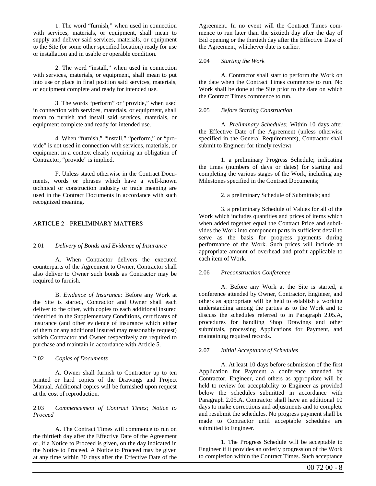1. The word "furnish," when used in connection with services, materials, or equipment, shall mean to supply and deliver said services, materials, or equipment to the Site (or some other specified location) ready for use or installation and in usable or operable condition.

2. The word "install," when used in connection with services, materials, or equipment, shall mean to put into use or place in final position said services, materials, or equipment complete and ready for intended use.

3. The words "perform" or "provide," when used in connection with services, materials, or equipment, shall mean to furnish and install said services, materials, or equipment complete and ready for intended use.

4. When "furnish," "install," "perform," or "provide" is not used in connection with services, materials, or equipment in a context clearly requiring an obligation of Contractor, "provide" is implied.

F. Unless stated otherwise in the Contract Documents, words or phrases which have a well-known technical or construction industry or trade meaning are used in the Contract Documents in accordance with such recognized meaning.

## ARTICLE 2 - PRELIMINARY MATTERS

## 2.01 *Delivery of Bonds and Evidence of Insurance*

A. When Contractor delivers the executed counterparts of the Agreement to Owner, Contractor shall also deliver to Owner such bonds as Contractor may be required to furnish.

B. *Evidence of Insurance:* Before any Work at the Site is started, Contractor and Owner shall each deliver to the other, with copies to each additional insured identified in the Supplementary Conditions, certificates of insurance (and other evidence of insurance which either of them or any additional insured may reasonably request) which Contractor and Owner respectively are required to purchase and maintain in accordance with Article 5.

2.02 *Copies of Documents*

A. Owner shall furnish to Contractor up to ten printed or hard copies of the Drawings and Project Manual. Additional copies will be furnished upon request at the cost of reproduction.

2.03 *Commencement of Contract Times; Notice to Proceed*

A. The Contract Times will commence to run on the thirtieth day after the Effective Date of the Agreement or, if a Notice to Proceed is given, on the day indicated in the Notice to Proceed. A Notice to Proceed may be given at any time within 30 days after the Effective Date of the

Agreement. In no event will the Contract Times commence to run later than the sixtieth day after the day of Bid opening or the thirtieth day after the Effective Date of the Agreement, whichever date is earlier.

# 2.04 *Starting the Work*

A. Contractor shall start to perform the Work on the date when the Contract Times commence to run. No Work shall be done at the Site prior to the date on which the Contract Times commence to run.

## 2.05 *Before Starting Construction*

A. *Preliminary Schedules:* Within 10 days after the Effective Date of the Agreement (unless otherwise specified in the General Requirements), Contractor shall submit to Engineer for timely review**:**

1. a preliminary Progress Schedule; indicating the times (numbers of days or dates) for starting and completing the various stages of the Work, including any Milestones specified in the Contract Documents;

2. a preliminary Schedule of Submittals; and

3. a preliminary Schedule of Values for all of the Work which includes quantities and prices of items which when added together equal the Contract Price and subdivides the Work into component parts in sufficient detail to serve as the basis for progress payments during performance of the Work. Such prices will include an appropriate amount of overhead and profit applicable to each item of Work.

#### 2.06 *Preconstruction Conference*

A. Before any Work at the Site is started, a conference attended by Owner, Contractor, Engineer, and others as appropriate will be held to establish a working understanding among the parties as to the Work and to discuss the schedules referred to in Paragraph 2.05.A, procedures for handling Shop Drawings and other submittals, processing Applications for Payment, and maintaining required records.

# 2.07 *Initial Acceptance of Schedules*

A. At least 10 days before submission of the first Application for Payment a conference attended by Contractor, Engineer, and others as appropriate will be held to review for acceptability to Engineer as provided below the schedules submitted in accordance with Paragraph 2.05.A. Contractor shall have an additional 10 days to make corrections and adjustments and to complete and resubmit the schedules. No progress payment shall be made to Contractor until acceptable schedules are submitted to Engineer.

1. The Progress Schedule will be acceptable to Engineer if it provides an orderly progression of the Work to completion within the Contract Times. Such acceptance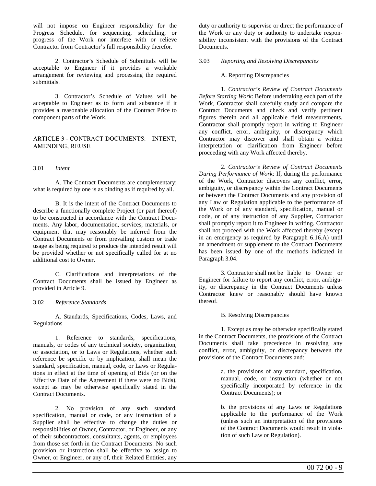will not impose on Engineer responsibility for the Progress Schedule, for sequencing, scheduling, or progress of the Work nor interfere with or relieve Contractor from Contractor's full responsibility therefor.

2. Contractor's Schedule of Submittals will be acceptable to Engineer if it provides a workable arrangement for reviewing and processing the required submittals.

3. Contractor's Schedule of Values will be acceptable to Engineer as to form and substance if it provides a reasonable allocation of the Contract Price to component parts of the Work.

# ARTICLE 3 - CONTRACT DOCUMENTS: INTENT, AMENDING, REUSE

#### 3.01 *Intent*

A. The Contract Documents are complementary; what is required by one is as binding as if required by all.

B. It is the intent of the Contract Documents to describe a functionally complete Project (or part thereof) to be constructed in accordance with the Contract Documents. Any labor, documentation, services, materials, or equipment that may reasonably be inferred from the Contract Documents or from prevailing custom or trade usage as being required to produce the intended result will be provided whether or not specifically called for at no additional cost to Owner.

C. Clarifications and interpretations of the Contract Documents shall be issued by Engineer as provided in Article 9.

#### 3.02 *Reference Standards*

A. Standards, Specifications, Codes, Laws, and Regulations

1. Reference to standards, specifications, manuals, or codes of any technical society, organization, or association, or to Laws or Regulations, whether such reference be specific or by implication, shall mean the standard, specification, manual, code, or Laws or Regulations in effect at the time of opening of Bids (or on the Effective Date of the Agreement if there were no Bids), except as may be otherwise specifically stated in the Contract Documents.

2. No provision of any such standard, specification, manual or code, or any instruction of a Supplier shall be effective to change the duties or responsibilities of Owner, Contractor, or Engineer, or any of their subcontractors, consultants, agents, or employees from those set forth in the Contract Documents. No such provision or instruction shall be effective to assign to Owner, or Engineer, or any of, their Related Entities, any

duty or authority to supervise or direct the performance of the Work or any duty or authority to undertake responsibility inconsistent with the provisions of the Contract Documents.

## 3.03 *Reporting and Resolving Discrepancies*

# A. Reporting Discrepancies

1. *Contractor's Review of Contract Documents Before Starting Work*: Before undertaking each part of the Work, Contractor shall carefully study and compare the Contract Documents and check and verify pertinent figures therein and all applicable field measurements. Contractor shall promptly report in writing to Engineer any conflict, error, ambiguity, or discrepancy which Contractor may discover and shall obtain a written interpretation or clarification from Engineer before proceeding with any Work affected thereby.

2. *Contractor's Review of Contract Documents During Performance of Work*: If, during the performance of the Work, Contractor discovers any conflict, error, ambiguity, or discrepancy within the Contract Documents or between the Contract Documents and any provision of any Law or Regulation applicable to the performance of the Work or of any standard, specification, manual or code, or of any instruction of any Supplier, Contractor shall promptly report it to Engineer in writing. Contractor shall not proceed with the Work affected thereby (except in an emergency as required by Paragraph 6.16.A) until an amendment or supplement to the Contract Documents has been issued by one of the methods indicated in Paragraph 3.04.

3. Contractor shall not be liable to Owner or Engineer for failure to report any conflict, error, ambiguity, or discrepancy in the Contract Documents unless Contractor knew or reasonably should have known thereof.

B. Resolving Discrepancies

1. Except as may be otherwise specifically stated in the Contract Documents, the provisions of the Contract Documents shall take precedence in resolving any conflict, error, ambiguity, or discrepancy between the provisions of the Contract Documents and:

> a. the provisions of any standard, specification, manual, code, or instruction (whether or not specifically incorporated by reference in the Contract Documents); or

> b. the provisions of any Laws or Regulations applicable to the performance of the Work (unless such an interpretation of the provisions of the Contract Documents would result in violation of such Law or Regulation).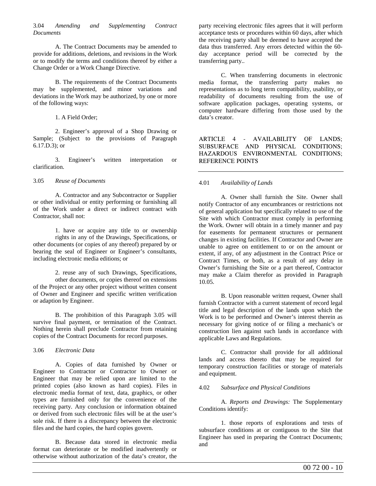3.04 *Amending and Supplementing Contract Documents*

A. The Contract Documents may be amended to provide for additions, deletions, and revisions in the Work or to modify the terms and conditions thereof by either a Change Order or a Work Change Directive.

B. The requirements of the Contract Documents may be supplemented, and minor variations and deviations in the Work may be authorized, by one or more of the following ways:

1. A Field Order;

2. Engineer's approval of a Shop Drawing or Sample; (Subject to the provisions of Paragraph 6.17.D.3); or

3. Engineer's written interpretation or clarification.

# 3.05 *Reuse of Documents*

A. Contractor and any Subcontractor or Supplier or other individual or entity performing or furnishing all of the Work under a direct or indirect contract with Contractor, shall not:

1. have or acquire any title to or ownership rights in any of the Drawings, Specifications, or other documents (or copies of any thereof) prepared by or bearing the seal of Engineer or Engineer's consultants, including electronic media editions; or

2. reuse any of such Drawings, Specifications, other documents, or copies thereof on extensions of the Project or any other project without written consent of Owner and Engineer and specific written verification or adaption by Engineer.

B. The prohibition of this Paragraph 3.05 will survive final payment, or termination of the Contract. Nothing herein shall preclude Contractor from retaining copies of the Contract Documents for record purposes.

#### 3.06 *Electronic Data*

A. Copies of data furnished by Owner or Engineer to Contractor or Contractor to Owner or Engineer that may be relied upon are limited to the printed copies (also known as hard copies). Files in electronic media format of text, data, graphics, or other types are furnished only for the convenience of the receiving party. Any conclusion or information obtained or derived from such electronic files will be at the user's sole risk. If there is a discrepancy between the electronic files and the hard copies, the hard copies govern.

B. Because data stored in electronic media format can deteriorate or be modified inadvertently or otherwise without authorization of the data's creator, the party receiving electronic files agrees that it will perform acceptance tests or procedures within 60 days, after which the receiving party shall be deemed to have accepted the data thus transferred. Any errors detected within the 60 day acceptance period will be corrected by the transferring party..

C. When transferring documents in electronic media format, the transferring party makes no representations as to long term compatibility, usability, or readability of documents resulting from the use of software application packages, operating systems, or computer hardware differing from those used by the data's creator.

ARTICLE 4 - AVAILABILITY OF LANDS; SUBSURFACE AND PHYSICAL CONDITIONS; HAZARDOUS ENVIRONMENTAL CONDITIONS; REFERENCE POINTS

# 4.01 *Availability of Lands*

A. Owner shall furnish the Site. Owner shall notify Contractor of any encumbrances or restrictions not of general application but specifically related to use of the Site with which Contractor must comply in performing the Work. Owner will obtain in a timely manner and pay for easements for permanent structures or permanent changes in existing facilities. If Contractor and Owner are unable to agree on entitlement to or on the amount or extent, if any, of any adjustment in the Contract Price or Contract Times, or both, as a result of any delay in Owner's furnishing the Site or a part thereof, Contractor may make a Claim therefor as provided in Paragraph 10.05.

B. Upon reasonable written request, Owner shall furnish Contractor with a current statement of record legal title and legal description of the lands upon which the Work is to be performed and Owner's interest therein as necessary for giving notice of or filing a mechanic's or construction lien against such lands in accordance with applicable Laws and Regulations.

C. Contractor shall provide for all additional lands and access thereto that may be required for temporary construction facilities or storage of materials and equipment.

# 4.02 *Subsurface and Physical Conditions*

A. *Reports and Drawings:* The Supplementary Conditions identify:

1. those reports of explorations and tests of subsurface conditions at or contiguous to the Site that Engineer has used in preparing the Contract Documents; and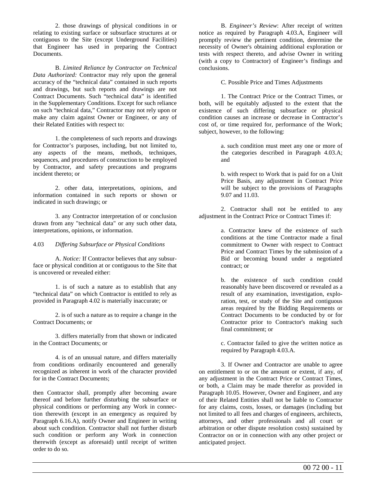2. those drawings of physical conditions in or relating to existing surface or subsurface structures at or contiguous to the Site (except Underground Facilities) that Engineer has used in preparing the Contract Documents.

B. *Limited Reliance by Contractor on Technical Data Authorized:* Contractor may rely upon the general accuracy of the "technical data" contained in such reports and drawings, but such reports and drawings are not Contract Documents. Such "technical data" is identified in the Supplementary Conditions. Except for such reliance on such "technical data," Contractor may not rely upon or make any claim against Owner or Engineer, or any of their Related Entities with respect to:

1. the completeness of such reports and drawings for Contractor's purposes, including, but not limited to, any aspects of the means, methods, techniques, sequences, and procedures of construction to be employed by Contractor, and safety precautions and programs incident thereto; or

2. other data, interpretations, opinions, and information contained in such reports or shown or indicated in such drawings; or

3. any Contractor interpretation of or conclusion drawn from any "technical data" or any such other data, interpretations, opinions, or information.

4.03 *Differing Subsurface or Physical Conditions*

A. *Notice:* If Contractor believes that any subsurface or physical condition at or contiguous to the Site that is uncovered or revealed either:

1. is of such a nature as to establish that any "technical data" on which Contractor is entitled to rely as provided in Paragraph 4.02 is materially inaccurate; or

2. is of such a nature as to require a change in the Contract Documents; or

3. differs materially from that shown or indicated in the Contract Documents; or

4. is of an unusual nature, and differs materially from conditions ordinarily encountered and generally recognized as inherent in work of the character provided for in the Contract Documents;

then Contractor shall, promptly after becoming aware thereof and before further disturbing the subsurface or physical conditions or performing any Work in connection therewith (except in an emergency as required by Paragraph 6.16.A), notify Owner and Engineer in writing about such condition. Contractor shall not further disturb such condition or perform any Work in connection therewith (except as aforesaid) until receipt of written order to do so.

B. *Engineer's Review*: After receipt of written notice as required by Paragraph 4.03.A, Engineer will promptly review the pertinent condition, determine the necessity of Owner's obtaining additional exploration or tests with respect thereto, and advise Owner in writing (with a copy to Contractor) of Engineer's findings and conclusions.

C. Possible Price and Times Adjustments

1. The Contract Price or the Contract Times, or both, will be equitably adjusted to the extent that the existence of such differing subsurface or physical condition causes an increase or decrease in Contractor's cost of, or time required for, performance of the Work; subject, however, to the following:

> a. such condition must meet any one or more of the categories described in Paragraph 4.03.A; and

> b. with respect to Work that is paid for on a Unit Price Basis, any adjustment in Contract Price will be subject to the provisions of Paragraphs 9.07 and 11.03.

2. Contractor shall not be entitled to any adjustment in the Contract Price or Contract Times if:

> a. Contractor knew of the existence of such conditions at the time Contractor made a final commitment to Owner with respect to Contract Price and Contract Times by the submission of a Bid or becoming bound under a negotiated contract; or

> b. the existence of such condition could reasonably have been discovered or revealed as a result of any examination, investigation, exploration, test, or study of the Site and contiguous areas required by the Bidding Requirements or Contract Documents to be conducted by or for Contractor prior to Contractor's making such final commitment; or

> c. Contractor failed to give the written notice as required by Paragraph 4.03.A.

3. If Owner and Contractor are unable to agree on entitlement to or on the amount or extent, if any, of any adjustment in the Contract Price or Contract Times, or both, a Claim may be made therefor as provided in Paragraph 10.05. However, Owner and Engineer, and any of their Related Entities shall not be liable to Contractor for any claims, costs, losses, or damages (including but not limited to all fees and charges of engineers, architects, attorneys, and other professionals and all court or arbitration or other dispute resolution costs) sustained by Contractor on or in connection with any other project or anticipated project.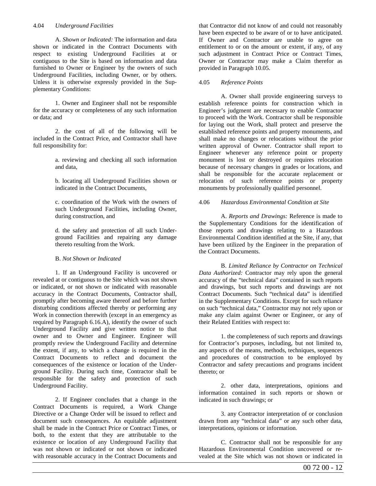# 4.04 *Underground Facilities*

A. *Shown or Indicated:* The information and data shown or indicated in the Contract Documents with respect to existing Underground Facilities at or contiguous to the Site is based on information and data furnished to Owner or Engineer by the owners of such Underground Facilities, including Owner, or by others. Unless it is otherwise expressly provided in the Supplementary Conditions:

1. Owner and Engineer shall not be responsible for the accuracy or completeness of any such information or data; and

2. the cost of all of the following will be included in the Contract Price, and Contractor shall have full responsibility for:

> a. reviewing and checking all such information and data,

> b. locating all Underground Facilities shown or indicated in the Contract Documents,

> c. coordination of the Work with the owners of such Underground Facilities, including Owner, during construction, and

> d. the safety and protection of all such Underground Facilities and repairing any damage thereto resulting from the Work.

B. *Not Shown or Indicated*

1. If an Underground Facility is uncovered or revealed at or contiguous to the Site which was not shown or indicated, or not shown or indicated with reasonable accuracy in the Contract Documents, Contractor shall, promptly after becoming aware thereof and before further disturbing conditions affected thereby or performing any Work in connection therewith (except in an emergency as required by Paragraph 6.16.A), identify the owner of such Underground Facility and give written notice to that owner and to Owner and Engineer. Engineer will promptly review the Underground Facility and determine the extent, if any, to which a change is required in the Contract Documents to reflect and document the consequences of the existence or location of the Underground Facility. During such time, Contractor shall be responsible for the safety and protection of such Underground Facility.

2. If Engineer concludes that a change in the Contract Documents is required, a Work Change Directive or a Change Order will be issued to reflect and document such consequences. An equitable adjustment shall be made in the Contract Price or Contract Times, or both, to the extent that they are attributable to the existence or location of any Underground Facility that was not shown or indicated or not shown or indicated with reasonable accuracy in the Contract Documents and

that Contractor did not know of and could not reasonably have been expected to be aware of or to have anticipated. If Owner and Contractor are unable to agree on entitlement to or on the amount or extent, if any, of any such adjustment in Contract Price or Contract Times, Owner or Contractor may make a Claim therefor as provided in Paragraph 10.05.

## 4.05 *Reference Points*

A. Owner shall provide engineering surveys to establish reference points for construction which in Engineer's judgment are necessary to enable Contractor to proceed with the Work. Contractor shall be responsible for laying out the Work, shall protect and preserve the established reference points and property monuments, and shall make no changes or relocations without the prior written approval of Owner. Contractor shall report to Engineer whenever any reference point or property monument is lost or destroyed or requires relocation because of necessary changes in grades or locations, and shall be responsible for the accurate replacement or relocation of such reference points or property monuments by professionally qualified personnel.

## 4.06 *Hazardous Environmental Condition at Site*

A. *Reports and Drawings:* Reference is made to the Supplementary Conditions for the identification of those reports and drawings relating to a Hazardous Environmental Condition identified at the Site, if any, that have been utilized by the Engineer in the preparation of the Contract Documents.

B. *Limited Reliance by Contractor on Technical Data Authorized:* Contractor may rely upon the general accuracy of the "technical data" contained in such reports and drawings, but such reports and drawings are not Contract Documents. Such "technical data" is identified in the Supplementary Conditions. Except for such reliance on such "technical data," Contractor may not rely upon or make any claim against Owner or Engineer, or any of their Related Entities with respect to:

1. the completeness of such reports and drawings for Contractor's purposes, including, but not limited to, any aspects of the means, methods, techniques, sequences and procedures of construction to be employed by Contractor and safety precautions and programs incident thereto; or

2. other data, interpretations, opinions and information contained in such reports or shown or indicated in such drawings; or

3. any Contractor interpretation of or conclusion drawn from any "technical data" or any such other data, interpretations, opinions or information.

C. Contractor shall not be responsible for any Hazardous Environmental Condition uncovered or revealed at the Site which was not shown or indicated in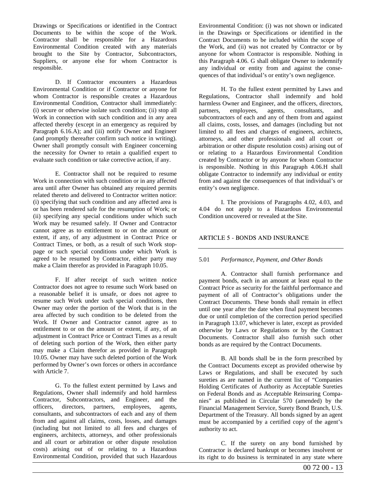Drawings or Specifications or identified in the Contract Documents to be within the scope of the Work. Contractor shall be responsible for a Hazardous Environmental Condition created with any materials brought to the Site by Contractor, Subcontractors, Suppliers, or anyone else for whom Contractor is responsible.

D. If Contractor encounters a Hazardous Environmental Condition or if Contractor or anyone for whom Contractor is responsible creates a Hazardous Environmental Condition, Contractor shall immediately: (i) secure or otherwise isolate such condition; (ii) stop all Work in connection with such condition and in any area affected thereby (except in an emergency as required by Paragraph 6.16.A); and (iii) notify Owner and Engineer (and promptly thereafter confirm such notice in writing). Owner shall promptly consult with Engineer concerning the necessity for Owner to retain a qualified expert to evaluate such condition or take corrective action, if any.

E. Contractor shall not be required to resume Work in connection with such condition or in any affected area until after Owner has obtained any required permits related thereto and delivered to Contractor written notice: (i) specifying that such condition and any affected area is or has been rendered safe for the resumption of Work; or (ii) specifying any special conditions under which such Work may be resumed safely. If Owner and Contractor cannot agree as to entitlement to or on the amount or extent, if any, of any adjustment in Contract Price or Contract Times, or both, as a result of such Work stoppage or such special conditions under which Work is agreed to be resumed by Contractor, either party may make a Claim therefor as provided in Paragraph 10.05.

F. If after receipt of such written notice Contractor does not agree to resume such Work based on a reasonable belief it is unsafe, or does not agree to resume such Work under such special conditions, then Owner may order the portion of the Work that is in the area affected by such condition to be deleted from the Work. If Owner and Contractor cannot agree as to entitlement to or on the amount or extent, if any, of an adjustment in Contract Price or Contract Times as a result of deleting such portion of the Work, then either party may make a Claim therefor as provided in Paragraph 10.05. Owner may have such deleted portion of the Work performed by Owner's own forces or others in accordance with Article 7.

G. To the fullest extent permitted by Laws and Regulations, Owner shall indemnify and hold harmless Contractor, Subcontractors, and Engineer, and the officers, directors, partners, employees, agents, consultants, and subcontractors of each and any of them from and against all claims, costs, losses, and damages (including but not limited to all fees and charges of engineers, architects, attorneys, and other professionals and all court or arbitration or other dispute resolution costs) arising out of or relating to a Hazardous Environmental Condition, provided that such Hazardous

Environmental Condition: (i) was not shown or indicated in the Drawings or Specifications or identified in the Contract Documents to be included within the scope of the Work, and (ii) was not created by Contractor or by anyone for whom Contractor is responsible. Nothing in this Paragraph 4.06. G shall obligate Owner to indemnify any individual or entity from and against the consequences of that individual's or entity's own negligence.

H. To the fullest extent permitted by Laws and Regulations, Contractor shall indemnify and hold harmless Owner and Engineer, and the officers, directors, partners, employees, agents, consultants, and subcontractors of each and any of them from and against all claims, costs, losses, and damages (including but not limited to all fees and charges of engineers, architects, attorneys, and other professionals and all court or arbitration or other dispute resolution costs) arising out of or relating to a Hazardous Environmental Condition created by Contractor or by anyone for whom Contractor is responsible. Nothing in this Paragraph 4.06.H shall obligate Contractor to indemnify any individual or entity from and against the consequences of that individual's or entity's own negligence.

I. The provisions of Paragraphs 4.02, 4.03, and 4.04 do not apply to a Hazardous Environmental Condition uncovered or revealed at the Site.

# ARTICLE 5 - BONDS AND INSURANCE

## 5.01 *Performance, Payment, and Other Bonds*

A. Contractor shall furnish performance and payment bonds, each in an amount at least equal to the Contract Price as security for the faithful performance and payment of all of Contractor's obligations under the Contract Documents. These bonds shall remain in effect until one year after the date when final payment becomes due or until completion of the correction period specified in Paragraph 13.07, whichever is later, except as provided otherwise by Laws or Regulations or by the Contract Documents. Contractor shall also furnish such other bonds as are required by the Contract Documents.

B. All bonds shall be in the form prescribed by the Contract Documents except as provided otherwise by Laws or Regulations, and shall be executed by such sureties as are named in the current list of "Companies Holding Certificates of Authority as Acceptable Sureties on Federal Bonds and as Acceptable Reinsuring Companies" as published in Circular 570 (amended) by the Financial Management Service, Surety Bond Branch, U.S. Department of the Treasury. All bonds signed by an agent must be accompanied by a certified copy of the agent's authority to act.

C. If the surety on any bond furnished by Contractor is declared bankrupt or becomes insolvent or its right to do business is terminated in any state where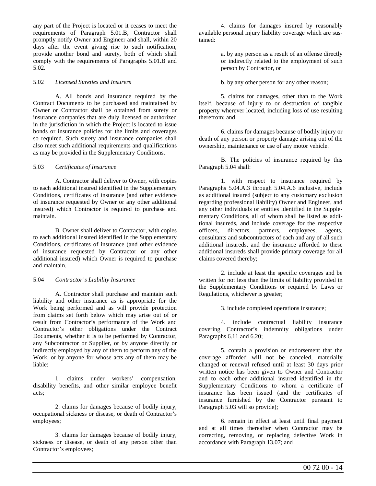any part of the Project is located or it ceases to meet the requirements of Paragraph 5.01.B, Contractor shall promptly notify Owner and Engineer and shall, within 20 days after the event giving rise to such notification, provide another bond and surety, both of which shall comply with the requirements of Paragraphs 5.01.B and 5.02.

# 5.02 *Licensed Sureties and Insurers*

A. All bonds and insurance required by the Contract Documents to be purchased and maintained by Owner or Contractor shall be obtained from surety or insurance companies that are duly licensed or authorized in the jurisdiction in which the Project is located to issue bonds or insurance policies for the limits and coverages so required. Such surety and insurance companies shall also meet such additional requirements and qualifications as may be provided in the Supplementary Conditions.

# 5.03 *Certificates of Insurance*

A. Contractor shall deliver to Owner, with copies to each additional insured identified in the Supplementary Conditions, certificates of insurance (and other evidence of insurance requested by Owner or any other additional insured) which Contractor is required to purchase and maintain.

B. Owner shall deliver to Contractor, with copies to each additional insured identified in the Supplementary Conditions, certificates of insurance (and other evidence of insurance requested by Contractor or any other additional insured) which Owner is required to purchase and maintain.

# 5.04 *Contractor's Liability Insurance*

A. Contractor shall purchase and maintain such liability and other insurance as is appropriate for the Work being performed and as will provide protection from claims set forth below which may arise out of or result from Contractor's performance of the Work and Contractor's other obligations under the Contract Documents, whether it is to be performed by Contractor, any Subcontractor or Supplier, or by anyone directly or indirectly employed by any of them to perform any of the Work, or by anyone for whose acts any of them may be liable:

1. claims under workers' compensation, disability benefits, and other similar employee benefit acts;

2. claims for damages because of bodily injury, occupational sickness or disease, or death of Contractor's employees;

3. claims for damages because of bodily injury, sickness or disease, or death of any person other than Contractor's employees;

4. claims for damages insured by reasonably available personal injury liability coverage which are sustained:

> a. by any person as a result of an offense directly or indirectly related to the employment of such person by Contractor, or

b. by any other person for any other reason;

5. claims for damages, other than to the Work itself, because of injury to or destruction of tangible property wherever located, including loss of use resulting therefrom; and

6. claims for damages because of bodily injury or death of any person or property damage arising out of the ownership, maintenance or use of any motor vehicle.

B. The policies of insurance required by this Paragraph 5.04 shall:

1. with respect to insurance required by Paragraphs 5.04.A.3 through 5.04.A.6 inclusive, include as additional insured (subject to any customary exclusion regarding professional liability) Owner and Engineer, and any other individuals or entities identified in the Supplementary Conditions, all of whom shall be listed as additional insureds, and include coverage for the respective officers, directors, partners, employees, agents, consultants and subcontractors of each and any of all such additional insureds, and the insurance afforded to these additional insureds shall provide primary coverage for all claims covered thereby;

2. include at least the specific coverages and be written for not less than the limits of liability provided in the Supplementary Conditions or required by Laws or Regulations, whichever is greater;

3. include completed operations insurance;

4. include contractual liability insurance covering Contractor's indemnity obligations under Paragraphs 6.11 and 6.20;

5. contain a provision or endorsement that the coverage afforded will not be canceled, materially changed or renewal refused until at least 30 days prior written notice has been given to Owner and Contractor and to each other additional insured identified in the Supplementary Conditions to whom a certificate of insurance has been issued (and the certificates of insurance furnished by the Contractor pursuant to Paragraph 5.03 will so provide);

6. remain in effect at least until final payment and at all times thereafter when Contractor may be correcting, removing, or replacing defective Work in accordance with Paragraph 13.07; and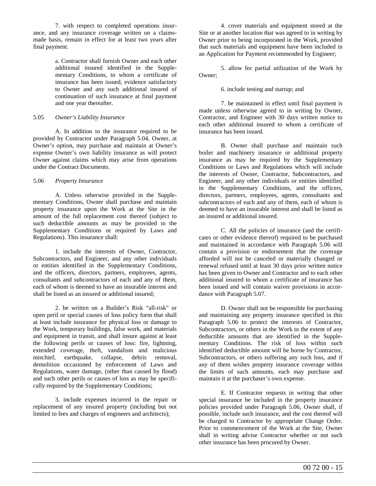7. with respect to completed operations insurance, and any insurance coverage written on a claimsmade basis, remain in effect for at least two years after final payment.

> a. Contractor shall furnish Owner and each other additional insured identified in the Supplementary Conditions, to whom a certificate of insurance has been issued, evidence satisfactory to Owner and any such additional insured of continuation of such insurance at final payment and one year thereafter.

#### 5.05 *Owner's Liability Insurance*

A. In addition to the insurance required to be provided by Contractor under Paragraph 5.04, Owner, at Owner's option, may purchase and maintain at Owner's expense Owner's own liability insurance as will protect Owner against claims which may arise from operations under the Contract Documents.

## 5.06 *Property Insurance*

A. Unless otherwise provided in the Supplementary Conditions, Owner shall purchase and maintain property insurance upon the Work at the Site in the amount of the full replacement cost thereof (subject to such deductible amounts as may be provided in the Supplementary Conditions or required by Laws and Regulations). This insurance shall:

1. include the interests of Owner, Contractor, Subcontractors, and Engineer, and any other individuals or entities identified in the Supplementary Conditions, and the officers, directors, partners, employees, agents, consultants and subcontractors of each and any of them, each of whom is deemed to have an insurable interest and shall be listed as an insured or additional insured;

2. be written on a Builder's Risk "all-risk" or open peril or special causes of loss policy form that shall at least include insurance for physical loss or damage to the Work, temporary buildings, false work, and materials and equipment in transit, and shall insure against at least the following perils or causes of loss: fire, lightning, extended coverage, theft, vandalism and malicious mischief, earthquake, collapse, debris removal, demolition occasioned by enforcement of Laws and Regulations, water damage, (other than caused by flood) and such other perils or causes of loss as may be specifically required by the Supplementary Conditions;

3. include expenses incurred in the repair or replacement of any insured property (including but not limited to fees and charges of engineers and architects);

4. cover materials and equipment stored at the Site or at another location that was agreed to in writing by Owner prior to being incorporated in the Work, provided that such materials and equipment have been included in an Application for Payment recommended by Engineer;

5. allow for partial utilization of the Work by Owner;

6. include testing and startup; and

7. be maintained in effect until final payment is made unless otherwise agreed to in writing by Owner, Contractor, and Engineer with 30 days written notice to each other additional insured to whom a certificate of insurance has been issued.

B. Owner shall purchase and maintain such boiler and machinery insurance or additional property insurance as may be required by the Supplementary Conditions or Laws and Regulations which will include the interests of Owner, Contractor, Subcontractors, and Engineer, and any other individuals or entities identified in the Supplementary Conditions, and the officers, directors, partners, employees, agents, consultants and subcontractors of each and any of them, each of whom is deemed to have an insurable interest and shall be listed as an insured or additional insured.

C. All the policies of insurance (and the certificates or other evidence thereof) required to be purchased and maintained in accordance with Paragraph 5.06 will contain a provision or endorsement that the coverage afforded will not be canceled or materially changed or renewal refused until at least 30 days prior written notice has been given to Owner and Contractor and to each other additional insured to whom a certificate of insurance has been issued and will contain waiver provisions in accordance with Paragraph 5.07.

D. Owner shall not be responsible for purchasing and maintaining any property insurance specified in this Paragraph 5.06 to protect the interests of Contractor, Subcontractors, or others in the Work to the extent of any deductible amounts that are identified in the Supplementary Conditions. The risk of loss within such identified deductible amount will be borne by Contractor, Subcontractors, or others suffering any such loss, and if any of them wishes property insurance coverage within the limits of such amounts, each may purchase and maintain it at the purchaser's own expense.

E. If Contractor requests in writing that other special insurance be included in the property insurance policies provided under Paragraph 5.06, Owner shall, if possible, include such insurance, and the cost thereof will be charged to Contractor by appropriate Change Order. Prior to commencement of the Work at the Site, Owner shall in writing advise Contractor whether or not such other insurance has been procured by Owner.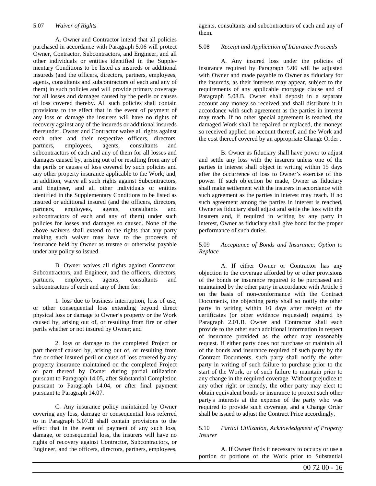A. Owner and Contractor intend that all policies purchased in accordance with Paragraph 5.06 will protect Owner, Contractor, Subcontractors, and Engineer, and all other individuals or entities identified in the Supplementary Conditions to be listed as insureds or additional insureds (and the officers, directors, partners, employees, agents, consultants and subcontractors of each and any of them) in such policies and will provide primary coverage for all losses and damages caused by the perils or causes of loss covered thereby. All such policies shall contain provisions to the effect that in the event of payment of any loss or damage the insurers will have no rights of recovery against any of the insureds or additional insureds thereunder. Owner and Contractor waive all rights against each other and their respective officers, directors, partners, employees, agents, consultants and subcontractors of each and any of them for all losses and damages caused by, arising out of or resulting from any of the perils or causes of loss covered by such policies and any other property insurance applicable to the Work; and, in addition, waive all such rights against Subcontractors, and Engineer, and all other individuals or entities identified in the Supplementary Conditions to be listed as insured or additional insured (and the officers, directors, partners, employees, agents, consultants and subcontractors of each and any of them) under such policies for losses and damages so caused. None of the above waivers shall extend to the rights that any party making such waiver may have to the proceeds of insurance held by Owner as trustee or otherwise payable under any policy so issued.

B. Owner waives all rights against Contractor, Subcontractors, and Engineer, and the officers, directors, partners, employees, agents, consultants and subcontractors of each and any of them for:

1. loss due to business interruption, loss of use, or other consequential loss extending beyond direct physical loss or damage to Owner's property or the Work caused by, arising out of, or resulting from fire or other perils whether or not insured by Owner; and

2. loss or damage to the completed Project or part thereof caused by, arising out of, or resulting from fire or other insured peril or cause of loss covered by any property insurance maintained on the completed Project or part thereof by Owner during partial utilization pursuant to Paragraph 14.05, after Substantial Completion pursuant to Paragraph 14.04, or after final payment pursuant to Paragraph 14.07.

C. Any insurance policy maintained by Owner covering any loss, damage or consequential loss referred to in Paragraph 5.07.B shall contain provisions to the effect that in the event of payment of any such loss, damage, or consequential loss, the insurers will have no rights of recovery against Contractor, Subcontractors, or Engineer, and the officers, directors, partners, employees, agents, consultants and subcontractors of each and any of them.

# 5.08 *Receipt and Application of Insurance Proceeds*

A. Any insured loss under the policies of insurance required by Paragraph 5.06 will be adjusted with Owner and made payable to Owner as fiduciary for the insureds, as their interests may appear, subject to the requirements of any applicable mortgage clause and of Paragraph 5.08.B. Owner shall deposit in a separate account any money so received and shall distribute it in accordance with such agreement as the parties in interest may reach. If no other special agreement is reached, the damaged Work shall be repaired or replaced, the moneys so received applied on account thereof, and the Work and the cost thereof covered by an appropriate Change Order .

B. Owner as fiduciary shall have power to adjust and settle any loss with the insurers unless one of the parties in interest shall object in writing within 15 days after the occurrence of loss to Owner's exercise of this power. If such objection be made, Owner as fiduciary shall make settlement with the insurers in accordance with such agreement as the parties in interest may reach. If no such agreement among the parties in interest is reached, Owner as fiduciary shall adjust and settle the loss with the insurers and, if required in writing by any party in interest, Owner as fiduciary shall give bond for the proper performance of such duties.

# 5.09 *Acceptance of Bonds and Insurance; Option to Replace*

A. If either Owner or Contractor has any objection to the coverage afforded by or other provisions of the bonds or insurance required to be purchased and maintained by the other party in accordance with Article 5 on the basis of non-conformance with the Contract Documents, the objecting party shall so notify the other party in writing within 10 days after receipt of the certificates (or other evidence requested) required by Paragraph 2.01.B. Owner and Contractor shall each provide to the other such additional information in respect of insurance provided as the other may reasonably request. If either party does not purchase or maintain all of the bonds and insurance required of such party by the Contract Documents, such party shall notify the other party in writing of such failure to purchase prior to the start of the Work, or of such failure to maintain prior to any change in the required coverage. Without prejudice to any other right or remedy, the other party may elect to obtain equivalent bonds or insurance to protect such other party's interests at the expense of the party who was required to provide such coverage, and a Change Order shall be issued to adjust the Contract Price accordingly.

5.10 *Partial Utilization, Acknowledgment of Property Insurer*

A. If Owner finds it necessary to occupy or use a portion or portions of the Work prior to Substantial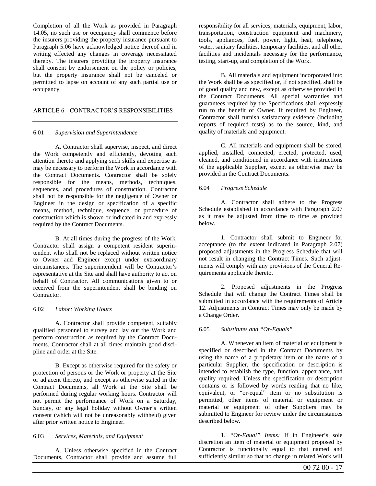Completion of all the Work as provided in Paragraph 14.05, no such use or occupancy shall commence before the insurers providing the property insurance pursuant to Paragraph 5.06 have acknowledged notice thereof and in writing effected any changes in coverage necessitated thereby. The insurers providing the property insurance shall consent by endorsement on the policy or policies, but the property insurance shall not be canceled or permitted to lapse on account of any such partial use or occupancy.

# ARTICLE 6 - CONTRACTOR'S RESPONSIBILITIES

## 6.01 *Supervision and Superintendence*

A. Contractor shall supervise, inspect, and direct the Work competently and efficiently, devoting such attention thereto and applying such skills and expertise as may be necessary to perform the Work in accordance with the Contract Documents. Contractor shall be solely responsible for the means, methods, techniques, sequences, and procedures of construction. Contractor shall not be responsible for the negligence of Owner or Engineer in the design or specification of a specific means, method, technique, sequence, or procedure of construction which is shown or indicated in and expressly required by the Contract Documents.

B. At all times during the progress of the Work, Contractor shall assign a competent resident superintendent who shall not be replaced without written notice to Owner and Engineer except under extraordinary circumstances. The superintendent will be Contractor's representative at the Site and shall have authority to act on behalf of Contractor. All communications given to or received from the superintendent shall be binding on Contractor.

#### 6.02 *Labor; Working Hours*

A. Contractor shall provide competent, suitably qualified personnel to survey and lay out the Work and perform construction as required by the Contract Documents. Contractor shall at all times maintain good discipline and order at the Site.

B. Except as otherwise required for the safety or protection of persons or the Work or property at the Site or adjacent thereto, and except as otherwise stated in the Contract Documents, all Work at the Site shall be performed during regular working hours. Contractor will not permit the performance of Work on a Saturday, Sunday, or any legal holiday without Owner's written consent (which will not be unreasonably withheld) given after prior written notice to Engineer.

# 6.03 *Services, Materials, and Equipment*

A. Unless otherwise specified in the Contract Documents, Contractor shall provide and assume full

responsibility for all services, materials, equipment, labor, transportation, construction equipment and machinery, tools, appliances, fuel, power, light, heat, telephone, water, sanitary facilities, temporary facilities, and all other facilities and incidentals necessary for the performance, testing, start-up, and completion of the Work.

B. All materials and equipment incorporated into the Work shall be as specified or, if not specified, shall be of good quality and new, except as otherwise provided in the Contract Documents. All special warranties and guarantees required by the Specifications shall expressly run to the benefit of Owner. If required by Engineer, Contractor shall furnish satisfactory evidence (including reports of required tests) as to the source, kind, and quality of materials and equipment.

C. All materials and equipment shall be stored, applied, installed, connected, erected, protected, used, cleaned, and conditioned in accordance with instructions of the applicable Supplier, except as otherwise may be provided in the Contract Documents.

#### 6.04 *Progress Schedule*

A. Contractor shall adhere to the Progress Schedule established in accordance with Paragraph 2.07 as it may be adjusted from time to time as provided below.

1. Contractor shall submit to Engineer for acceptance (to the extent indicated in Paragraph 2.07) proposed adjustments in the Progress Schedule that will not result in changing the Contract Times. Such adjustments will comply with any provisions of the General Requirements applicable thereto.

2. Proposed adjustments in the Progress Schedule that will change the Contract Times shall be submitted in accordance with the requirements of Article 12. Adjustments in Contract Times may only be made by a Change Order.

#### 6.05 *Substitutes and "Or-Equals"*

A. Whenever an item of material or equipment is specified or described in the Contract Documents by using the name of a proprietary item or the name of a particular Supplier, the specification or description is intended to establish the type, function, appearance, and quality required. Unless the specification or description contains or is followed by words reading that no like, equivalent, or "or-equal" item or no substitution is permitted, other items of material or equipment or material or equipment of other Suppliers may be submitted to Engineer for review under the circumstances described below.

1. *"Or-Equal" Items:* If in Engineer's sole discretion an item of material or equipment proposed by Contractor is functionally equal to that named and sufficiently similar so that no change in related Work will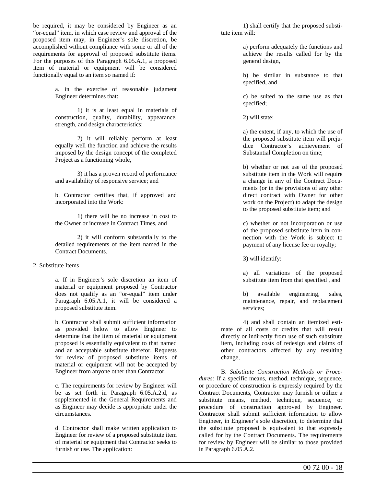be required, it may be considered by Engineer as an "or-equal" item, in which case review and approval of the proposed item may, in Engineer's sole discretion, be accomplished without compliance with some or all of the requirements for approval of proposed substitute items. For the purposes of this Paragraph 6.05.A.1, a proposed item of material or equipment will be considered functionally equal to an item so named if:

> a. in the exercise of reasonable judgment Engineer determines that:

> 1) it is at least equal in materials of construction, quality, durability, appearance, strength, and design characteristics;

> 2) it will reliably perform at least equally well the function and achieve the results imposed by the design concept of the completed Project as a functioning whole,

> 3) it has a proven record of performance and availability of responsive service; and

> b. Contractor certifies that, if approved and incorporated into the Work:

> 1) there will be no increase in cost to the Owner or increase in Contract Times, and

> 2) it will conform substantially to the detailed requirements of the item named in the Contract Documents.

2. Substitute Items

a. If in Engineer's sole discretion an item of material or equipment proposed by Contractor does not qualify as an "or-equal" item under Paragraph 6.05.A.1, it will be considered a proposed substitute item.

b. Contractor shall submit sufficient information as provided below to allow Engineer to determine that the item of material or equipment proposed is essentially equivalent to that named and an acceptable substitute therefor. Requests for review of proposed substitute items of material or equipment will not be accepted by Engineer from anyone other than Contractor.

c. The requirements for review by Engineer will be as set forth in Paragraph 6.05.A.2.d, as supplemented in the General Requirements and as Engineer may decide is appropriate under the circumstances.

d. Contractor shall make written application to Engineer for review of a proposed substitute item of material or equipment that Contractor seeks to furnish or use. The application:

1) shall certify that the proposed substitute item will:

> a) perform adequately the functions and achieve the results called for by the general design,

> b) be similar in substance to that specified, and

> c) be suited to the same use as that specified;

2) will state:

a) the extent, if any, to which the use of the proposed substitute item will prejudice Contractor's achievement of Substantial Completion on time;

b) whether or not use of the proposed substitute item in the Work will require a change in any of the Contract Documents (or in the provisions of any other direct contract with Owner for other work on the Project) to adapt the design to the proposed substitute item; and

c) whether or not incorporation or use of the proposed substitute item in connection with the Work is subject to payment of any license fee or royalty;

3) will identify:

a) all variations of the proposed substitute item from that specified , and

b) available engineering, sales, maintenance, repair, and replacement services;

4) and shall contain an itemized estimate of all costs or credits that will result directly or indirectly from use of such substitute item, including costs of redesign and claims of other contractors affected by any resulting change,

B. *Substitute Construction Methods or Procedures:* If a specific means, method, technique, sequence, or procedure of construction is expressly required by the Contract Documents, Contractor may furnish or utilize a substitute means, method, technique, sequence, or procedure of construction approved by Engineer. Contractor shall submit sufficient information to allow Engineer, in Engineer's sole discretion, to determine that the substitute proposed is equivalent to that expressly called for by the Contract Documents. The requirements for review by Engineer will be similar to those provided in Paragraph 6.05.A.2.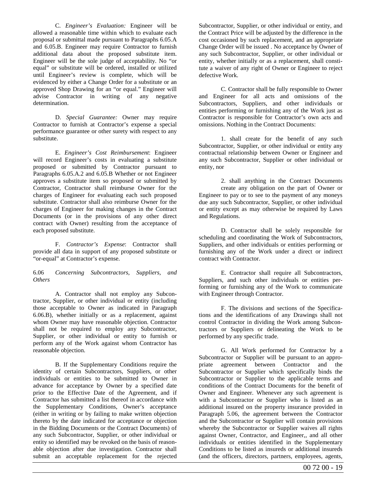C. *Engineer's Evaluation:* Engineer will be allowed a reasonable time within which to evaluate each proposal or submittal made pursuant to Paragraphs 6.05.A and 6.05.B. Engineer may require Contractor to furnish additional data about the proposed substitute item. Engineer will be the sole judge of acceptability. No "or equal" or substitute will be ordered, installed or utilized until Engineer's review is complete, which will be evidenced by either a Change Order for a substitute or an approved Shop Drawing for an "or equal." Engineer will advise Contractor in writing of any negative determination.

D. *Special Guarantee:* Owner may require Contractor to furnish at Contractor's expense a special performance guarantee or other surety with respect to any substitute.

E. *Engineer's Cost Reimbursement*: Engineer will record Engineer's costs in evaluating a substitute proposed or submitted by Contractor pursuant to Paragraphs 6.05.A.2 and 6.05.B Whether or not Engineer approves a substitute item so proposed or submitted by Contractor, Contractor shall reimburse Owner for the charges of Engineer for evaluating each such proposed substitute. Contractor shall also reimburse Owner for the charges of Engineer for making changes in the Contract Documents (or in the provisions of any other direct contract with Owner) resulting from the acceptance of each proposed substitute.

F. *Contractor's Expense*: Contractor shall provide all data in support of any proposed substitute or "or-equal" at Contractor's expense.

6.06 *Concerning Subcontractors, Suppliers, and Others*

A. Contractor shall not employ any Subcontractor, Supplier, or other individual or entity (including those acceptable to Owner as indicated in Paragraph 6.06.B), whether initially or as a replacement, against whom Owner may have reasonable objection. Contractor shall not be required to employ any Subcontractor, Supplier, or other individual or entity to furnish or perform any of the Work against whom Contractor has reasonable objection.

B. If the Supplementary Conditions require the identity of certain Subcontractors, Suppliers, or other individuals or entities to be submitted to Owner in advance for acceptance by Owner by a specified date prior to the Effective Date of the Agreement, and if Contractor has submitted a list thereof in accordance with the Supplementary Conditions, Owner's acceptance (either in writing or by failing to make written objection thereto by the date indicated for acceptance or objection in the Bidding Documents or the Contract Documents) of any such Subcontractor, Supplier, or other individual or entity so identified may be revoked on the basis of reasonable objection after due investigation. Contractor shall submit an acceptable replacement for the rejected

Subcontractor, Supplier, or other individual or entity, and the Contract Price will be adjusted by the difference in the cost occasioned by such replacement, and an appropriate Change Order will be issued . No acceptance by Owner of any such Subcontractor, Supplier, or other individual or entity, whether initially or as a replacement, shall constitute a waiver of any right of Owner or Engineer to reject defective Work.

C. Contractor shall be fully responsible to Owner and Engineer for all acts and omissions of the Subcontractors, Suppliers, and other individuals or entities performing or furnishing any of the Work just as Contractor is responsible for Contractor's own acts and omissions. Nothing in the Contract Documents:

1. shall create for the benefit of any such Subcontractor, Supplier, or other individual or entity any contractual relationship between Owner or Engineer and any such Subcontractor, Supplier or other individual or entity, nor

2. shall anything in the Contract Documents create any obligation on the part of Owner or Engineer to pay or to see to the payment of any moneys due any such Subcontractor, Supplier, or other individual or entity except as may otherwise be required by Laws and Regulations.

D. Contractor shall be solely responsible for scheduling and coordinating the Work of Subcontractors, Suppliers, and other individuals or entities performing or furnishing any of the Work under a direct or indirect contract with Contractor.

E. Contractor shall require all Subcontractors, Suppliers, and such other individuals or entities performing or furnishing any of the Work to communicate with Engineer through Contractor.

F. The divisions and sections of the Specifications and the identifications of any Drawings shall not control Contractor in dividing the Work among Subcontractors or Suppliers or delineating the Work to be performed by any specific trade.

G. All Work performed for Contractor by a Subcontractor or Supplier will be pursuant to an appropriate agreement between Contractor and the Subcontractor or Supplier which specifically binds the Subcontractor or Supplier to the applicable terms and conditions of the Contract Documents for the benefit of Owner and Engineer. Whenever any such agreement is with a Subcontractor or Supplier who is listed as an additional insured on the property insurance provided in Paragraph 5.06, the agreement between the Contractor and the Subcontractor or Supplier will contain provisions whereby the Subcontractor or Supplier waives all rights against Owner, Contractor, and Engineer,, and all other individuals or entities identified in the Supplementary Conditions to be listed as insureds or additional insureds (and the officers, directors, partners, employees, agents,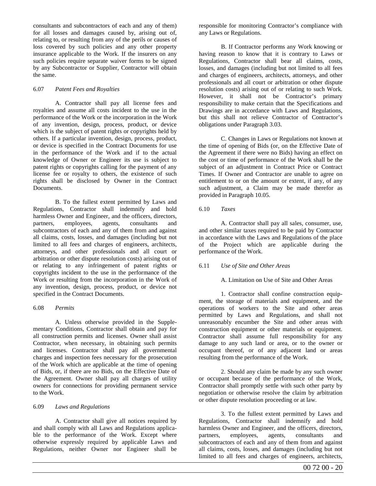consultants and subcontractors of each and any of them) for all losses and damages caused by, arising out of, relating to, or resulting from any of the perils or causes of loss covered by such policies and any other property insurance applicable to the Work. If the insurers on any such policies require separate waiver forms to be signed by any Subcontractor or Supplier, Contractor will obtain the same.

## 6.07 *Patent Fees and Royalties*

A. Contractor shall pay all license fees and royalties and assume all costs incident to the use in the performance of the Work or the incorporation in the Work of any invention, design, process, product, or device which is the subject of patent rights or copyrights held by others. If a particular invention, design, process, product, or device is specified in the Contract Documents for use in the performance of the Work and if to the actual knowledge of Owner or Engineer its use is subject to patent rights or copyrights calling for the payment of any license fee or royalty to others, the existence of such rights shall be disclosed by Owner in the Contract Documents.

B. To the fullest extent permitted by Laws and Regulations, Contractor shall indemnify and hold harmless Owner and Engineer, and the officers, directors, partners, employees, agents, consultants and partners, employees, agents, consultants and subcontractors of each and any of them from and against all claims, costs, losses, and damages (including but not limited to all fees and charges of engineers, architects, attorneys, and other professionals and all court or arbitration or other dispute resolution costs) arising out of or relating to any infringement of patent rights or copyrights incident to the use in the performance of the Work or resulting from the incorporation in the Work of any invention, design, process, product, or device not specified in the Contract Documents.

#### 6.08 *Permits*

A. Unless otherwise provided in the Supplementary Conditions, Contractor shall obtain and pay for all construction permits and licenses. Owner shall assist Contractor, when necessary, in obtaining such permits and licenses. Contractor shall pay all governmental charges and inspection fees necessary for the prosecution of the Work which are applicable at the time of opening of Bids, or, if there are no Bids, on the Effective Date of the Agreement. Owner shall pay all charges of utility owners for connections for providing permanent service to the Work.

#### 6.09 *Laws and Regulations*

A. Contractor shall give all notices required by and shall comply with all Laws and Regulations applicable to the performance of the Work. Except where otherwise expressly required by applicable Laws and Regulations, neither Owner nor Engineer shall be

responsible for monitoring Contractor's compliance with any Laws or Regulations.

B. If Contractor performs any Work knowing or having reason to know that it is contrary to Laws or Regulations, Contractor shall bear all claims, costs, losses, and damages (including but not limited to all fees and charges of engineers, architects, attorneys, and other professionals and all court or arbitration or other dispute resolution costs) arising out of or relating to such Work. However, it shall not be Contractor's primary responsibility to make certain that the Specifications and Drawings are in accordance with Laws and Regulations, but this shall not relieve Contractor of Contractor's obligations under Paragraph 3.03.

C. Changes in Laws or Regulations not known at the time of opening of Bids (or, on the Effective Date of the Agreement if there were no Bids) having an effect on the cost or time of performance of the Work shall be the subject of an adjustment in Contract Price or Contract Times. If Owner and Contractor are unable to agree on entitlement to or on the amount or extent, if any, of any such adjustment, a Claim may be made therefor as provided in Paragraph 10.05.

# 6.10 *Taxes*

A. Contractor shall pay all sales, consumer, use, and other similar taxes required to be paid by Contractor in accordance with the Laws and Regulations of the place of the Project which are applicable during the performance of the Work.

#### 6.11 *Use of Site and Other Areas*

A. Limitation on Use of Site and Other Areas

1. Contractor shall confine construction equipment, the storage of materials and equipment, and the operations of workers to the Site and other areas permitted by Laws and Regulations, and shall not unreasonably encumber the Site and other areas with construction equipment or other materials or equipment. Contractor shall assume full responsibility for any damage to any such land or area, or to the owner or occupant thereof, or of any adjacent land or areas resulting from the performance of the Work.

2. Should any claim be made by any such owner or occupant because of the performance of the Work, Contractor shall promptly settle with such other party by negotiation or otherwise resolve the claim by arbitration or other dispute resolution proceeding or at law.

3. To the fullest extent permitted by Laws and Regulations, Contractor shall indemnify and hold harmless Owner and Engineer, and the officers, directors, partners, employees, agents, consultants and partners, employees, agents, consultants and subcontractors of each and any of them from and against all claims, costs, losses, and damages (including but not limited to all fees and charges of engineers, architects,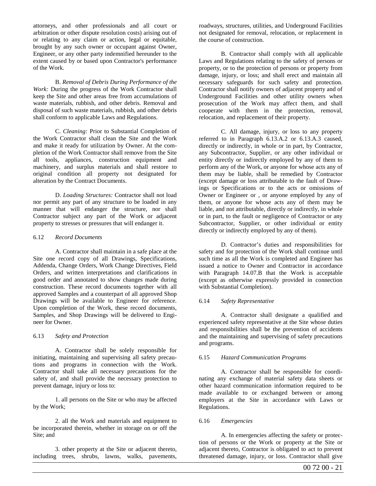attorneys, and other professionals and all court or arbitration or other dispute resolution costs) arising out of or relating to any claim or action, legal or equitable, brought by any such owner or occupant against Owner, Engineer, or any other party indemnified hereunder to the extent caused by or based upon Contractor's performance of the Work.

B. *Removal of Debris During Performance of the Work:* During the progress of the Work Contractor shall keep the Site and other areas free from accumulations of waste materials, rubbish, and other debris. Removal and disposal of such waste materials, rubbish, and other debris shall conform to applicable Laws and Regulations.

C. *Cleaning:* Prior to Substantial Completion of the Work Contractor shall clean the Site and the Work and make it ready for utilization by Owner. At the completion of the Work Contractor shall remove from the Site all tools, appliances, construction equipment and machinery, and surplus materials and shall restore to original condition all property not designated for alteration by the Contract Documents.

D. *Loading Structures:* Contractor shall not load nor permit any part of any structure to be loaded in any manner that will endanger the structure, nor shall Contractor subject any part of the Work or adjacent property to stresses or pressures that will endanger it.

#### 6.12 *Record Documents*

A. Contractor shall maintain in a safe place at the Site one record copy of all Drawings, Specifications, Addenda, Change Orders, Work Change Directives, Field Orders, and written interpretations and clarifications in good order and annotated to show changes made during construction. These record documents together with all approved Samples and a counterpart of all approved Shop Drawings will be available to Engineer for reference. Upon completion of the Work, these record documents, Samples, and Shop Drawings will be delivered to Engineer for Owner.

## 6.13 *Safety and Protection*

A. Contractor shall be solely responsible for initiating, maintaining and supervising all safety precautions and programs in connection with the Work. Contractor shall take all necessary precautions for the safety of, and shall provide the necessary protection to prevent damage, injury or loss to:

1. all persons on the Site or who may be affected by the Work;

2. all the Work and materials and equipment to be incorporated therein, whether in storage on or off the Site; and

3. other property at the Site or adjacent thereto, including trees, shrubs, lawns, walks, pavements, roadways, structures, utilities, and Underground Facilities not designated for removal, relocation, or replacement in the course of construction.

B. Contractor shall comply with all applicable Laws and Regulations relating to the safety of persons or property, or to the protection of persons or property from damage, injury, or loss; and shall erect and maintain all necessary safeguards for such safety and protection. Contractor shall notify owners of adjacent property and of Underground Facilities and other utility owners when prosecution of the Work may affect them, and shall cooperate with them in the protection, removal, relocation, and replacement of their property.

C. All damage, injury, or loss to any property referred to in Paragraph 6.13.A.2 or 6.13.A.3 caused, directly or indirectly, in whole or in part, by Contractor, any Subcontractor, Supplier, or any other individual or entity directly or indirectly employed by any of them to perform any of the Work, or anyone for whose acts any of them may be liable, shall be remedied by Contractor (except damage or loss attributable to the fault of Drawings or Specifications or to the acts or omissions of Owner or Engineer or , or anyone employed by any of them, or anyone for whose acts any of them may be liable, and not attributable, directly or indirectly, in whole or in part, to the fault or negligence of Contractor or any Subcontractor, Supplier, or other individual or entity directly or indirectly employed by any of them).

D. Contractor's duties and responsibilities for safety and for protection of the Work shall continue until such time as all the Work is completed and Engineer has issued a notice to Owner and Contractor in accordance with Paragraph 14.07.B that the Work is acceptable (except as otherwise expressly provided in connection with Substantial Completion).

#### 6.14 *Safety Representative*

A. Contractor shall designate a qualified and experienced safety representative at the Site whose duties and responsibilities shall be the prevention of accidents and the maintaining and supervising of safety precautions and programs.

#### 6.15 *Hazard Communication Programs*

A. Contractor shall be responsible for coordinating any exchange of material safety data sheets or other hazard communication information required to be made available to or exchanged between or among employers at the Site in accordance with Laws or Regulations.

#### 6.16 *Emergencies*

A. In emergencies affecting the safety or protection of persons or the Work or property at the Site or adjacent thereto, Contractor is obligated to act to prevent threatened damage, injury, or loss. Contractor shall give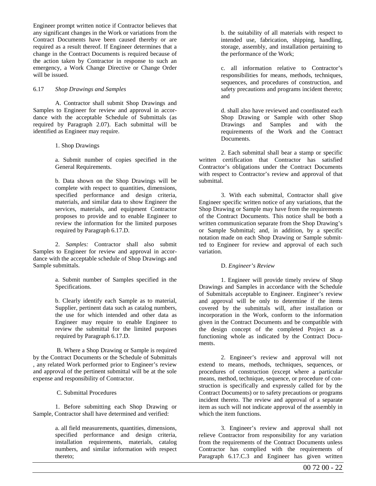Engineer prompt written notice if Contractor believes that any significant changes in the Work or variations from the Contract Documents have been caused thereby or are required as a result thereof. If Engineer determines that a change in the Contract Documents is required because of the action taken by Contractor in response to such an emergency, a Work Change Directive or Change Order will be issued.

## 6.17 *Shop Drawings and Samples*

A. Contractor shall submit Shop Drawings and Samples to Engineer for review and approval in accordance with the acceptable Schedule of Submittals (as required by Paragraph 2.07). Each submittal will be identified as Engineer may require.

1. Shop Drawings

a. Submit number of copies specified in the General Requirements.

b. Data shown on the Shop Drawings will be complete with respect to quantities, dimensions, specified performance and design criteria, materials, and similar data to show Engineer the services, materials, and equipment Contractor proposes to provide and to enable Engineer to review the information for the limited purposes required by Paragraph 6.17.D.

2. *Samples:* Contractor shall also submit Samples to Engineer for review and approval in accordance with the acceptable schedule of Shop Drawings and Sample submittals.

> a. Submit number of Samples specified in the Specifications.

> b. Clearly identify each Sample as to material, Supplier, pertinent data such as catalog numbers, the use for which intended and other data as Engineer may require to enable Engineer to review the submittal for the limited purposes required by Paragraph 6.17.D.

B. Where a Shop Drawing or Sample is required by the Contract Documents or the Schedule of Submittals , any related Work performed prior to Engineer's review and approval of the pertinent submittal will be at the sole expense and responsibility of Contractor.

C. Submittal Procedures

1. Before submitting each Shop Drawing or Sample, Contractor shall have determined and verified:

> a. all field measurements, quantities, dimensions, specified performance and design criteria, installation requirements, materials, catalog numbers, and similar information with respect thereto;

b. the suitability of all materials with respect to intended use, fabrication, shipping, handling, storage, assembly, and installation pertaining to the performance of the Work;

c. all information relative to Contractor's responsibilities for means, methods, techniques, sequences, and procedures of construction, and safety precautions and programs incident thereto; and

d. shall also have reviewed and coordinated each Shop Drawing or Sample with other Shop Drawings and Samples and with the requirements of the Work and the Contract Documents.

2. Each submittal shall bear a stamp or specific written certification that Contractor has satisfied Contractor's obligations under the Contract Documents with respect to Contractor's review and approval of that submittal.

3. With each submittal, Contractor shall give Engineer specific written notice of any variations, that the Shop Drawing or Sample may have from the requirements of the Contract Documents. This notice shall be both a written communication separate from the Shop Drawing's or Sample Submittal; and, in addition, by a specific notation made on each Shop Drawing or Sample submitted to Engineer for review and approval of each such variation.

#### D. *Engineer's Review*

1. Engineer will provide timely review of Shop Drawings and Samples in accordance with the Schedule of Submittals acceptable to Engineer. Engineer's review and approval will be only to determine if the items covered by the submittals will, after installation or incorporation in the Work, conform to the information given in the Contract Documents and be compatible with the design concept of the completed Project as a functioning whole as indicated by the Contract Documents.

2. Engineer's review and approval will not extend to means, methods, techniques, sequences, or procedures of construction (except where a particular means, method, technique, sequence, or procedure of construction is specifically and expressly called for by the Contract Documents) or to safety precautions or programs incident thereto. The review and approval of a separate item as such will not indicate approval of the assembly in which the item functions.

3. Engineer's review and approval shall not relieve Contractor from responsibility for any variation from the requirements of the Contract Documents unless Contractor has complied with the requirements of Paragraph 6.17.C.3 and Engineer has given written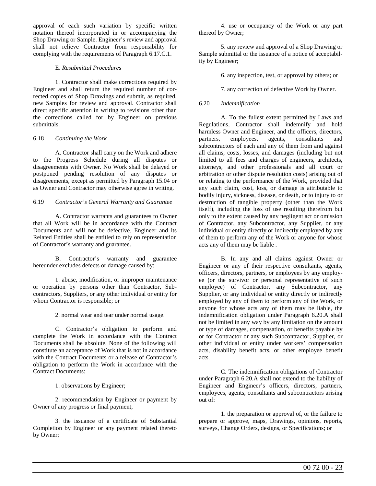approval of each such variation by specific written notation thereof incorporated in or accompanying the Shop Drawing or Sample. Engineer's review and approval shall not relieve Contractor from responsibility for complying with the requirements of Paragraph 6.17.C.1.

# E. *Resubmittal Procedures*

1. Contractor shall make corrections required by Engineer and shall return the required number of corrected copies of Shop Drawings and submit, as required, new Samples for review and approval. Contractor shall direct specific attention in writing to revisions other than the corrections called for by Engineer on previous submittals.

# 6.18 *Continuing the Work*

A. Contractor shall carry on the Work and adhere to the Progress Schedule during all disputes or disagreements with Owner. No Work shall be delayed or postponed pending resolution of any disputes or disagreements, except as permitted by Paragraph 15.04 or as Owner and Contractor may otherwise agree in writing.

# 6.19 *Contractor's General Warranty and Guarantee*

A. Contractor warrants and guarantees to Owner that all Work will be in accordance with the Contract Documents and will not be defective. Engineer and its Related Entities shall be entitled to rely on representation of Contractor's warranty and guarantee.

B. Contractor's warranty and guarantee hereunder excludes defects or damage caused by:

1. abuse, modification, or improper maintenance or operation by persons other than Contractor, Subcontractors, Suppliers, or any other individual or entity for whom Contractor is responsible; or

2. normal wear and tear under normal usage.

C. Contractor's obligation to perform and complete the Work in accordance with the Contract Documents shall be absolute. None of the following will constitute an acceptance of Work that is not in accordance with the Contract Documents or a release of Contractor's obligation to perform the Work in accordance with the Contract Documents:

1. observations by Engineer;

2. recommendation by Engineer or payment by Owner of any progress or final payment;

3. the issuance of a certificate of Substantial Completion by Engineer or any payment related thereto by Owner;

4. use or occupancy of the Work or any part thereof by Owner;

5. any review and approval of a Shop Drawing or Sample submittal or the issuance of a notice of acceptability by Engineer;

6. any inspection, test, or approval by others; or

7. any correction of defective Work by Owner.

# 6.20 *Indemnification*

A. To the fullest extent permitted by Laws and Regulations, Contractor shall indemnify and hold harmless Owner and Engineer, and the officers, directors, partners, employees, agents, consultants and subcontractors of each and any of them from and against all claims, costs, losses, and damages (including but not limited to all fees and charges of engineers, architects, attorneys, and other professionals and all court or arbitration or other dispute resolution costs) arising out of or relating to the performance of the Work, provided that any such claim, cost, loss, or damage is attributable to bodily injury, sickness, disease, or death, or to injury to or destruction of tangible property (other than the Work itself), including the loss of use resulting therefrom but only to the extent caused by any negligent act or omission of Contractor, any Subcontractor, any Supplier, or any individual or entity directly or indirectly employed by any of them to perform any of the Work or anyone for whose acts any of them may be liable .

B. In any and all claims against Owner or Engineer or any of their respective consultants, agents, officers, directors, partners, or employees by any employee (or the survivor or personal representative of such employee) of Contractor, any Subcontractor, any Supplier, or any individual or entity directly or indirectly employed by any of them to perform any of the Work, or anyone for whose acts any of them may be liable, the indemnification obligation under Paragraph 6.20.A shall not be limited in any way by any limitation on the amount or type of damages, compensation, or benefits payable by or for Contractor or any such Subcontractor, Supplier, or other individual or entity under workers' compensation acts, disability benefit acts, or other employee benefit acts.

C. The indemnification obligations of Contractor under Paragraph 6.20.A shall not extend to the liability of Engineer and Engineer's officers, directors, partners, employees, agents, consultants and subcontractors arising out of:

1. the preparation or approval of, or the failure to prepare or approve, maps, Drawings, opinions, reports, surveys, Change Orders, designs, or Specifications; or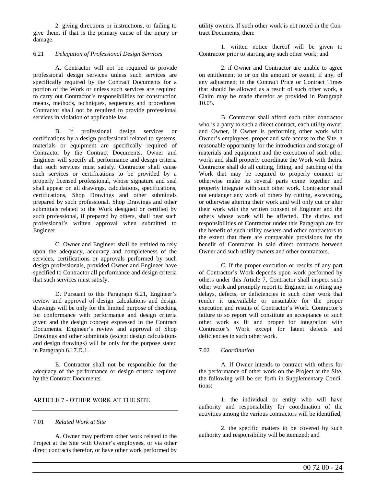2. giving directions or instructions, or failing to give them, if that is the primary cause of the injury or damage.

#### 6.21 *Delegation of Professional Design Services*

A. Contractor will not be required to provide professional design services unless such services are specifically required by the Contract Documents for a portion of the Work or unless such services are required to carry out Contractor's responsibilities for construction means, methods, techniques, sequences and procedures. Contractor shall not be required to provide professional services in violation of applicable law.

B. If professional design services or certifications by a design professional related to systems, materials or equipment are specifically required of Contractor by the Contract Documents, Owner and Engineer will specify all performance and design criteria that such services must satisfy. Contractor shall cause such services or certifications to be provided by a properly licensed professional, whose signature and seal shall appear on all drawings, calculations, specifications, certifications, Shop Drawings and other submittals prepared by such professional. Shop Drawings and other submittals related to the Work designed or certified by such professional, if prepared by others, shall bear such professional's written approval when submitted to Engineer.

C. Owner and Engineer shall be entitled to rely upon the adequacy, accuracy and completeness of the services, certifications or approvals performed by such design professionals, provided Owner and Engineer have specified to Contractor all performance and design criteria that such services must satisfy.

D. Pursuant to this Paragraph 6.21, Engineer's review and approval of design calculations and design drawings will be only for the limited purpose of checking for conformance with performance and design criteria given and the design concept expressed in the Contract Documents. Engineer's review and approval of Shop Drawings and other submittals (except design calculations and design drawings) will be only for the purpose stated in Paragraph 6.17.D.1.

E. Contractor shall not be responsible for the adequacy of the performance or design criteria required by the Contract Documents.

#### ARTICLE 7 - OTHER WORK AT THE SITE

7.01 *Related Work at Site*

A. Owner may perform other work related to the Project at the Site with Owner's employees, or via other direct contracts therefor, or have other work performed by utility owners. If such other work is not noted in the Contract Documents, then:

1. written notice thereof will be given to Contractor prior to starting any such other work; and

2. if Owner and Contractor are unable to agree on entitlement to or on the amount or extent, if any, of any adjustment in the Contract Price or Contract Times that should be allowed as a result of such other work, a Claim may be made therefor as provided in Paragraph 10.05.

B. Contractor shall afford each other contractor who is a party to such a direct contract, each utility owner and Owner, if Owner is performing other work with Owner's employees, proper and safe access to the Site, a reasonable opportunity for the introduction and storage of materials and equipment and the execution of such other work, and shall properly coordinate the Work with theirs. Contractor shall do all cutting, fitting, and patching of the Work that may be required to properly connect or otherwise make its several parts come together and properly integrate with such other work. Contractor shall not endanger any work of others by cutting, excavating, or otherwise altering their work and will only cut or alter their work with the written consent of Engineer and the others whose work will be affected. The duties and responsibilities of Contractor under this Paragraph are for the benefit of such utility owners and other contractors to the extent that there are comparable provisions for the benefit of Contractor in said direct contracts between Owner and such utility owners and other contractors.

C. If the proper execution or results of any part of Contractor's Work depends upon work performed by others under this Article 7, Contractor shall inspect such other work and promptly report to Engineer in writing any delays, defects, or deficiencies in such other work that render it unavailable or unsuitable for the proper execution and results of Contractor's Work. Contractor's failure to so report will constitute an acceptance of such other work as fit and proper for integration with Contractor's Work except for latent defects and deficiencies in such other work.

#### 7.02 *Coordination*

A. If Owner intends to contract with others for the performance of other work on the Project at the Site, the following will be set forth in Supplementary Conditions:

1. the individual or entity who will have authority and responsibility for coordination of the activities among the various contractors will be identified;

2. the specific matters to be covered by such authority and responsibility will be itemized; and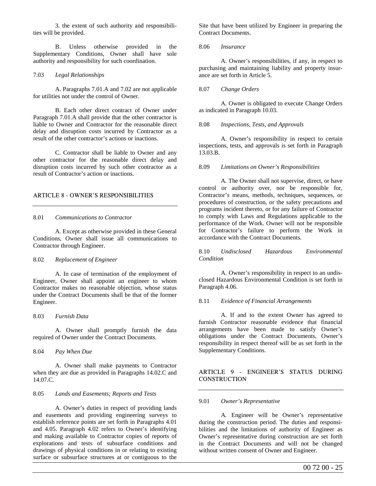3. the extent of such authority and responsibilities will be provided.

B. Unless otherwise provided in the Supplementary Conditions, Owner shall have sole authority and responsibility for such coordination.

#### 7.03 *Legal Relationships*

A. Paragraphs 7.01.A and 7.02 are not applicable for utilities not under the control of Owner.

B. Each other direct contract of Owner under Paragraph 7.01.A shall provide that the other contractor is liable to Owner and Contractor for the reasonable direct delay and disruption costs incurred by Contractor as a result of the other contractor's actions or inactions.

C. Contractor shall be liable to Owner and any other contractor for the reasonable direct delay and disruption costs incurred by such other contractor as a result of Contractor's action or inactions.

#### ARTICLE 8 - OWNER'S RESPONSIBILITIES

#### 8.01 *Communications to Contractor*

A. Except as otherwise provided in these General Conditions, Owner shall issue all communications to Contractor through Engineer.

#### 8.02 *Replacement of Engineer*

A. In case of termination of the employment of Engineer, Owner shall appoint an engineer to whom Contractor makes no reasonable objection, whose status under the Contract Documents shall be that of the former Engineer.

#### 8.03 *Furnish Data*

A. Owner shall promptly furnish the data required of Owner under the Contract Documents.

8.04 *Pay When Due*

A. Owner shall make payments to Contractor when they are due as provided in Paragraphs 14.02.C and 14.07.C.

#### 8.05 *Lands and Easements; Reports and Tests*

A. Owner's duties in respect of providing lands and easements and providing engineering surveys to establish reference points are set forth in Paragraphs 4.01 and 4.05. Paragraph 4.02 refers to Owner's identifying and making available to Contractor copies of reports of explorations and tests of subsurface conditions and drawings of physical conditions in or relating to existing surface or subsurface structures at or contiguous to the Site that have been utilized by Engineer in preparing the Contract Documents.

#### 8.06 *Insurance*

A. Owner's responsibilities, if any, in respect to purchasing and maintaining liability and property insurance are set forth in Article 5.

#### 8.07 *Change Orders*

A. Owner is obligated to execute Change Orders as indicated in Paragraph 10.03.

#### 8.08 *Inspections, Tests, and Approvals*

A. Owner's responsibility in respect to certain inspections, tests, and approvals is set forth in Paragraph 13.03.B.

#### 8.09 *Limitations on Owner's Responsibilities*

A. The Owner shall not supervise, direct, or have control or authority over, nor be responsible for, Contractor's means, methods, techniques, sequences, or procedures of construction, or the safety precautions and programs incident thereto, or for any failure of Contractor to comply with Laws and Regulations applicable to the performance of the Work. Owner will not be responsible for Contractor's failure to perform the Work in accordance with the Contract Documents.

8.10 *Undisclosed Hazardous Environmental Condition*

A. Owner's responsibility in respect to an undisclosed Hazardous Environmental Condition is set forth in Paragraph 4.06.

#### 8.11 *Evidence of Financial Arrangements*

A. If and to the extent Owner has agreed to furnish Contractor reasonable evidence that financial arrangements have been made to satisfy Owner's obligations under the Contract Documents, Owner's responsibility in respect thereof will be as set forth in the Supplementary Conditions.

## ARTICLE 9 - ENGINEER'S STATUS DURING **CONSTRUCTION**

#### 9.01 *Owner's Representative*

A. Engineer will be Owner's representative during the construction period. The duties and responsibilities and the limitations of authority of Engineer as Owner's representative during construction are set forth in the Contract Documents and will not be changed without written consent of Owner and Engineer.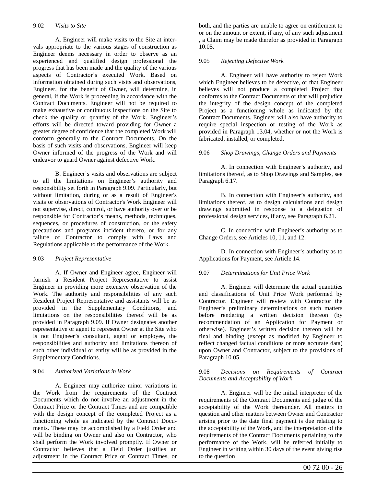A. Engineer will make visits to the Site at intervals appropriate to the various stages of construction as Engineer deems necessary in order to observe as an experienced and qualified design professional the progress that has been made and the quality of the various aspects of Contractor's executed Work. Based on information obtained during such visits and observations, Engineer, for the benefit of Owner, will determine, in general, if the Work is proceeding in accordance with the Contract Documents. Engineer will not be required to make exhaustive or continuous inspections on the Site to check the quality or quantity of the Work. Engineer's efforts will be directed toward providing for Owner a greater degree of confidence that the completed Work will conform generally to the Contract Documents. On the basis of such visits and observations, Engineer will keep Owner informed of the progress of the Work and will endeavor to guard Owner against defective Work.

B. Engineer's visits and observations are subject to all the limitations on Engineer's authority and responsibility set forth in Paragraph 9.09. Particularly, but without limitation, during or as a result of Engineer's visits or observations of Contractor's Work Engineer will not supervise, direct, control, or have authority over or be responsible for Contractor's means, methods, techniques, sequences, or procedures of construction, or the safety precautions and programs incident thereto, or for any failure of Contractor to comply with Laws and Regulations applicable to the performance of the Work.

### 9.03 *Project Representative*

A. If Owner and Engineer agree, Engineer will furnish a Resident Project Representative to assist Engineer in providing more extensive observation of the Work. The authority and responsibilities of any such Resident Project Representative and assistants will be as provided in the Supplementary Conditions, and limitations on the responsibilities thereof will be as provided in Paragraph 9.09. If Owner designates another representative or agent to represent Owner at the Site who is not Engineer's consultant, agent or employee, the responsibilities and authority and limitations thereon of such other individual or entity will be as provided in the Supplementary Conditions.

### 9.04 *Authorized Variations in Work*

A. Engineer may authorize minor variations in the Work from the requirements of the Contract Documents which do not involve an adjustment in the Contract Price or the Contract Times and are compatible with the design concept of the completed Project as a functioning whole as indicated by the Contract Documents. These may be accomplished by a Field Order and will be binding on Owner and also on Contractor, who shall perform the Work involved promptly. If Owner or Contractor believes that a Field Order justifies an adjustment in the Contract Price or Contract Times, or

both, and the parties are unable to agree on entitlement to or on the amount or extent, if any, of any such adjustment , a Claim may be made therefor as provided in Paragraph 10.05.

## 9.05 *Rejecting Defective Work*

A. Engineer will have authority to reject Work which Engineer believes to be defective, or that Engineer believes will not produce a completed Project that conforms to the Contract Documents or that will prejudice the integrity of the design concept of the completed Project as a functioning whole as indicated by the Contract Documents. Engineer will also have authority to require special inspection or testing of the Work as provided in Paragraph 13.04, whether or not the Work is fabricated, installed, or completed.

### 9.06 *Shop Drawings, Change Orders and Payments*

A. In connection with Engineer's authority, and limitations thereof, as to Shop Drawings and Samples, see Paragraph 6.17.

B. In connection with Engineer's authority, and limitations thereof, as to design calculations and design drawings submitted in response to a delegation of professional design services, if any, see Paragraph 6.21.

C. In connection with Engineer's authority as to Change Orders, see Articles 10, 11, and 12.

D. In connection with Engineer's authority as to Applications for Payment, see Article 14.

## 9.07 *Determinations for Unit Price Work*

A. Engineer will determine the actual quantities and classifications of Unit Price Work performed by Contractor. Engineer will review with Contractor the Engineer's preliminary determinations on such matters before rendering a written decision thereon (by recommendation of an Application for Payment or otherwise). Engineer's written decision thereon will be final and binding (except as modified by Engineer to reflect changed factual conditions or more accurate data) upon Owner and Contractor, subject to the provisions of Paragraph 10.05.

9.08 *Decisions on Requirements of Contract Documents and Acceptability of Work*

A. Engineer will be the initial interpreter of the requirements of the Contract Documents and judge of the acceptability of the Work thereunder. All matters in question and other matters between Owner and Contractor arising prior to the date final payment is due relating to the acceptability of the Work, and the interpretation of the requirements of the Contract Documents pertaining to the performance of the Work, will be referred initially to Engineer in writing within 30 days of the event giving rise to the question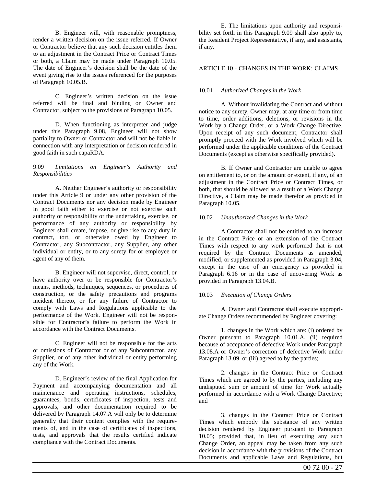B. Engineer will, with reasonable promptness, render a written decision on the issue referred. If Owner or Contractor believe that any such decision entitles them to an adjustment in the Contract Price or Contract Times or both, a Claim may be made under Paragraph 10.05. The date of Engineer's decision shall be the date of the event giving rise to the issues referenced for the purposes of Paragraph 10.05.B.

C. Engineer's written decision on the issue referred will be final and binding on Owner and Contractor, subject to the provisions of Paragraph 10.05.

D. When functioning as interpreter and judge under this Paragraph 9.08, Engineer will not show partiality to Owner or Contractor and will not be liable in connection with any interpretation or decision rendered in good faith in such capaRDA.

9.09 *Limitations on Engineer's Authority and Responsibilities*

A. Neither Engineer's authority or responsibility under this Article 9 or under any other provision of the Contract Documents nor any decision made by Engineer in good faith either to exercise or not exercise such authority or responsibility or the undertaking, exercise, or performance of any authority or responsibility by Engineer shall create, impose, or give rise to any duty in contract, tort, or otherwise owed by Engineer to Contractor, any Subcontractor, any Supplier, any other individual or entity, or to any surety for or employee or agent of any of them.

B. Engineer will not supervise, direct, control, or have authority over or be responsible for Contractor's means, methods, techniques, sequences, or procedures of construction, or the safety precautions and programs incident thereto, or for any failure of Contractor to comply with Laws and Regulations applicable to the performance of the Work. Engineer will not be responsible for Contractor's failure to perform the Work in accordance with the Contract Documents.

C. Engineer will not be responsible for the acts or omissions of Contractor or of any Subcontractor, any Supplier, or of any other individual or entity performing any of the Work.

D. Engineer's review of the final Application for Payment and accompanying documentation and all maintenance and operating instructions, schedules, guarantees, bonds, certificates of inspection, tests and approvals, and other documentation required to be delivered by Paragraph 14.07.A will only be to determine generally that their content complies with the requirements of, and in the case of certificates of inspections, tests, and approvals that the results certified indicate compliance with the Contract Documents.

E. The limitations upon authority and responsibility set forth in this Paragraph 9.09 shall also apply to, the Resident Project Representative, if any, and assistants, if any.

ARTICLE 10 - CHANGES IN THE WORK; CLAIMS

#### 10.01 *Authorized Changes in the Work*

A. Without invalidating the Contract and without notice to any surety, Owner may, at any time or from time to time, order additions, deletions, or revisions in the Work by a Change Order, or a Work Change Directive. Upon receipt of any such document, Contractor shall promptly proceed with the Work involved which will be performed under the applicable conditions of the Contract Documents (except as otherwise specifically provided).

B. If Owner and Contractor are unable to agree on entitlement to, or on the amount or extent, if any, of an adjustment in the Contract Price or Contract Times, or both, that should be allowed as a result of a Work Change Directive, a Claim may be made therefor as provided in Paragraph 10.05.

#### 10.02 *Unauthorized Changes in the Work*

A.Contractor shall not be entitled to an increase in the Contract Price or an extension of the Contract Times with respect to any work performed that is not required by the Contract Documents as amended, modified, or supplemented as provided in Paragraph 3.04, except in the case of an emergency as provided in Paragraph 6.16 or in the case of uncovering Work as provided in Paragraph 13.04.B.

#### 10.03 *Execution of Change Orders*

A. Owner and Contractor shall execute appropriate Change Orders recommended by Engineer covering:

1. changes in the Work which are: (i) ordered by Owner pursuant to Paragraph 10.01.A, (ii) required because of acceptance of defective Work under Paragraph 13.08.A or Owner's correction of defective Work under Paragraph 13.09, or (iii) agreed to by the parties;

2. changes in the Contract Price or Contract Times which are agreed to by the parties, including any undisputed sum or amount of time for Work actually performed in accordance with a Work Change Directive; and

3. changes in the Contract Price or Contract Times which embody the substance of any written decision rendered by Engineer pursuant to Paragraph 10.05; provided that, in lieu of executing any such Change Order, an appeal may be taken from any such decision in accordance with the provisions of the Contract Documents and applicable Laws and Regulations, but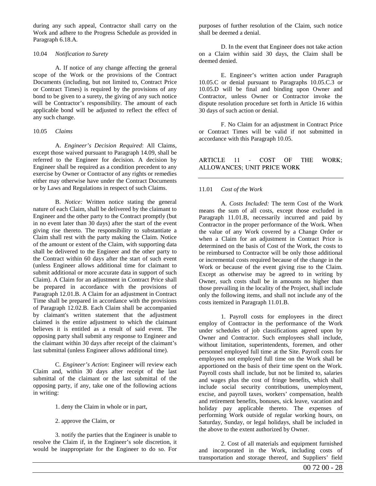during any such appeal, Contractor shall carry on the Work and adhere to the Progress Schedule as provided in Paragraph 6.18.A.

#### 10.04 *Notification to Surety*

A. If notice of any change affecting the general scope of the Work or the provisions of the Contract Documents (including, but not limited to, Contract Price or Contract Times) is required by the provisions of any bond to be given to a surety, the giving of any such notice will be Contractor's responsibility. The amount of each applicable bond will be adjusted to reflect the effect of any such change.

#### 10.05 *Claims*

A. *Engineer's Decision Required*: All Claims, except those waived pursuant to Paragraph 14.09, shall be referred to the Engineer for decision. A decision by Engineer shall be required as a condition precedent to any exercise by Owner or Contractor of any rights or remedies either may otherwise have under the Contract Documents or by Laws and Regulations in respect of such Claims.

B. *Notice:* Written notice stating the general nature of each Claim, shall be delivered by the claimant to Engineer and the other party to the Contract promptly (but in no event later than 30 days) after the start of the event giving rise thereto. The responsibility to substantiate a Claim shall rest with the party making the Claim. Notice of the amount or extent of the Claim, with supporting data shall be delivered to the Engineer and the other party to the Contract within 60 days after the start of such event (unless Engineer allows additional time for claimant to submit additional or more accurate data in support of such Claim). A Claim for an adjustment in Contract Price shall be prepared in accordance with the provisions of Paragraph 12.01.B. A Claim for an adjustment in Contract Time shall be prepared in accordance with the provisions of Paragraph 12.02.B. Each Claim shall be accompanied by claimant's written statement that the adjustment claimed is the entire adjustment to which the claimant believes it is entitled as a result of said event. The opposing party shall submit any response to Engineer and the claimant within 30 days after receipt of the claimant's last submittal (unless Engineer allows additional time).

C. *Engineer's Action*: Engineer will review each Claim and, within 30 days after receipt of the last submittal of the claimant or the last submittal of the opposing party, if any, take one of the following actions in writing:

- 1. deny the Claim in whole or in part,
- 2. approve the Claim, or

3. notify the parties that the Engineer is unable to resolve the Claim if, in the Engineer's sole discretion, it would be inappropriate for the Engineer to do so. For

purposes of further resolution of the Claim, such notice shall be deemed a denial.

D. In the event that Engineer does not take action on a Claim within said 30 days, the Claim shall be deemed denied.

E. Engineer's written action under Paragraph 10.05.C or denial pursuant to Paragraphs 10.05.C.3 or 10.05.D will be final and binding upon Owner and Contractor, unless Owner or Contractor invoke the dispute resolution procedure set forth in Article 16 within 30 days of such action or denial.

F. No Claim for an adjustment in Contract Price or Contract Times will be valid if not submitted in accordance with this Paragraph 10.05.

ARTICLE 11 - COST OF THE WORK; ALLOWANCES; UNIT PRICE WORK

### 11.01 *Cost of the Work*

A. *Costs Included:* The term Cost of the Work means the sum of all costs, except those excluded in Paragraph 11.01.B, necessarily incurred and paid by Contractor in the proper performance of the Work. When the value of any Work covered by a Change Order or when a Claim for an adjustment in Contract Price is determined on the basis of Cost of the Work, the costs to be reimbursed to Contractor will be only those additional or incremental costs required because of the change in the Work or because of the event giving rise to the Claim. Except as otherwise may be agreed to in writing by Owner, such costs shall be in amounts no higher than those prevailing in the locality of the Project, shall include only the following items, and shall not include any of the costs itemized in Paragraph 11.01.B.

1. Payroll costs for employees in the direct employ of Contractor in the performance of the Work under schedules of job classifications agreed upon by Owner and Contractor. Such employees shall include, without limitation, superintendents, foremen, and other personnel employed full time at the Site. Payroll costs for employees not employed full time on the Work shall be apportioned on the basis of their time spent on the Work. Payroll costs shall include, but not be limited to, salaries and wages plus the cost of fringe benefits, which shall include social security contributions, unemployment, excise, and payroll taxes, workers' compensation, health and retirement benefits, bonuses, sick leave, vacation and holiday pay applicable thereto. The expenses of performing Work outside of regular working hours, on Saturday, Sunday, or legal holidays, shall be included in the above to the extent authorized by Owner.

2. Cost of all materials and equipment furnished and incorporated in the Work, including costs of transportation and storage thereof, and Suppliers' field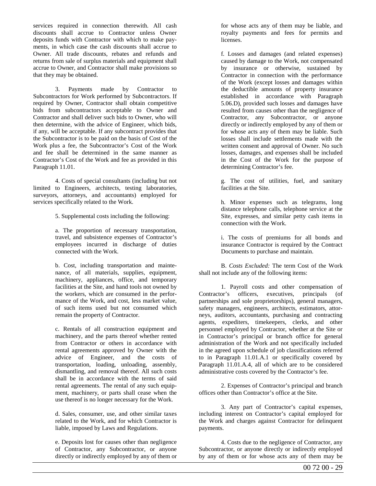services required in connection therewith. All cash discounts shall accrue to Contractor unless Owner deposits funds with Contractor with which to make payments, in which case the cash discounts shall accrue to Owner. All trade discounts, rebates and refunds and returns from sale of surplus materials and equipment shall accrue to Owner, and Contractor shall make provisions so that they may be obtained.

3. Payments made by Contractor to Subcontractors for Work performed by Subcontractors. If required by Owner, Contractor shall obtain competitive bids from subcontractors acceptable to Owner and Contractor and shall deliver such bids to Owner, who will then determine, with the advice of Engineer, which bids, if any, will be acceptable. If any subcontract provides that the Subcontractor is to be paid on the basis of Cost of the Work plus a fee, the Subcontractor's Cost of the Work and fee shall be determined in the same manner as Contractor's Cost of the Work and fee as provided in this Paragraph 11.01.

4. Costs of special consultants (including but not limited to Engineers, architects, testing laboratories, surveyors, attorneys, and accountants) employed for services specifically related to the Work.

5. Supplemental costs including the following:

a. The proportion of necessary transportation, travel, and subsistence expenses of Contractor's employees incurred in discharge of duties connected with the Work.

b. Cost, including transportation and maintenance, of all materials, supplies, equipment, machinery, appliances, office, and temporary facilities at the Site, and hand tools not owned by the workers, which are consumed in the performance of the Work, and cost, less market value, of such items used but not consumed which remain the property of Contractor.

c. Rentals of all construction equipment and machinery, and the parts thereof whether rented from Contractor or others in accordance with rental agreements approved by Owner with the advice of Engineer, and the costs of transportation, loading, unloading, assembly, dismantling, and removal thereof. All such costs shall be in accordance with the terms of said rental agreements. The rental of any such equipment, machinery, or parts shall cease when the use thereof is no longer necessary for the Work.

d. Sales, consumer, use, and other similar taxes related to the Work, and for which Contractor is liable, imposed by Laws and Regulations.

e. Deposits lost for causes other than negligence of Contractor, any Subcontractor, or anyone directly or indirectly employed by any of them or for whose acts any of them may be liable, and royalty payments and fees for permits and licenses.

f. Losses and damages (and related expenses) caused by damage to the Work, not compensated by insurance or otherwise, sustained by Contractor in connection with the performance of the Work (except losses and damages within the deductible amounts of property insurance established in accordance with Paragraph 5.06.D), provided such losses and damages have resulted from causes other than the negligence of Contractor, any Subcontractor, or anyone directly or indirectly employed by any of them or for whose acts any of them may be liable. Such losses shall include settlements made with the written consent and approval of Owner. No such losses, damages, and expenses shall be included in the Cost of the Work for the purpose of determining Contractor's fee.

g. The cost of utilities, fuel, and sanitary facilities at the Site.

h. Minor expenses such as telegrams, long distance telephone calls, telephone service at the Site, expresses, and similar petty cash items in connection with the Work.

i. The costs of premiums for all bonds and insurance Contractor is required by the Contract Documents to purchase and maintain.

B. *Costs Excluded:* The term Cost of the Work shall not include any of the following items:

1. Payroll costs and other compensation of Contractor's officers, executives, principals (of partnerships and sole proprietorships), general managers, safety managers, engineers, architects, estimators, attorneys, auditors, accountants, purchasing and contracting agents, expediters, timekeepers, clerks, and other personnel employed by Contractor, whether at the Site or in Contractor's principal or branch office for general administration of the Work and not specifically included in the agreed upon schedule of job classifications referred to in Paragraph 11.01.A.1 or specifically covered by Paragraph 11.01.A.4, all of which are to be considered administrative costs covered by the Contractor's fee.

2. Expenses of Contractor's principal and branch offices other than Contractor's office at the Site.

3. Any part of Contractor's capital expenses, including interest on Contractor's capital employed for the Work and charges against Contractor for delinquent payments.

4. Costs due to the negligence of Contractor, any Subcontractor, or anyone directly or indirectly employed by any of them or for whose acts any of them may be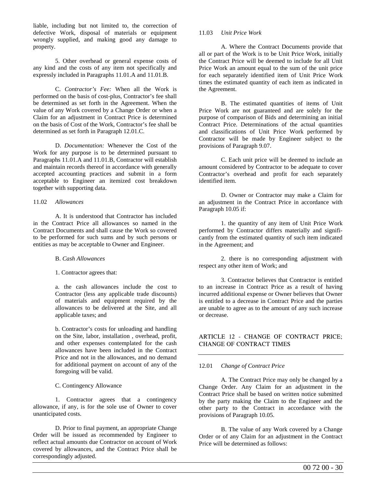liable, including but not limited to, the correction of defective Work, disposal of materials or equipment wrongly supplied, and making good any damage to property.

5. Other overhead or general expense costs of any kind and the costs of any item not specifically and expressly included in Paragraphs 11.01.A and 11.01.B.

C. *Contractor's Fee:* When all the Work is performed on the basis of cost-plus, Contractor's fee shall be determined as set forth in the Agreement. When the value of any Work covered by a Change Order or when a Claim for an adjustment in Contract Price is determined on the basis of Cost of the Work, Contractor's fee shall be determined as set forth in Paragraph 12.01.C.

D. *Documentation:* Whenever the Cost of the Work for any purpose is to be determined pursuant to Paragraphs 11.01.A and 11.01.B, Contractor will establish and maintain records thereof in accordance with generally accepted accounting practices and submit in a form acceptable to Engineer an itemized cost breakdown together with supporting data.

11.02 *Allowances*

A. It is understood that Contractor has included in the Contract Price all allowances so named in the Contract Documents and shall cause the Work so covered to be performed for such sums and by such persons or entities as may be acceptable to Owner and Engineer.

#### B. *Cash Allowances*

1. Contractor agrees that:

a. the cash allowances include the cost to Contractor (less any applicable trade discounts) of materials and equipment required by the allowances to be delivered at the Site, and all applicable taxes; and

b. Contractor's costs for unloading and handling on the Site, labor, installation , overhead, profit, and other expenses contemplated for the cash allowances have been included in the Contract Price and not in the allowances, and no demand for additional payment on account of any of the foregoing will be valid.

#### C. Contingency Allowance

1. Contractor agrees that a contingency allowance, if any, is for the sole use of Owner to cover unanticipated costs.

D. Prior to final payment, an appropriate Change Order will be issued as recommended by Engineer to reflect actual amounts due Contractor on account of Work covered by allowances, and the Contract Price shall be correspondingly adjusted.

#### 11.03 *Unit Price Work*

A. Where the Contract Documents provide that all or part of the Work is to be Unit Price Work, initially the Contract Price will be deemed to include for all Unit Price Work an amount equal to the sum of the unit price for each separately identified item of Unit Price Work times the estimated quantity of each item as indicated in the Agreement.

B. The estimated quantities of items of Unit Price Work are not guaranteed and are solely for the purpose of comparison of Bids and determining an initial Contract Price. Determinations of the actual quantities and classifications of Unit Price Work performed by Contractor will be made by Engineer subject to the provisions of Paragraph 9.07.

C. Each unit price will be deemed to include an amount considered by Contractor to be adequate to cover Contractor's overhead and profit for each separately identified item.

D. Owner or Contractor may make a Claim for an adjustment in the Contract Price in accordance with Paragraph 10.05 if:

1. the quantity of any item of Unit Price Work performed by Contractor differs materially and significantly from the estimated quantity of such item indicated in the Agreement; and

2. there is no corresponding adjustment with respect any other item of Work; and

3. Contractor believes that Contractor is entitled to an increase in Contract Price as a result of having incurred additional expense or Owner believes that Owner is entitled to a decrease in Contract Price and the parties are unable to agree as to the amount of any such increase or decrease.

#### ARTICLE 12 - CHANGE OF CONTRACT PRICE; CHANGE OF CONTRACT TIMES

### 12.01 *Change of Contract Price*

A. The Contract Price may only be changed by a Change Order. Any Claim for an adjustment in the Contract Price shall be based on written notice submitted by the party making the Claim to the Engineer and the other party to the Contract in accordance with the provisions of Paragraph 10.05.

B. The value of any Work covered by a Change Order or of any Claim for an adjustment in the Contract Price will be determined as follows: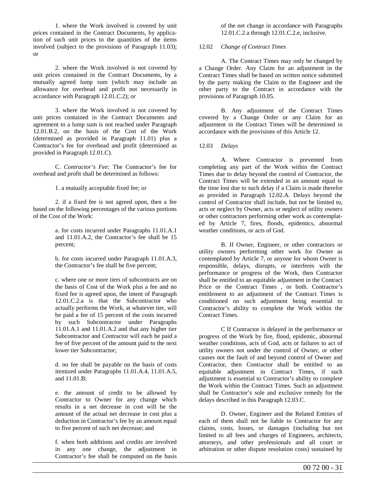1. where the Work involved is covered by unit prices contained in the Contract Documents, by application of such unit prices to the quantities of the items involved (subject to the provisions of Paragraph 11.03); or

2. where the Work involved is not covered by unit prices contained in the Contract Documents, by a mutually agreed lump sum (which may include an allowance for overhead and profit not necessarily in accordance with Paragraph 12.01.C.2); or

3. where the Work involved is not covered by unit prices contained in the Contract Documents and agreement to a lump sum is not reached under Paragraph 12.01.B.2, on the basis of the Cost of the Work (determined as provided in Paragraph 11.01) plus a Contractor's fee for overhead and profit (determined as provided in Paragraph 12.01.C).

C. *Contractor's Fee:* The Contractor's fee for overhead and profit shall be determined as follows:

1. a mutually acceptable fixed fee; or

2. if a fixed fee is not agreed upon, then a fee based on the following percentages of the various portions of the Cost of the Work:

> a. for costs incurred under Paragraphs 11.01.A.1 and 11.01.A.2, the Contractor's fee shall be 15 percent;

> b. for costs incurred under Paragraph 11.01.A.3, the Contractor's fee shall be five percent;

c. where one or more tiers of subcontracts are on the basis of Cost of the Work plus a fee and no fixed fee is agreed upon, the intent of Paragraph 12.01.C.2.a is that the Subcontractor who actually performs the Work, at whatever tier, will be paid a fee of 15 percent of the costs incurred by such Subcontractor under Paragraphs 11.01.A.1 and 11.01.A.2 and that any higher tier Subcontractor and Contractor will each be paid a fee of five percent of the amount paid to the next lower tier Subcontractor;

d. no fee shall be payable on the basis of costs itemized under Paragraphs 11.01.A.4, 11.01.A.5, and 11.01.B;

e. the amount of credit to be allowed by Contractor to Owner for any change which results in a net decrease in cost will be the amount of the actual net decrease in cost plus a deduction in Contractor's fee by an amount equal to five percent of such net decrease; and

f. when both additions and credits are involved in any one change, the adjustment in Contractor's fee shall be computed on the basis

of the net change in accordance with Paragraphs 12.01.C.2.a through 12.01.C.2.e, inclusive.

### 12.02 *Change of Contract Times*

A. The Contract Times may only be changed by a Change Order. Any Claim for an adjustment in the Contract Times shall be based on written notice submitted by the party making the Claim to the Engineer and the other party to the Contract in accordance with the provisions of Paragraph 10.05.

B. Any adjustment of the Contract Times covered by a Change Order or any Claim for an adjustment in the Contract Times will be determined in accordance with the provisions of this Article 12.

### 12.03 *Delays*

A. Where Contractor is prevented from completing any part of the Work within the Contract Times due to delay beyond the control of Contractor, the Contract Times will be extended in an amount equal to the time lost due to such delay if a Claim is made therefor as provided in Paragraph 12.02.A. Delays beyond the control of Contractor shall include, but not be limited to, acts or neglect by Owner, acts or neglect of utility owners or other contractors performing other work as contemplated by Article 7, fires, floods, epidemics, abnormal weather conditions, or acts of God.

B. If Owner, Engineer, or other contractors or utility owners performing other work for Owner as contemplated by Article 7, or anyone for whom Owner is responsible, delays, disrupts, or interferes with the performance or progress of the Work, then Contractor shall be entitled to an equitable adjustment in the Contract Price or the Contract Times , or both. Contractor's entitlement to an adjustment of the Contract Times is conditioned on such adjustment being essential to Contractor's ability to complete the Work within the Contract Times.

C If Contractor is delayed in the performance or progress of the Work by fire, flood, epidemic, abnormal weather conditions, acts of God, acts or failures to act of utility owners not under the control of Owner, or other causes not the fault of and beyond control of Owner and Contractor, then Contractor shall be entitled to an equitable adjustment in Contract Times, if such adjustment is essential to Contractor's ability to complete the Work within the Contract Times. Such an adjustment shall be Contractor's sole and exclusive remedy for the delays described in this Paragraph 12.03.C.

D. Owner, Engineer and the Related Entities of each of them shall not be liable to Contractor for any claims, costs, losses, or damages (including but not limited to all fees and charges of Engineers, architects, attorneys, and other professionals and all court or arbitration or other dispute resolution costs) sustained by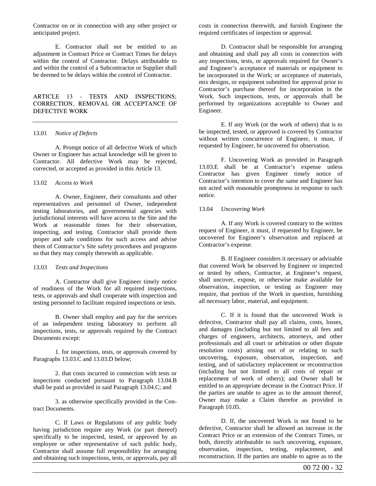Contractor on or in connection with any other project or anticipated project.

E. Contractor shall not be entitled to an adjustment in Contract Price or Contract Times for delays within the control of Contractor. Delays attributable to and within the control of a Subcontractor or Supplier shall be deemed to be delays within the control of Contractor.

### ARTICLE 13 - TESTS AND INSPECTIONS; CORRECTION, REMOVAL OR ACCEPTANCE OF DEFECTIVE WORK

#### 13.01 *Notice of Defects*

A. Prompt notice of all defective Work of which Owner or Engineer has actual knowledge will be given to Contractor. All defective Work may be rejected, corrected, or accepted as provided in this Article 13.

#### 13.02 *Access to Work*

A. Owner, Engineer, their consultants and other representatives and personnel of Owner, independent testing laboratories, and governmental agencies with jurisdictional interests will have access to the Site and the Work at reasonable times for their observation, inspecting, and testing. Contractor shall provide them proper and safe conditions for such access and advise them of Contractor's Site safety procedures and programs so that they may comply therewith as applicable.

### 13.03 *Tests and Inspections*

A. Contractor shall give Engineer timely notice of readiness of the Work for all required inspections, tests, or approvals and shall cooperate with inspection and testing personnel to facilitate required inspections or tests.

B. Owner shall employ and pay for the services of an independent testing laboratory to perform all inspections, tests, or approvals required by the Contract Documents except:

1. for inspections, tests, or approvals covered by Paragraphs 13.03.C and 13.03.D below;

2. that costs incurred in connection with tests or inspections conducted pursuant to Paragraph 13.04.B shall be paid as provided in said Paragraph 13.04.C; and

3. as otherwise specifically provided in the Contract Documents.

C. If Laws or Regulations of any public body having jurisdiction require any Work (or part thereof) specifically to be inspected, tested, or approved by an employee or other representative of such public body, Contractor shall assume full responsibility for arranging and obtaining such inspections, tests, or approvals, pay all

costs in connection therewith, and furnish Engineer the required certificates of inspection or approval.

D. Contractor shall be responsible for arranging and obtaining and shall pay all costs in connection with any inspections, tests, or approvals required for Owner's and Engineer's acceptance of materials or equipment to be incorporated in the Work; or acceptance of materials, mix designs, or equipment submitted for approval prior to Contractor's purchase thereof for incorporation in the Work. Such inspections, tests, or approvals shall be performed by organizations acceptable to Owner and Engineer.

E. If any Work (or the work of others) that is to be inspected, tested, or approved is covered by Contractor without written concurrence of Engineer, it must, if requested by Engineer, be uncovered for observation.

F. Uncovering Work as provided in Paragraph 13.03.E shall be at Contractor's expense unless Contractor has given Engineer timely notice of Contractor's intention to cover the same and Engineer has not acted with reasonable promptness in response to such notice.

### 13.04 *Uncovering Work*

A. If any Work is covered contrary to the written request of Engineer, it must, if requested by Engineer, be uncovered for Engineer's observation and replaced at Contractor's expense.

B. If Engineer considers it necessary or advisable that covered Work be observed by Engineer or inspected or tested by others, Contractor, at Engineer's request, shall uncover, expose, or otherwise make available for observation, inspection, or testing as Engineer may require, that portion of the Work in question, furnishing all necessary labor, material, and equipment.

C. If it is found that the uncovered Work is defective, Contractor shall pay all claims, costs, losses, and damages (including but not limited to all fees and charges of engineers, architects, attorneys, and other professionals and all court or arbitration or other dispute resolution costs) arising out of or relating to such uncovering, exposure, observation, inspection, and testing, and of satisfactory replacement or reconstruction (including but not limited to all costs of repair or replacement of work of others); and Owner shall be entitled to an appropriate decrease in the Contract Price. If the parties are unable to agree as to the amount thereof, Owner may make a Claim therefor as provided in Paragraph 10.05.

D. If, the uncovered Work is not found to be defective, Contractor shall be allowed an increase in the Contract Price or an extension of the Contract Times, or both, directly attributable to such uncovering, exposure, observation, inspection, testing, replacement, and reconstruction. If the parties are unable to agree as to the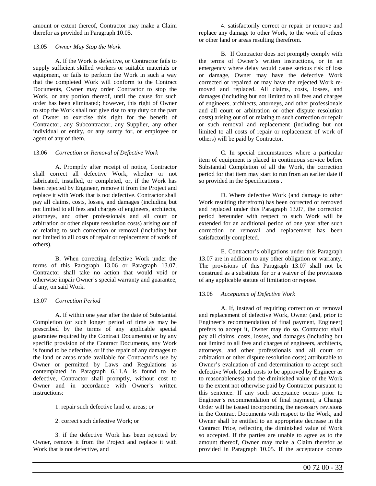amount or extent thereof, Contractor may make a Claim therefor as provided in Paragraph 10.05.

### 13.05 *Owner May Stop the Work*

A. If the Work is defective, or Contractor fails to supply sufficient skilled workers or suitable materials or equipment, or fails to perform the Work in such a way that the completed Work will conform to the Contract Documents, Owner may order Contractor to stop the Work, or any portion thereof, until the cause for such order has been eliminated; however, this right of Owner to stop the Work shall not give rise to any duty on the part of Owner to exercise this right for the benefit of Contractor, any Subcontractor, any Supplier, any other individual or entity, or any surety for, or employee or agent of any of them.

### 13.06 *Correction or Removal of Defective Work*

A. Promptly after receipt of notice, Contractor shall correct all defective Work, whether or not fabricated, installed, or completed, or, if the Work has been rejected by Engineer, remove it from the Project and replace it with Work that is not defective. Contractor shall pay all claims, costs, losses, and damages (including but not limited to all fees and charges of engineers, architects, attorneys, and other professionals and all court or arbitration or other dispute resolution costs) arising out of or relating to such correction or removal (including but not limited to all costs of repair or replacement of work of others).

B. When correcting defective Work under the terms of this Paragraph 13.06 or Paragraph 13.07, Contractor shall take no action that would void or otherwise impair Owner's special warranty and guarantee, if any, on said Work.

### 13.07 *Correction Period*

A. If within one year after the date of Substantial Completion (or such longer period of time as may be prescribed by the terms of any applicable special guarantee required by the Contract Documents) or by any specific provision of the Contract Documents, any Work is found to be defective, or if the repair of any damages to the land or areas made available for Contractor's use by Owner or permitted by Laws and Regulations as contemplated in Paragraph 6.11.A is found to be defective, Contractor shall promptly, without cost to Owner and in accordance with Owner's written instructions:

- 1. repair such defective land or areas; or
- 2. correct such defective Work; or

3. if the defective Work has been rejected by Owner, remove it from the Project and replace it with Work that is not defective, and

4. satisfactorily correct or repair or remove and replace any damage to other Work, to the work of others or other land or areas resulting therefrom.

B. If Contractor does not promptly comply with the terms of Owner's written instructions, or in an emergency where delay would cause serious risk of loss or damage, Owner may have the defective Work corrected or repaired or may have the rejected Work removed and replaced. All claims, costs, losses, and damages (including but not limited to all fees and charges of engineers, architects, attorneys, and other professionals and all court or arbitration or other dispute resolution costs) arising out of or relating to such correction or repair or such removal and replacement (including but not limited to all costs of repair or replacement of work of others) will be paid by Contractor.

C. In special circumstances where a particular item of equipment is placed in continuous service before Substantial Completion of all the Work, the correction period for that item may start to run from an earlier date if so provided in the Specifications .

D. Where defective Work (and damage to other Work resulting therefrom) has been corrected or removed and replaced under this Paragraph 13.07, the correction period hereunder with respect to such Work will be extended for an additional period of one year after such correction or removal and replacement has been satisfactorily completed.

E. Contractor's obligations under this Paragraph 13.07 are in addition to any other obligation or warranty. The provisions of this Paragraph 13.07 shall not be construed as a substitute for or a waiver of the provisions of any applicable statute of limitation or repose.

## 13.08 *Acceptance of Defective Work*

A. If, instead of requiring correction or removal and replacement of defective Work, Owner (and, prior to Engineer's recommendation of final payment, Engineer) prefers to accept it, Owner may do so. Contractor shall pay all claims, costs, losses, and damages (including but not limited to all fees and charges of engineers, architects, attorneys, and other professionals and all court or arbitration or other dispute resolution costs) attributable to Owner's evaluation of and determination to accept such defective Work (such costs to be approved by Engineer as to reasonableness) and the diminished value of the Work to the extent not otherwise paid by Contractor pursuant to this sentence. If any such acceptance occurs prior to Engineer's recommendation of final payment, a Change Order will be issued incorporating the necessary revisions in the Contract Documents with respect to the Work, and Owner shall be entitled to an appropriate decrease in the Contract Price, reflecting the diminished value of Work so accepted. If the parties are unable to agree as to the amount thereof, Owner may make a Claim therefor as provided in Paragraph 10.05. If the acceptance occurs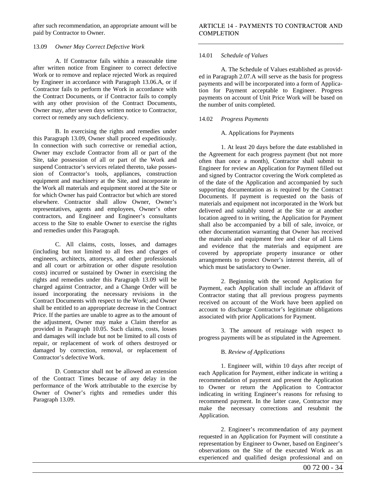after such recommendation, an appropriate amount will be paid by Contractor to Owner.

### 13.09 *Owner May Correct Defective Work*

A. If Contractor fails within a reasonable time after written notice from Engineer to correct defective Work or to remove and replace rejected Work as required by Engineer in accordance with Paragraph 13.06.A, or if Contractor fails to perform the Work in accordance with the Contract Documents, or if Contractor fails to comply with any other provision of the Contract Documents, Owner may, after seven days written notice to Contractor, correct or remedy any such deficiency.

B. In exercising the rights and remedies under this Paragraph 13.09, Owner shall proceed expeditiously. In connection with such corrective or remedial action, Owner may exclude Contractor from all or part of the Site, take possession of all or part of the Work and suspend Contractor's services related thereto, take possession of Contractor's tools, appliances, construction equipment and machinery at the Site, and incorporate in the Work all materials and equipment stored at the Site or for which Owner has paid Contractor but which are stored elsewhere. Contractor shall allow Owner, Owner's representatives, agents and employees, Owner's other contractors, and Engineer and Engineer's consultants access to the Site to enable Owner to exercise the rights and remedies under this Paragraph.

C. All claims, costs, losses, and damages (including but not limited to all fees and charges of engineers, architects, attorneys, and other professionals and all court or arbitration or other dispute resolution costs) incurred or sustained by Owner in exercising the rights and remedies under this Paragraph 13.09 will be charged against Contractor, and a Change Order will be issued incorporating the necessary revisions in the Contract Documents with respect to the Work; and Owner shall be entitled to an appropriate decrease in the Contract Price. If the parties are unable to agree as to the amount of the adjustment, Owner may make a Claim therefor as provided in Paragraph 10.05. Such claims, costs, losses and damages will include but not be limited to all costs of repair, or replacement of work of others destroyed or damaged by correction, removal, or replacement of Contractor's defective Work.

D. Contractor shall not be allowed an extension of the Contract Times because of any delay in the performance of the Work attributable to the exercise by Owner of Owner's rights and remedies under this Paragraph 13.09.

### 14.01 *Schedule of Values*

A. The Schedule of Values established as provided in Paragraph 2.07.A will serve as the basis for progress payments and will be incorporated into a form of Application for Payment acceptable to Engineer. Progress payments on account of Unit Price Work will be based on the number of units completed.

#### 14.02 *Progress Payments*

#### A. Applications for Payments

1. At least 20 days before the date established in the Agreement for each progress payment (but not more often than once a month), Contractor shall submit to Engineer for review an Application for Payment filled out and signed by Contractor covering the Work completed as of the date of the Application and accompanied by such supporting documentation as is required by the Contract Documents. If payment is requested on the basis of materials and equipment not incorporated in the Work but delivered and suitably stored at the Site or at another location agreed to in writing, the Application for Payment shall also be accompanied by a bill of sale, invoice, or other documentation warranting that Owner has received the materials and equipment free and clear of all Liens and evidence that the materials and equipment are covered by appropriate property insurance or other arrangements to protect Owner's interest therein, all of which must be satisfactory to Owner.

2. Beginning with the second Application for Payment, each Application shall include an affidavit of Contractor stating that all previous progress payments received on account of the Work have been applied on account to discharge Contractor's legitimate obligations associated with prior Applications for Payment.

3. The amount of retainage with respect to progress payments will be as stipulated in the Agreement.

### B. *Review of Applications*

1. Engineer will, within 10 days after receipt of each Application for Payment, either indicate in writing a recommendation of payment and present the Application to Owner or return the Application to Contractor indicating in writing Engineer's reasons for refusing to recommend payment. In the latter case, Contractor may make the necessary corrections and resubmit the Application.

2. Engineer's recommendation of any payment requested in an Application for Payment will constitute a representation by Engineer to Owner, based on Engineer's observations on the Site of the executed Work as an experienced and qualified design professional and on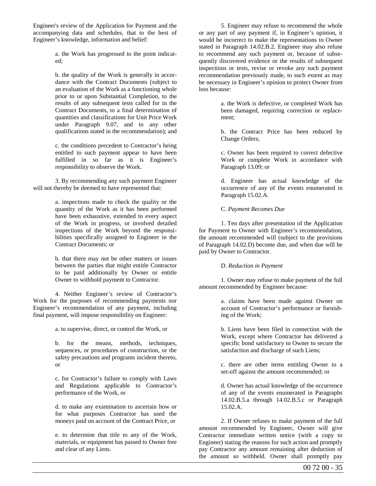Engineer's review of the Application for Payment and the accompanying data and schedules, that to the best of Engineer's knowledge, information and belief:

> a. the Work has progressed to the point indicated;

> b. the quality of the Work is generally in accordance with the Contract Documents (subject to an evaluation of the Work as a functioning whole prior to or upon Substantial Completion, to the results of any subsequent tests called for in the Contract Documents, to a final determination of quantities and classifications for Unit Price Work under Paragraph 9.07, and to any other qualifications stated in the recommendation); and

> c. the conditions precedent to Contractor's being entitled to such payment appear to have been fulfilled in so far as it is Engineer's responsibility to observe the Work.

3. By recommending any such payment Engineer will not thereby be deemed to have represented that:

> a. inspections made to check the quality or the quantity of the Work as it has been performed have been exhaustive, extended to every aspect of the Work in progress, or involved detailed inspections of the Work beyond the responsibilities specifically assigned to Engineer in the Contract Documents; or

> b. that there may not be other matters or issues between the parties that might entitle Contractor to be paid additionally by Owner or entitle Owner to withhold payment to Contractor.

4. Neither Engineer's review of Contractor's Work for the purposes of recommending payments nor Engineer's recommendation of any payment, including final payment, will impose responsibility on Engineer:

a. to supervise, direct, or control the Work, or

b. for the means, methods, techniques, sequences, or procedures of construction, or the safety precautions and programs incident thereto, or

c. for Contractor's failure to comply with Laws and Regulations applicable to Contractor's performance of the Work, or

d. to make any examination to ascertain how or for what purposes Contractor has used the moneys paid on account of the Contract Price, or

e. to determine that title to any of the Work, materials, or equipment has passed to Owner free and clear of any Liens.

5. Engineer may refuse to recommend the whole or any part of any payment if, in Engineer's opinion, it would be incorrect to make the representations to Owner stated in Paragraph 14.02.B.2. Engineer may also refuse to recommend any such payment or, because of subsequently discovered evidence or the results of subsequent inspections or tests, revise or revoke any such payment recommendation previously made, to such extent as may be necessary in Engineer's opinion to protect Owner from loss because:

> a. the Work is defective, or completed Work has been damaged, requiring correction or replacement;

> b. the Contract Price has been reduced by Change Orders;

> c. Owner has been required to correct defective Work or complete Work in accordance with Paragraph 13.09; or

> d. Engineer has actual knowledge of the occurrence of any of the events enumerated in Paragraph 15.02.A.

## C. *Payment Becomes Due*

1. Ten days after presentation of the Application for Payment to Owner with Engineer's recommendation, the amount recommended will (subject to the provisions of Paragraph 14.02.D) become due, and when due will be paid by Owner to Contractor.

### D. *Reduction in Payment*

1. Owner may refuse to make payment of the full amount recommended by Engineer because:

> a. claims have been made against Owner on account of Contractor's performance or furnishing of the Work;

> b. Liens have been filed in connection with the Work, except where Contractor has delivered a specific bond satisfactory to Owner to secure the satisfaction and discharge of such Liens;

> c. there are other items entitling Owner to a set-off against the amount recommended; or

> d. Owner has actual knowledge of the occurrence of any of the events enumerated in Paragraphs 14.02.B.5.a through 14.02.B.5.c or Paragraph 15.02.A.

2. If Owner refuses to make payment of the full amount recommended by Engineer, Owner will give Contractor immediate written notice (with a copy to Engineer) stating the reasons for such action and promptly pay Contractor any amount remaining after deduction of the amount so withheld. Owner shall promptly pay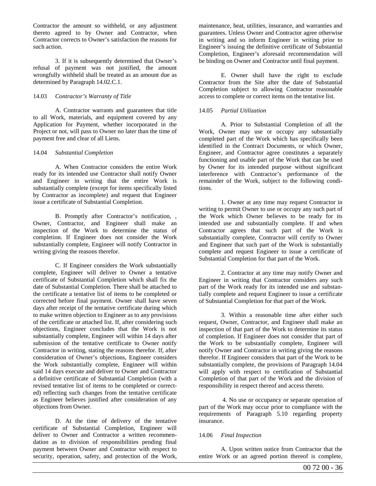Contractor the amount so withheld, or any adjustment thereto agreed to by Owner and Contractor, when Contractor corrects to Owner's satisfaction the reasons for such action.

3. If it is subsequently determined that Owner's refusal of payment was not justified, the amount wrongfully withheld shall be treated as an amount due as determined by Paragraph 14.02.C.1.

#### 14.03 *Contractor's Warranty of Title*

A. Contractor warrants and guarantees that title to all Work, materials, and equipment covered by any Application for Payment, whether incorporated in the Project or not, will pass to Owner no later than the time of payment free and clear of all Liens.

#### 14.04 *Substantial Completion*

A. When Contractor considers the entire Work ready for its intended use Contractor shall notify Owner and Engineer in writing that the entire Work is substantially complete (except for items specifically listed by Contractor as incomplete) and request that Engineer issue a certificate of Substantial Completion.

B. Promptly after Contractor's notification, , Owner, Contractor, and Engineer shall make an inspection of the Work to determine the status of completion. If Engineer does not consider the Work substantially complete, Engineer will notify Contractor in writing giving the reasons therefor.

C. If Engineer considers the Work substantially complete, Engineer will deliver to Owner a tentative certificate of Substantial Completion which shall fix the date of Substantial Completion. There shall be attached to the certificate a tentative list of items to be completed or corrected before final payment. Owner shall have seven days after receipt of the tentative certificate during which to make written objection to Engineer as to any provisions of the certificate or attached list. If, after considering such objections, Engineer concludes that the Work is not substantially complete, Engineer will within 14 days after submission of the tentative certificate to Owner notify Contractor in writing, stating the reasons therefor. If, after consideration of Owner's objections, Engineer considers the Work substantially complete, Engineer will within said 14 days execute and deliver to Owner and Contractor a definitive certificate of Substantial Completion (with a revised tentative list of items to be completed or corrected) reflecting such changes from the tentative certificate as Engineer believes justified after consideration of any objections from Owner.

D. At the time of delivery of the tentative certificate of Substantial Completion, Engineer will deliver to Owner and Contractor a written recommendation as to division of responsibilities pending final payment between Owner and Contractor with respect to security, operation, safety, and protection of the Work, maintenance, heat, utilities, insurance, and warranties and guarantees. Unless Owner and Contractor agree otherwise in writing and so inform Engineer in writing prior to Engineer's issuing the definitive certificate of Substantial Completion, Engineer's aforesaid recommendation will be binding on Owner and Contractor until final payment.

E. Owner shall have the right to exclude Contractor from the Site after the date of Substantial Completion subject to allowing Contractor reasonable access to complete or correct items on the tentative list.

#### 14.05 *Partial Utilization*

A. Prior to Substantial Completion of all the Work, Owner may use or occupy any substantially completed part of the Work which has specifically been identified in the Contract Documents, or which Owner, Engineer, and Contractor agree constitutes a separately functioning and usable part of the Work that can be used by Owner for its intended purpose without significant interference with Contractor's performance of the remainder of the Work, subject to the following conditions.

1. Owner at any time may request Contractor in writing to permit Owner to use or occupy any such part of the Work which Owner believes to be ready for its intended use and substantially complete. If and when Contractor agrees that such part of the Work is substantially complete, Contractor will certify to Owner and Engineer that such part of the Work is substantially complete and request Engineer to issue a certificate of Substantial Completion for that part of the Work.

2. Contractor at any time may notify Owner and Engineer in writing that Contractor considers any such part of the Work ready for its intended use and substantially complete and request Engineer to issue a certificate of Substantial Completion for that part of the Work.

3. Within a reasonable time after either such request, Owner, Contractor, and Engineer shall make an inspection of that part of the Work to determine its status of completion. If Engineer does not consider that part of the Work to be substantially complete, Engineer will notify Owner and Contractor in writing giving the reasons therefor. If Engineer considers that part of the Work to be substantially complete, the provisions of Paragraph 14.04 will apply with respect to certification of Substantial Completion of that part of the Work and the division of responsibility in respect thereof and access thereto.

4. No use or occupancy or separate operation of part of the Work may occur prior to compliance with the requirements of Paragraph 5.10 regarding property insurance.

#### 14.06 *Final Inspection*

A. Upon written notice from Contractor that the entire Work or an agreed portion thereof is complete,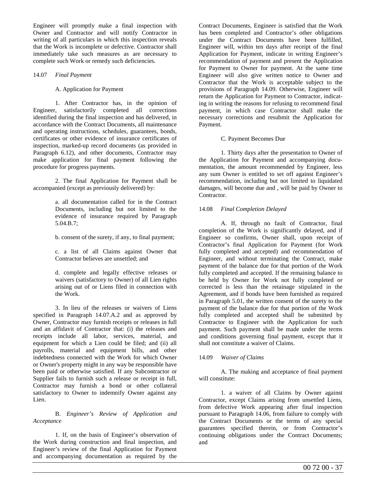Engineer will promptly make a final inspection with Owner and Contractor and will notify Contractor in writing of all particulars in which this inspection reveals that the Work is incomplete or defective. Contractor shall immediately take such measures as are necessary to complete such Work or remedy such deficiencies.

#### 14.07 *Final Payment*

#### A. Application for Payment

1. After Contractor has, in the opinion of Engineer, satisfactorily completed all corrections identified during the final inspection and has delivered, in accordance with the Contract Documents, all maintenance and operating instructions, schedules, guarantees, bonds, certificates or other evidence of insurance certificates of inspection, marked-up record documents (as provided in Paragraph 6.12), and other documents, Contractor may make application for final payment following the procedure for progress payments.

2. The final Application for Payment shall be accompanied (except as previously delivered) by:

> a. all documentation called for in the Contract Documents, including but not limited to the evidence of insurance required by Paragraph 5.04.B.7;

b. consent of the surety, if any, to final payment;

c. a list of all Claims against Owner that Contractor believes are unsettled; and

d. complete and legally effective releases or waivers (satisfactory to Owner) of all Lien rights arising out of or Liens filed in connection with the Work.

3. In lieu of the releases or waivers of Liens specified in Paragraph 14.07.A.2 and as approved by Owner, Contractor may furnish receipts or releases in full and an affidavit of Contractor that: (i) the releases and receipts include all labor, services, material, and equipment for which a Lien could be filed; and (ii) all payrolls, material and equipment bills, and other indebtedness connected with the Work for which Owner or Owner's property might in any way be responsible have been paid or otherwise satisfied. If any Subcontractor or Supplier fails to furnish such a release or receipt in full, Contractor may furnish a bond or other collateral satisfactory to Owner to indemnify Owner against any Lien.

### B. *Engineer's Review of Application and Acceptance*

1. If, on the basis of Engineer's observation of the Work during construction and final inspection, and Engineer's review of the final Application for Payment and accompanying documentation as required by the

Contract Documents, Engineer is satisfied that the Work has been completed and Contractor's other obligations under the Contract Documents have been fulfilled, Engineer will, within ten days after receipt of the final Application for Payment, indicate in writing Engineer's recommendation of payment and present the Application for Payment to Owner for payment. At the same time Engineer will also give written notice to Owner and Contractor that the Work is acceptable subject to the provisions of Paragraph 14.09. Otherwise, Engineer will return the Application for Payment to Contractor, indicating in writing the reasons for refusing to recommend final payment, in which case Contractor shall make the necessary corrections and resubmit the Application for Payment.

#### C. Payment Becomes Due

1. Thirty days after the presentation to Owner of the Application for Payment and accompanying documentation, the amount recommended by Engineer, less any sum Owner is entitled to set off against Engineer's recommendation, including but not limited to liquidated damages, will become due and , will be paid by Owner to Contractor.

#### 14.08 *Final Completion Delayed*

A. If, through no fault of Contractor, final completion of the Work is significantly delayed, and if Engineer so confirms, Owner shall, upon receipt of Contractor's final Application for Payment (for Work fully completed and accepted) and recommendation of Engineer, and without terminating the Contract, make payment of the balance due for that portion of the Work fully completed and accepted. If the remaining balance to be held by Owner for Work not fully completed or corrected is less than the retainage stipulated in the Agreement, and if bonds have been furnished as required in Paragraph 5.01, the written consent of the surety to the payment of the balance due for that portion of the Work fully completed and accepted shall be submitted by Contractor to Engineer with the Application for such payment. Such payment shall be made under the terms and conditions governing final payment, except that it shall not constitute a waiver of Claims.

#### 14.09 *Waiver of Claims*

A. The making and acceptance of final payment will constitute:

1. a waiver of all Claims by Owner against Contractor, except Claims arising from unsettled Liens, from defective Work appearing after final inspection pursuant to Paragraph 14.06, from failure to comply with the Contract Documents or the terms of any special guarantees specified therein, or from Contractor's continuing obligations under the Contract Documents; and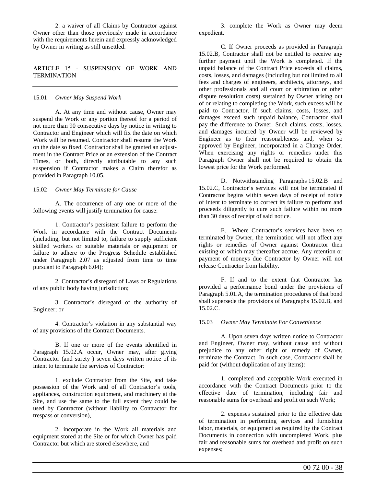2. a waiver of all Claims by Contractor against Owner other than those previously made in accordance with the requirements herein and expressly acknowledged by Owner in writing as still unsettled.

### ARTICLE 15 - SUSPENSION OF WORK AND **TERMINATION**

15.01 *Owner May Suspend Work*

A. At any time and without cause, Owner may suspend the Work or any portion thereof for a period of not more than 90 consecutive days by notice in writing to Contractor and Engineer which will fix the date on which Work will be resumed. Contractor shall resume the Work on the date so fixed. Contractor shall be granted an adjustment in the Contract Price or an extension of the Contract Times, or both, directly attributable to any such suspension if Contractor makes a Claim therefor as provided in Paragraph 10.05.

15.02 *Owner May Terminate for Cause*

A. The occurrence of any one or more of the following events will justify termination for cause:

1. Contractor's persistent failure to perform the Work in accordance with the Contract Documents (including, but not limited to, failure to supply sufficient skilled workers or suitable materials or equipment or failure to adhere to the Progress Schedule established under Paragraph 2.07 as adjusted from time to time pursuant to Paragraph 6.04);

2. Contractor's disregard of Laws or Regulations of any public body having jurisdiction;

3. Contractor's disregard of the authority of Engineer; or

4. Contractor's violation in any substantial way of any provisions of the Contract Documents.

B. If one or more of the events identified in Paragraph 15.02.A occur, Owner may, after giving Contractor (and surety ) seven days written notice of its intent to terminate the services of Contractor:

1. exclude Contractor from the Site, and take possession of the Work and of all Contractor's tools, appliances, construction equipment, and machinery at the Site, and use the same to the full extent they could be used by Contractor (without liability to Contractor for trespass or conversion),

2. incorporate in the Work all materials and equipment stored at the Site or for which Owner has paid Contractor but which are stored elsewhere, and

3. complete the Work as Owner may deem expedient.

C. If Owner proceeds as provided in Paragraph 15.02.B, Contractor shall not be entitled to receive any further payment until the Work is completed. If the unpaid balance of the Contract Price exceeds all claims, costs, losses, and damages (including but not limited to all fees and charges of engineers, architects, attorneys, and other professionals and all court or arbitration or other dispute resolution costs) sustained by Owner arising out of or relating to completing the Work, such excess will be paid to Contractor. If such claims, costs, losses, and damages exceed such unpaid balance, Contractor shall pay the difference to Owner. Such claims, costs, losses, and damages incurred by Owner will be reviewed by Engineer as to their reasonableness and, when so approved by Engineer, incorporated in a Change Order. When exercising any rights or remedies under this Paragraph Owner shall not be required to obtain the lowest price for the Work performed.

D. Notwithstanding Paragraphs 15.02.B and 15.02.C, Contractor's services will not be terminated if Contractor begins within seven days of receipt of notice of intent to terminate to correct its failure to perform and proceeds diligently to cure such failure within no more than 30 days of receipt of said notice.

E. Where Contractor's services have been so terminated by Owner, the termination will not affect any rights or remedies of Owner against Contractor then existing or which may thereafter accrue. Any retention or payment of moneys due Contractor by Owner will not release Contractor from liability.

F. If and to the extent that Contractor has provided a performance bond under the provisions of Paragraph 5.01.A, the termination procedures of that bond shall supersede the provisions of Paragraphs 15.02.B, and 15.02.C.

### 15.03 *Owner May Terminate For Convenience*

A. Upon seven days written notice to Contractor and Engineer, Owner may, without cause and without prejudice to any other right or remedy of Owner, terminate the Contract. In such case, Contractor shall be paid for (without duplication of any items):

1. completed and acceptable Work executed in accordance with the Contract Documents prior to the effective date of termination, including fair and reasonable sums for overhead and profit on such Work;

2. expenses sustained prior to the effective date of termination in performing services and furnishing labor, materials, or equipment as required by the Contract Documents in connection with uncompleted Work, plus fair and reasonable sums for overhead and profit on such expenses;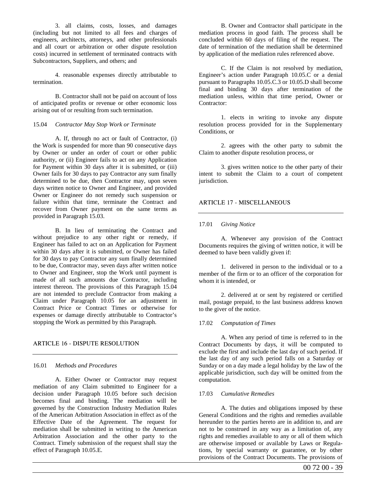3. all claims, costs, losses, and damages (including but not limited to all fees and charges of engineers, architects, attorneys, and other professionals and all court or arbitration or other dispute resolution costs) incurred in settlement of terminated contracts with Subcontractors, Suppliers, and others; and

4. reasonable expenses directly attributable to termination.

B. Contractor shall not be paid on account of loss of anticipated profits or revenue or other economic loss arising out of or resulting from such termination.

#### 15.04 *Contractor May Stop Work or Terminate*

A. If, through no act or fault of Contractor, (i) the Work is suspended for more than 90 consecutive days by Owner or under an order of court or other public authority, or (ii) Engineer fails to act on any Application for Payment within 30 days after it is submitted, or (iii) Owner fails for 30 days to pay Contractor any sum finally determined to be due, then Contractor may, upon seven days written notice to Owner and Engineer, and provided Owner or Engineer do not remedy such suspension or failure within that time, terminate the Contract and recover from Owner payment on the same terms as provided in Paragraph 15.03.

B. In lieu of terminating the Contract and without prejudice to any other right or remedy, if Engineer has failed to act on an Application for Payment within 30 days after it is submitted, or Owner has failed for 30 days to pay Contractor any sum finally determined to be due, Contractor may, seven days after written notice to Owner and Engineer, stop the Work until payment is made of all such amounts due Contractor, including interest thereon. The provisions of this Paragraph 15.04 are not intended to preclude Contractor from making a Claim under Paragraph 10.05 for an adjustment in Contract Price or Contract Times or otherwise for expenses or damage directly attributable to Contractor's stopping the Work as permitted by this Paragraph.

### ARTICLE 16 - DISPUTE RESOLUTION

### 16.01 *Methods and Procedures*

A. Either Owner or Contractor may request mediation of any Claim submitted to Engineer for a decision under Paragraph 10.05 before such decision becomes final and binding. The mediation will be governed by the Construction Industry Mediation Rules of the American Arbitration Association in effect as of the Effective Date of the Agreement. The request for mediation shall be submitted in writing to the American Arbitration Association and the other party to the Contract. Timely submission of the request shall stay the effect of Paragraph 10.05.E.

B. Owner and Contractor shall participate in the mediation process in good faith. The process shall be concluded within 60 days of filing of the request. The date of termination of the mediation shall be determined by application of the mediation rules referenced above.

C. If the Claim is not resolved by mediation, Engineer's action under Paragraph 10.05.C or a denial pursuant to Paragraphs 10.05.C.3 or 10.05.D shall become final and binding 30 days after termination of the mediation unless, within that time period, Owner or Contractor:

1. elects in writing to invoke any dispute resolution process provided for in the Supplementary Conditions, or

2. agrees with the other party to submit the Claim to another dispute resolution process, or

3. gives written notice to the other party of their intent to submit the Claim to a court of competent jurisdiction.

### ARTICLE 17 - MISCELLANEOUS

### 17.01 *Giving Notice*

A. Whenever any provision of the Contract Documents requires the giving of written notice, it will be deemed to have been validly given if:

1. delivered in person to the individual or to a member of the firm or to an officer of the corporation for whom it is intended, or

2. delivered at or sent by registered or certified mail, postage prepaid, to the last business address known to the giver of the notice.

### 17.02 *Computation of Times*

A. When any period of time is referred to in the Contract Documents by days, it will be computed to exclude the first and include the last day of such period. If the last day of any such period falls on a Saturday or Sunday or on a day made a legal holiday by the law of the applicable jurisdiction, such day will be omitted from the computation.

### 17.03 *Cumulative Remedies*

A. The duties and obligations imposed by these General Conditions and the rights and remedies available hereunder to the parties hereto are in addition to, and are not to be construed in any way as a limitation of, any rights and remedies available to any or all of them which are otherwise imposed or available by Laws or Regulations, by special warranty or guarantee, or by other provisions of the Contract Documents. The provisions of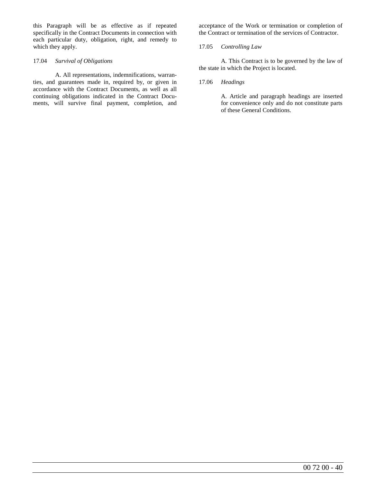this Paragraph will be as effective as if repeated specifically in the Contract Documents in connection with each particular duty, obligation, right, and remedy to which they apply.

### 17.04 *Survival of Obligations*

A. All representations, indemnifications, warranties, and guarantees made in, required by, or given in accordance with the Contract Documents, as well as all continuing obligations indicated in the Contract Documents, will survive final payment, completion, and

acceptance of the Work or termination or completion of the Contract or termination of the services of Contractor.

#### 17.05 *Controlling Law*

A. This Contract is to be governed by the law of the state in which the Project is located.

#### 17.06 *Headings*

A. Article and paragraph headings are inserted for convenience only and do not constitute parts of these General Conditions.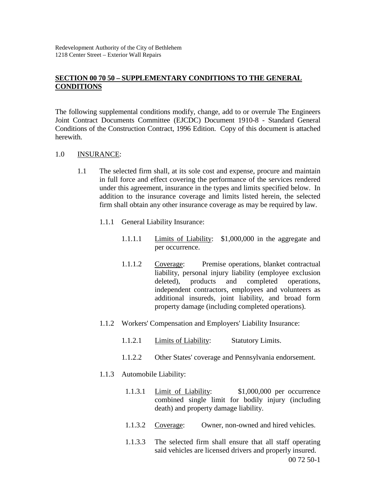# **SECTION 00 70 50 – SUPPLEMENTARY CONDITIONS TO THE GENERAL CONDITIONS**

The following supplemental conditions modify, change, add to or overrule The Engineers Joint Contract Documents Committee (EJCDC) Document 1910-8 - Standard General Conditions of the Construction Contract, 1996 Edition. Copy of this document is attached herewith.

## 1.0 INSURANCE:

- 1.1 The selected firm shall, at its sole cost and expense, procure and maintain in full force and effect covering the performance of the services rendered under this agreement, insurance in the types and limits specified below. In addition to the insurance coverage and limits listed herein, the selected firm shall obtain any other insurance coverage as may be required by law.
	- 1.1.1 General Liability Insurance:
		- 1.1.1.1 Limits of Liability: \$1,000,000 in the aggregate and per occurrence.
		- 1.1.1.2 Coverage: Premise operations, blanket contractual liability, personal injury liability (employee exclusion deleted), products and completed operations, independent contractors, employees and volunteers as additional insureds, joint liability, and broad form property damage (including completed operations).
	- 1.1.2 Workers' Compensation and Employers' Liability Insurance:
		- 1.1.2.1 Limits of Liability: Statutory Limits.
		- 1.1.2.2 Other States' coverage and Pennsylvania endorsement.

# 1.1.3 Automobile Liability:

- 1.1.3.1 Limit of Liability: \$1,000,000 per occurrence combined single limit for bodily injury (including death) and property damage liability.
- 1.1.3.2 Coverage: Owner, non-owned and hired vehicles.
- 1.1.3.3 The selected firm shall ensure that all staff operating said vehicles are licensed drivers and properly insured.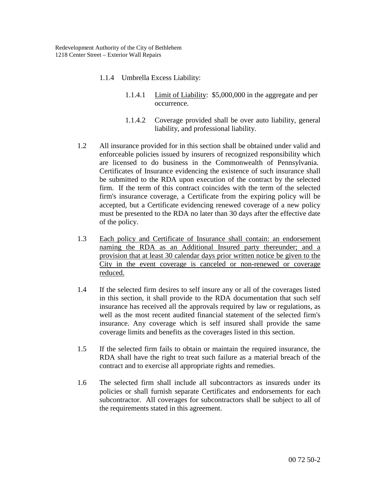- 1.1.4 Umbrella Excess Liability:
	- 1.1.4.1 Limit of Liability: \$5,000,000 in the aggregate and per occurrence.
	- 1.1.4.2 Coverage provided shall be over auto liability, general liability, and professional liability.
- 1.2 All insurance provided for in this section shall be obtained under valid and enforceable policies issued by insurers of recognized responsibility which are licensed to do business in the Commonwealth of Pennsylvania. Certificates of Insurance evidencing the existence of such insurance shall be submitted to the RDA upon execution of the contract by the selected firm. If the term of this contract coincides with the term of the selected firm's insurance coverage, a Certificate from the expiring policy will be accepted, but a Certificate evidencing renewed coverage of a new policy must be presented to the RDA no later than 30 days after the effective date of the policy.
- 1.3 Each policy and Certificate of Insurance shall contain: an endorsement naming the RDA as an Additional Insured party thereunder; and a provision that at least 30 calendar days prior written notice be given to the City in the event coverage is canceled or non-renewed or coverage reduced.
- 1.4 If the selected firm desires to self insure any or all of the coverages listed in this section, it shall provide to the RDA documentation that such self insurance has received all the approvals required by law or regulations, as well as the most recent audited financial statement of the selected firm's insurance. Any coverage which is self insured shall provide the same coverage limits and benefits as the coverages listed in this section.
- 1.5 If the selected firm fails to obtain or maintain the required insurance, the RDA shall have the right to treat such failure as a material breach of the contract and to exercise all appropriate rights and remedies.
- 1.6 The selected firm shall include all subcontractors as insureds under its policies or shall furnish separate Certificates and endorsements for each subcontractor. All coverages for subcontractors shall be subject to all of the requirements stated in this agreement.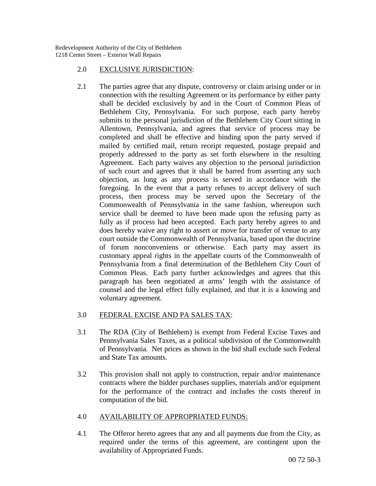# 2.0 EXCLUSIVE JURISDICTION:

2.1 The parties agree that any dispute, controversy or claim arising under or in connection with the resulting Agreement or its performance by either party shall be decided exclusively by and in the Court of Common Pleas of Bethlehem City, Pennsylvania. For such purpose, each party hereby submits to the personal jurisdiction of the Bethlehem City Court sitting in Allentown, Pennsylvania, and agrees that service of process may be completed and shall be effective and binding upon the party served if mailed by certified mail, return receipt requested, postage prepaid and properly addressed to the party as set forth elsewhere in the resulting Agreement. Each party waives any objection to the personal jurisdiction of such court and agrees that it shall be barred from asserting any such objection, as long as any process is served in accordance with the foregoing. In the event that a party refuses to accept delivery of such process, then process may be served upon the Secretary of the Commonwealth of Pennsylvania in the same fashion, whereupon such service shall be deemed to have been made upon the refusing party as fully as if process had been accepted. Each party hereby agrees to and does hereby waive any right to assert or move for transfer of venue to any court outside the Commonwealth of Pennsylvania, based upon the doctrine of forum nonconveniens or otherwise. Each party may assert its customary appeal rights in the appellate courts of the Commonwealth of Pennsylvania from a final determination of the Bethlehem City Court of Common Pleas. Each party further acknowledges and agrees that this paragraph has been negotiated at arms' length with the assistance of counsel and the legal effect fully explained, and that it is a knowing and voluntary agreement.

# 3.0 FEDERAL EXCISE AND PA SALES TAX:

- 3.1 The RDA (City of Bethlehem) is exempt from Federal Excise Taxes and Pennsylvania Sales Taxes, as a political subdivision of the Commonwealth of Pennsylvania. Net prices as shown in the bid shall exclude such Federal and State Tax amounts.
- 3.2 This provision shall not apply to construction, repair and/or maintenance contracts where the bidder purchases supplies, materials and/or equipment for the performance of the contract and includes the costs thereof in computation of the bid.

# 4.0 AVAILABILITY OF APPROPRIATED FUNDS:

4.1 The Offeror hereto agrees that any and all payments due from the City, as required under the terms of this agreement, are contingent upon the availability of Appropriated Funds.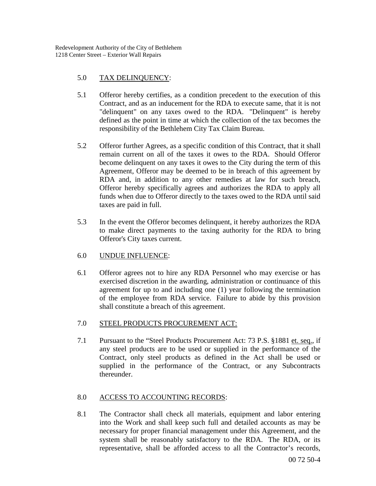## 5.0 TAX DELINQUENCY:

- 5.1 Offeror hereby certifies, as a condition precedent to the execution of this Contract, and as an inducement for the RDA to execute same, that it is not "delinquent" on any taxes owed to the RDA. "Delinquent" is hereby defined as the point in time at which the collection of the tax becomes the responsibility of the Bethlehem City Tax Claim Bureau.
- 5.2 Offeror further Agrees, as a specific condition of this Contract, that it shall remain current on all of the taxes it owes to the RDA. Should Offeror become delinquent on any taxes it owes to the City during the term of this Agreement, Offeror may be deemed to be in breach of this agreement by RDA and, in addition to any other remedies at law for such breach, Offeror hereby specifically agrees and authorizes the RDA to apply all funds when due to Offeror directly to the taxes owed to the RDA until said taxes are paid in full.
- 5.3 In the event the Offeror becomes delinquent, it hereby authorizes the RDA to make direct payments to the taxing authority for the RDA to bring Offeror's City taxes current.
- 6.0 UNDUE INFLUENCE:
- 6.1 Offeror agrees not to hire any RDA Personnel who may exercise or has exercised discretion in the awarding, administration or continuance of this agreement for up to and including one (1) year following the termination of the employee from RDA service. Failure to abide by this provision shall constitute a breach of this agreement.
- 7.0 STEEL PRODUCTS PROCUREMENT ACT:
- 7.1 Pursuant to the "Steel Products Procurement Act: 73 P.S. §1881 et. seq., if any steel products are to be used or supplied in the performance of the Contract, only steel products as defined in the Act shall be used or supplied in the performance of the Contract, or any Subcontracts thereunder.

## 8.0 ACCESS TO ACCOUNTING RECORDS:

8.1 The Contractor shall check all materials, equipment and labor entering into the Work and shall keep such full and detailed accounts as may be necessary for proper financial management under this Agreement, and the system shall be reasonably satisfactory to the RDA. The RDA, or its representative, shall be afforded access to all the Contractor's records,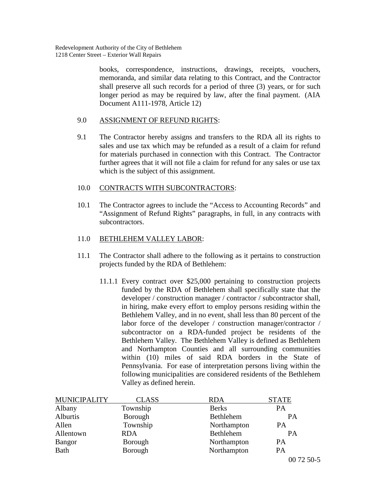books, correspondence, instructions, drawings, receipts, vouchers, memoranda, and similar data relating to this Contract, and the Contractor shall preserve all such records for a period of three (3) years, or for such longer period as may be required by law, after the final payment. (AIA Document A111-1978, Article 12)

# 9.0 ASSIGNMENT OF REFUND RIGHTS:

9.1 The Contractor hereby assigns and transfers to the RDA all its rights to sales and use tax which may be refunded as a result of a claim for refund for materials purchased in connection with this Contract. The Contractor further agrees that it will not file a claim for refund for any sales or use tax which is the subject of this assignment.

# 10.0 CONTRACTS WITH SUBCONTRACTORS:

10.1 The Contractor agrees to include the "Access to Accounting Records" and "Assignment of Refund Rights" paragraphs, in full, in any contracts with subcontractors.

# 11.0 BETHLEHEM VALLEY LABOR:

- 11.1 The Contractor shall adhere to the following as it pertains to construction projects funded by the RDA of Bethlehem:
	- 11.1.1 Every contract over \$25,000 pertaining to construction projects funded by the RDA of Bethlehem shall specifically state that the developer / construction manager / contractor / subcontractor shall, in hiring, make every effort to employ persons residing within the Bethlehem Valley, and in no event, shall less than 80 percent of the labor force of the developer / construction manager/contractor / subcontractor on a RDA-funded project be residents of the Bethlehem Valley. The Bethlehem Valley is defined as Bethlehem and Northampton Counties and all surrounding communities within (10) miles of said RDA borders in the State of Pennsylvania. For ease of interpretation persons living within the following municipalities are considered residents of the Bethlehem Valley as defined herein.

| <b>MUNICIPALITY</b> | <b>CLASS</b> | <b>RDA</b>   | <b>STATE</b> |
|---------------------|--------------|--------------|--------------|
| Albany              | Township     | <b>Berks</b> | <b>PA</b>    |
| Alburtis            | Borough      | Bethlehem    | <b>PA</b>    |
| Allen               | Township     | Northampton  | PA           |
| Allentown           | <b>RDA</b>   | Bethlehem    | <b>PA</b>    |
| <b>Bangor</b>       | Borough      | Northampton  | <b>PA</b>    |
| Bath                | Borough      | Northampton  | PA           |
|                     |              |              | 00 72 50-5   |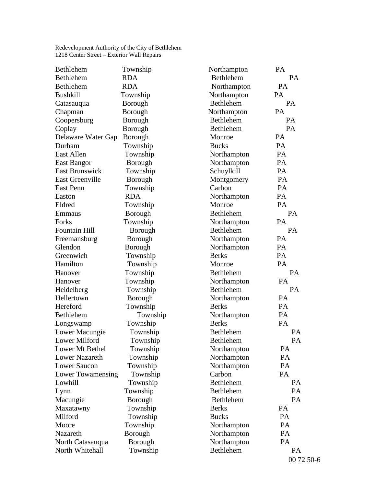| <b>Bethlehem</b>       | Township       | Northampton      | PA         |
|------------------------|----------------|------------------|------------|
| Bethlehem              | <b>RDA</b>     | Bethlehem        | PA         |
| Bethlehem              | <b>RDA</b>     | Northampton      | PA         |
| <b>Bushkill</b>        | Township       | Northampton      | PA         |
| Catasauqua             | Borough        | <b>Bethlehem</b> | PA         |
| Chapman                | <b>Borough</b> | Northampton      | PA         |
| Coopersburg            | Borough        | <b>Bethlehem</b> | <b>PA</b>  |
| Coplay                 | Borough        | Bethlehem        | PA         |
| Delaware Water Gap     | <b>Borough</b> | Monroe           | PA         |
| Durham                 | Township       | <b>Bucks</b>     | PA         |
| East Allen             | Township       | Northampton      | PA         |
| <b>East Bangor</b>     | Borough        | Northampton      | PA         |
| <b>East Brunswick</b>  | Township       | Schuylkill       | PA         |
| <b>East Greenville</b> | Borough        | Montgomery       | PA         |
| <b>East Penn</b>       | Township       | Carbon           | PA         |
| Easton                 | <b>RDA</b>     | Northampton      | PA         |
| Eldred                 | Township       | Monroe           | PA         |
| Emmaus                 | Borough        | Bethlehem        | PA         |
| Forks                  | Township       | Northampton      | PA         |
| <b>Fountain Hill</b>   | Borough        | Bethlehem        | PA         |
| Freemansburg           | Borough        | Northampton      | PA         |
| Glendon                | Borough        | Northampton      | PA         |
| Greenwich              | Township       | <b>Berks</b>     | PA         |
| Hamilton               | Township       | Monroe           | PA         |
| Hanover                | Township       | Bethlehem        | PA         |
| Hanover                | Township       | Northampton      | PA         |
| Heidelberg             | Township       | Bethlehem        | PA         |
| Hellertown             | Borough        | Northampton      | PA         |
| Hereford               | Township       | <b>Berks</b>     | PA         |
| Bethlehem              | Township       | Northampton      | PA         |
| Longswamp              | Township       | <b>Berks</b>     | PA         |
| Lower Macungie         | Township       | Bethlehem        | PA         |
| Lower Milford          | Township       | Bethlehem        | PA         |
| Lower Mt Bethel        | Township       | Northampton      | PA         |
| <b>Lower Nazareth</b>  | Township       | Northampton      | PA         |
| <b>Lower Saucon</b>    | Township       | Northampton      | PA         |
| Lower Towamensing      | Township       | Carbon           | PA         |
| Lowhill                | Township       | Bethlehem        | PA         |
| Lynn                   | Township       | <b>Bethlehem</b> | PA         |
| Macungie               | Borough        | Bethlehem        | PA         |
| Maxatawny              | Township       | <b>Berks</b>     | PA         |
| Milford                | Township       | <b>Bucks</b>     | PA         |
| Moore                  | Township       | Northampton      | PA         |
| Nazareth               | Borough        | Northampton      | PA         |
| North Catasauqua       | Borough        | Northampton      | PA         |
| North Whitehall        | Township       | Bethlehem        | PA         |
|                        |                |                  | 00 72 50-6 |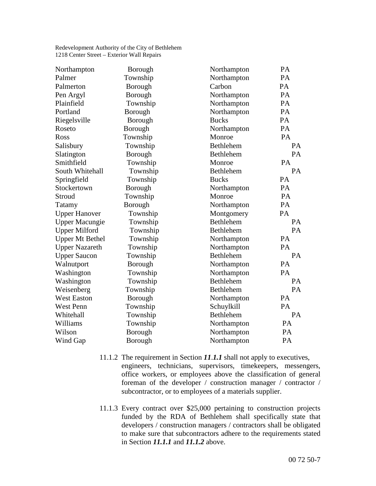| Northampton            | Borough  | Northampton  | PA |
|------------------------|----------|--------------|----|
| Palmer                 | Township | Northampton  | PA |
| Palmerton              | Borough  | Carbon       | PA |
| Pen Argyl              | Borough  | Northampton  | PA |
| Plainfield             | Township | Northampton  | PA |
| Portland               | Borough  | Northampton  | PA |
| Riegelsville           | Borough  | <b>Bucks</b> | PA |
| Roseto                 | Borough  | Northampton  | PA |
| Ross                   | Township | Monroe       | PA |
| Salisbury              | Township | Bethlehem    | PA |
| Slatington             | Borough  | Bethlehem    | PA |
| Smithfield             | Township | Monroe       | PA |
| South Whitehall        | Township | Bethlehem    | PA |
| Springfield            | Township | <b>Bucks</b> | PA |
| Stockertown            | Borough  | Northampton  | PA |
| Stroud                 | Township | Monroe       | PA |
| Tatamy                 | Borough  | Northampton  | PA |
| <b>Upper Hanover</b>   | Township | Montgomery   | PA |
| <b>Upper Macungie</b>  | Township | Bethlehem    | PA |
| <b>Upper Milford</b>   | Township | Bethlehem    | PA |
| <b>Upper Mt Bethel</b> | Township | Northampton  | PA |
| <b>Upper Nazareth</b>  | Township | Northampton  | PA |
| <b>Upper Saucon</b>    | Township | Bethlehem    | PA |
| Walnutport             | Borough  | Northampton  | PA |
| Washington             | Township | Northampton  | PA |
| Washington             | Township | Bethlehem    | PA |
| Weisenberg             | Township | Bethlehem    | PA |
| <b>West Easton</b>     | Borough  | Northampton  | PA |
| West Penn              | Township | Schuylkill   | PA |
| Whitehall              | Township | Bethlehem    | PA |
| Williams               | Township | Northampton  | PA |
| Wilson                 | Borough  | Northampton  | PA |
| Wind Gap               | Borough  | Northampton  | PA |
|                        |          |              |    |

- 11.1.2 The requirement in Section *11*.*1.1* shall not apply to executives, engineers, technicians, supervisors, timekeepers, messengers, office workers, or employees above the classification of general foreman of the developer / construction manager / contractor / subcontractor, or to employees of a materials supplier.
- 11.1.3 Every contract over \$25,000 pertaining to construction projects funded by the RDA of Bethlehem shall specifically state that developers / construction managers / contractors shall be obligated to make sure that subcontractors adhere to the requirements stated in Section *11.1.1* and *11.1.2* above.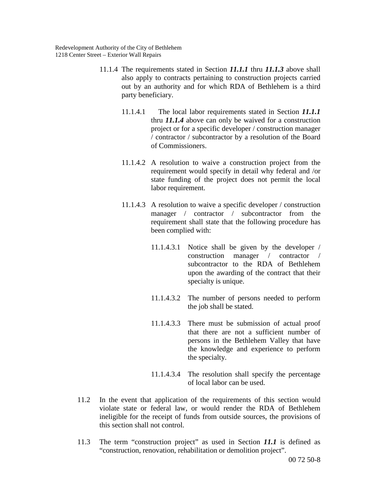- 11.1.4 The requirements stated in Section *11.1.1* thru *11.1.3* above shall also apply to contracts pertaining to construction projects carried out by an authority and for which RDA of Bethlehem is a third party beneficiary.
	- 11.1.4.1 The local labor requirements stated in Section *11.1.1* thru *11.1.4* above can only be waived for a construction project or for a specific developer / construction manager / contractor / subcontractor by a resolution of the Board of Commissioners.
	- 11.1.4.2 A resolution to waive a construction project from the requirement would specify in detail why federal and /or state funding of the project does not permit the local labor requirement.
	- 11.1.4.3 A resolution to waive a specific developer / construction manager / contractor / subcontractor from the requirement shall state that the following procedure has been complied with:
		- 11.1.4.3.1 Notice shall be given by the developer / construction manager / contractor / subcontractor to the RDA of Bethlehem upon the awarding of the contract that their specialty is unique.
		- 11.1.4.3.2 The number of persons needed to perform the job shall be stated.
		- 11.1.4.3.3 There must be submission of actual proof that there are not a sufficient number of persons in the Bethlehem Valley that have the knowledge and experience to perform the specialty.
		- 11.1.4.3.4 The resolution shall specify the percentage of local labor can be used.
- 11.2 In the event that application of the requirements of this section would violate state or federal law, or would render the RDA of Bethlehem ineligible for the receipt of funds from outside sources, the provisions of this section shall not control.
- 11.3 The term "construction project" as used in Section *11.1* is defined as "construction, renovation, rehabilitation or demolition project".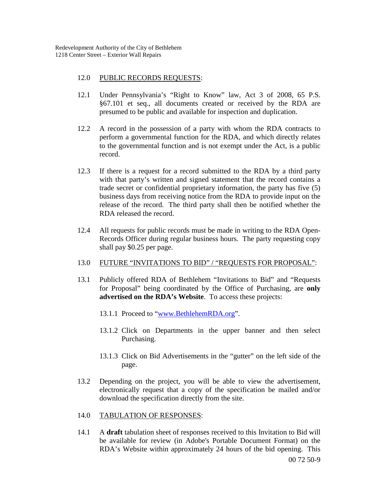## 12.0 PUBLIC RECORDS REQUESTS:

- 12.1 Under Pennsylvania's "Right to Know" law, Act 3 of 2008, 65 P.S. §67.101 et seq., all documents created or received by the RDA are presumed to be public and available for inspection and duplication.
- 12.2 A record in the possession of a party with whom the RDA contracts to perform a governmental function for the RDA, and which directly relates to the governmental function and is not exempt under the Act, is a public record.
- 12.3 If there is a request for a record submitted to the RDA by a third party with that party's written and signed statement that the record contains a trade secret or confidential proprietary information, the party has five (5) business days from receiving notice from the RDA to provide input on the release of the record. The third party shall then be notified whether the RDA released the record.
- 12.4 All requests for public records must be made in writing to the RDA Open-Records Officer during regular business hours. The party requesting copy shall pay \$0.25 per page.

## 13.0 FUTURE "INVITATIONS TO BID" / "REQUESTS FOR PROPOSAL":

- 13.1 Publicly offered RDA of Bethlehem "Invitations to Bid" and "Requests for Proposal" being coordinated by the Office of Purchasing, are **only advertised on the RDA's Website**. To access these projects:
	- 13.1.1 Proceed to ["www.BethlehemRDA.org"](http://www.lehighcounty.org/).
	- 13.1.2 Click on Departments in the upper banner and then select Purchasing.
	- 13.1.3 Click on Bid Advertisements in the "gutter" on the left side of the page.
- 13.2 Depending on the project, you will be able to view the advertisement, electronically request that a copy of the specification be mailed and/or download the specification directly from the site.

## 14.0 TABULATION OF RESPONSES:

14.1 A **draft** tabulation sheet of responses received to this Invitation to Bid will be available for review (in Adobe's Portable Document Format) on the RDA's Website within approximately 24 hours of the bid opening. This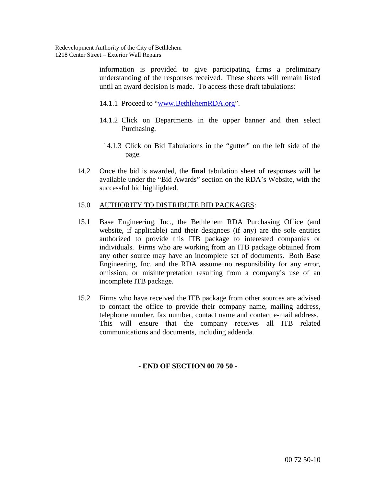information is provided to give participating firms a preliminary understanding of the responses received. These sheets will remain listed until an award decision is made. To access these draft tabulations:

- 14.1.1 Proceed to ["www.BethlehemRDA.org"](http://www.lehighcounty.org/).
- 14.1.2 Click on Departments in the upper banner and then select Purchasing.
- 14.1.3 Click on Bid Tabulations in the "gutter" on the left side of the page.
- 14.2 Once the bid is awarded, the **final** tabulation sheet of responses will be available under the "Bid Awards" section on the RDA's Website, with the successful bid highlighted.

# 15.0 AUTHORITY TO DISTRIBUTE BID PACKAGES:

- 15.1 Base Engineering, Inc., the Bethlehem RDA Purchasing Office (and website, if applicable) and their designees (if any) are the sole entities authorized to provide this ITB package to interested companies or individuals. Firms who are working from an ITB package obtained from any other source may have an incomplete set of documents. Both Base Engineering, Inc. and the RDA assume no responsibility for any error, omission, or misinterpretation resulting from a company's use of an incomplete ITB package.
- 15.2 Firms who have received the ITB package from other sources are advised to contact the office to provide their company name, mailing address, telephone number, fax number, contact name and contact e-mail address. This will ensure that the company receives all ITB related communications and documents, including addenda.

# **- END OF SECTION 00 70 50 -**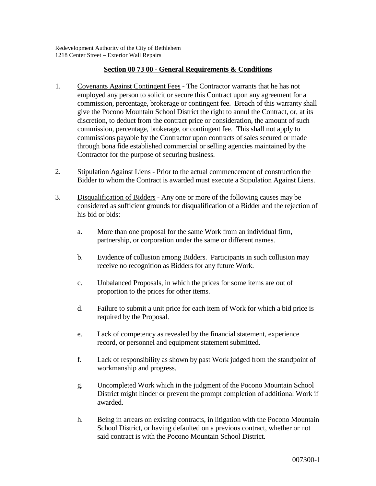# **Section 00 73 00 - General Requirements & Conditions**

- 1. Covenants Against Contingent Fees The Contractor warrants that he has not employed any person to solicit or secure this Contract upon any agreement for a commission, percentage, brokerage or contingent fee. Breach of this warranty shall give the Pocono Mountain School District the right to annul the Contract, or, at its discretion, to deduct from the contract price or consideration, the amount of such commission, percentage, brokerage, or contingent fee. This shall not apply to commissions payable by the Contractor upon contracts of sales secured or made through bona fide established commercial or selling agencies maintained by the Contractor for the purpose of securing business.
- 2. Stipulation Against Liens Prior to the actual commencement of construction the Bidder to whom the Contract is awarded must execute a Stipulation Against Liens.
- 3. Disqualification of Bidders Any one or more of the following causes may be considered as sufficient grounds for disqualification of a Bidder and the rejection of his bid or bids:
	- a. More than one proposal for the same Work from an individual firm, partnership, or corporation under the same or different names.
	- b. Evidence of collusion among Bidders. Participants in such collusion may receive no recognition as Bidders for any future Work.
	- c. Unbalanced Proposals, in which the prices for some items are out of proportion to the prices for other items.
	- d. Failure to submit a unit price for each item of Work for which a bid price is required by the Proposal.
	- e. Lack of competency as revealed by the financial statement, experience record, or personnel and equipment statement submitted.
	- f. Lack of responsibility as shown by past Work judged from the standpoint of workmanship and progress.
	- g. Uncompleted Work which in the judgment of the Pocono Mountain School District might hinder or prevent the prompt completion of additional Work if awarded.
	- h. Being in arrears on existing contracts, in litigation with the Pocono Mountain School District, or having defaulted on a previous contract, whether or not said contract is with the Pocono Mountain School District.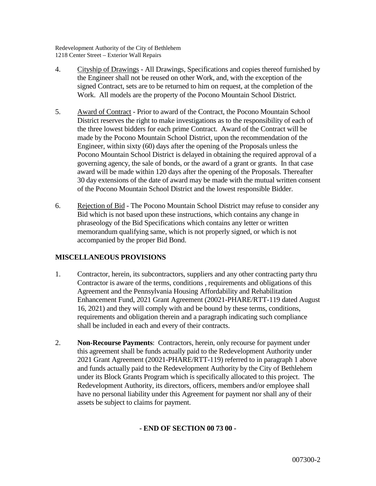- 4. Cityship of Drawings All Drawings, Specifications and copies thereof furnished by the Engineer shall not be reused on other Work, and, with the exception of the signed Contract, sets are to be returned to him on request, at the completion of the Work. All models are the property of the Pocono Mountain School District.
- 5. Award of Contract Prior to award of the Contract, the Pocono Mountain School District reserves the right to make investigations as to the responsibility of each of the three lowest bidders for each prime Contract. Award of the Contract will be made by the Pocono Mountain School District, upon the recommendation of the Engineer, within sixty (60) days after the opening of the Proposals unless the Pocono Mountain School District is delayed in obtaining the required approval of a governing agency, the sale of bonds, or the award of a grant or grants. In that case award will be made within 120 days after the opening of the Proposals. Thereafter 30 day extensions of the date of award may be made with the mutual written consent of the Pocono Mountain School District and the lowest responsible Bidder.
- 6. Rejection of Bid The Pocono Mountain School District may refuse to consider any Bid which is not based upon these instructions, which contains any change in phraseology of the Bid Specifications which contains any letter or written memorandum qualifying same, which is not properly signed, or which is not accompanied by the proper Bid Bond.

# **MISCELLANEOUS PROVISIONS**

- 1. Contractor, herein, its subcontractors, suppliers and any other contracting party thru Contractor is aware of the terms, conditions , requirements and obligations of this Agreement and the Pennsylvania Housing Affordability and Rehabilitation Enhancement Fund, 2021 Grant Agreement (20021-PHARE/RTT-119 dated August 16, 2021) and they will comply with and be bound by these terms, conditions, requirements and obligation therein and a paragraph indicating such compliance shall be included in each and every of their contracts.
- 2. **Non-Recourse Payments**: Contractors, herein, only recourse for payment under this agreement shall be funds actually paid to the Redevelopment Authority under 2021 Grant Agreement (20021-PHARE/RTT-119) referred to in paragraph 1 above and funds actually paid to the Redevelopment Authority by the City of Bethlehem under its Block Grants Program which is specifically allocated to this project. The Redevelopment Authority, its directors, officers, members and/or employee shall have no personal liability under this Agreement for payment nor shall any of their assets be subject to claims for payment.

# **- END OF SECTION 00 73 00 -**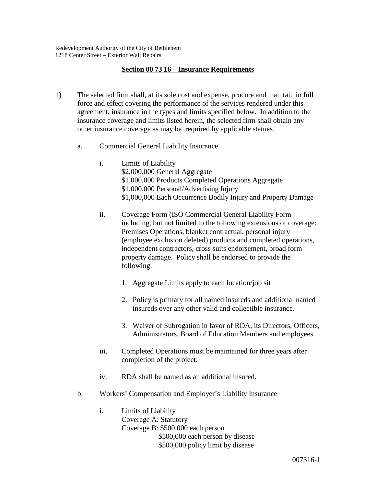## **Section 00 73 16 – Insurance Requirements**

- 1) The selected firm shall, at its sole cost and expense, procure and maintain in full force and effect covering the performance of the services rendered under this agreement, insurance in the types and limits specified below. In addition to the insurance coverage and limits listed herein, the selected firm shall obtain any other insurance coverage as may be required by applicable statues.
	- a. Commercial General Liability Insurance
		- i. Limits of Liability \$2,000,000 General Aggregate \$1,000,000 Products Completed Operations Aggregate \$1,000,000 Personal/Advertising Injury \$1,000,000 Each Occurrence Bodily Injury and Property Damage
		- ii. Coverage Form (ISO Commercial General Liability Form including, but not limited to the following extensions of coverage: Premises Operations, blanket contractual, personal injury (employee exclusion deleted) products and completed operations, independent contractors, cross suits endorsement, broad form property damage. Policy shall be endorsed to provide the following:
			- 1. Aggregate Limits apply to each location/job sit
			- 2. Policy is primary for all named insureds and additional named insureds over any other valid and collectible insurance.
			- 3. Waiver of Subrogation in favor of RDA, its Directors, Officers, Administrators, Board of Education Members and employees.
		- iii. Completed Operations must be maintained for three years after completion of the project.
		- iv. RDA shall be named as an additional insured.
	- b. Workers' Compensation and Employer's Liability Insurance
		- i. Limits of Liability Coverage A: Statutory Coverage B: \$500,000 each person \$500,000 each person by disease \$500,000 policy limit by disease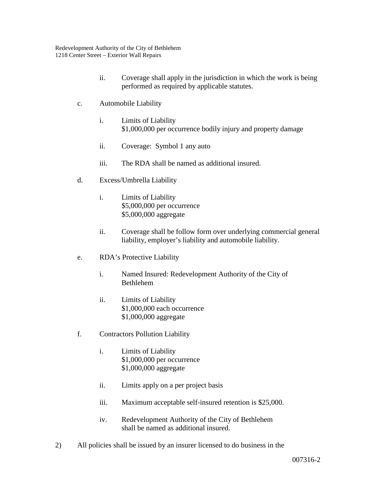- ii. Coverage shall apply in the jurisdiction in which the work is being performed as required by applicable statutes.
- c. Automobile Liability
	- i. Limits of Liability \$1,000,000 per occurrence bodily injury and property damage
	- ii. Coverage: Symbol 1 any auto
	- iii. The RDA shall be named as additional insured.
- d. Excess/Umbrella Liability
	- i. Limits of Liability \$5,000,000 per occurrence \$5,000,000 aggregate
	- ii. Coverage shall be follow form over underlying commercial general liability, employer's liability and automobile liability.
- e. RDA's Protective Liability
	- i. Named Insured: Redevelopment Authority of the City of Bethlehem
	- ii. Limits of Liability \$1,000,000 each occurrence \$1,000,000 aggregate
- f. Contractors Pollution Liability
	- i. Limits of Liability \$1,000,000 per occurrence \$1,000,000 aggregate
	- ii. Limits apply on a per project basis
	- iii. Maximum acceptable self-insured retention is \$25,000.
	- iv. Redevelopment Authority of the City of Bethlehem shall be named as additional insured.
- 2) All policies shall be issued by an insurer licensed to do business in the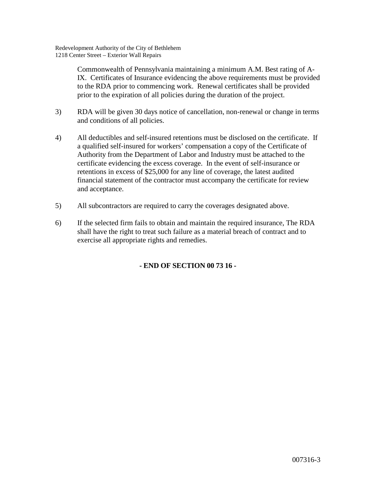Commonwealth of Pennsylvania maintaining a minimum A.M. Best rating of A-IX. Certificates of Insurance evidencing the above requirements must be provided to the RDA prior to commencing work. Renewal certificates shall be provided prior to the expiration of all policies during the duration of the project.

- 3) RDA will be given 30 days notice of cancellation, non-renewal or change in terms and conditions of all policies.
- 4) All deductibles and self-insured retentions must be disclosed on the certificate. If a qualified self-insured for workers' compensation a copy of the Certificate of Authority from the Department of Labor and Industry must be attached to the certificate evidencing the excess coverage. In the event of self-insurance or retentions in excess of \$25,000 for any line of coverage, the latest audited financial statement of the contractor must accompany the certificate for review and acceptance.
- 5) All subcontractors are required to carry the coverages designated above.
- 6) If the selected firm fails to obtain and maintain the required insurance, The RDA shall have the right to treat such failure as a material breach of contract and to exercise all appropriate rights and remedies.

# **- END OF SECTION 00 73 16 -**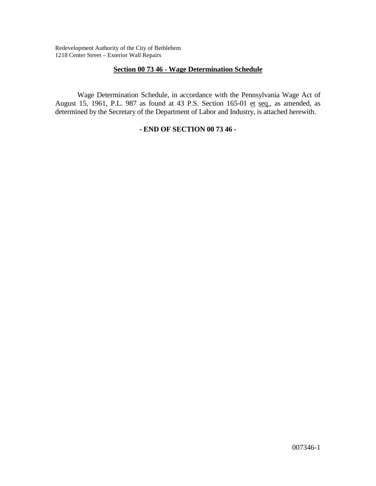# **Section 00 73 46 - Wage Determination Schedule**

Wage Determination Schedule, in accordance with the Pennsylvania Wage Act of August 15, 1961, P.L. 987 as found at 43 P.S. Section 165-01 et seq., as amended, as determined by the Secretary of the Department of Labor and Industry, is attached herewith.

# **- END OF SECTION 00 73 46 -**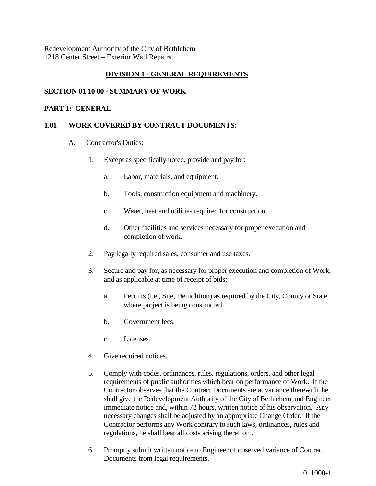# **DIVISION 1 - GENERAL REQUIREMENTS**

## **SECTION 01 10 00 - SUMMARY OF WORK**

## **PART 1: GENERAL**

## **1.01 WORK COVERED BY CONTRACT DOCUMENTS:**

- A. Contractor's Duties:
	- 1. Except as specifically noted, provide and pay for:
		- a. Labor, materials, and equipment.
		- b. Tools, construction equipment and machinery.
		- c. Water, heat and utilities required for construction.
		- d. Other facilities and services necessary for proper execution and completion of work.
	- 2. Pay legally required sales, consumer and use taxes.
	- 3. Secure and pay for, as necessary for proper execution and completion of Work, and as applicable at time of receipt of bids:
		- a. Permits (i.e., Site, Demolition) as required by the City, County or State where project is being constructed.
		- b. Government fees.
		- c. Licenses.
	- 4. Give required notices.
	- 5. Comply with codes, ordinances, rules, regulations, orders, and other legal requirements of public authorities which bear on performance of Work. If the Contractor observes that the Contract Documents are at variance therewith, he shall give the Redevelopment Authority of the City of Bethlehem and Engineer immediate notice and, within 72 hours, written notice of his observation. Any necessary changes shall be adjusted by an appropriate Change Order. If the Contractor performs any Work contrary to such laws, ordinances, rules and regulations, he shall bear all costs arising therefrom.
	- 6. Promptly submit written notice to Engineer of observed variance of Contract Documents from legal requirements.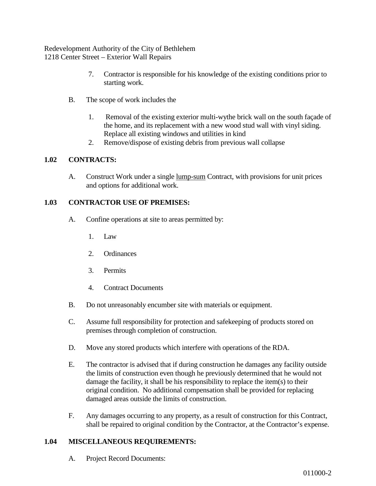- 7. Contractor is responsible for his knowledge of the existing conditions prior to starting work.
- B. The scope of work includes the
	- 1. Removal of the existing exterior multi-wythe brick wall on the south façade of the home, and its replacement with a new wood stud wall with vinyl siding. Replace all existing windows and utilities in kind
	- 2. Remove/dispose of existing debris from previous wall collapse

# **1.02 CONTRACTS:**

A. Construct Work under a single lump-sum Contract, with provisions for unit prices and options for additional work.

# **1.03 CONTRACTOR USE OF PREMISES:**

- A. Confine operations at site to areas permitted by:
	- 1. Law
	- 2. Ordinances
	- 3. Permits
	- 4. Contract Documents
- B. Do not unreasonably encumber site with materials or equipment.
- C. Assume full responsibility for protection and safekeeping of products stored on premises through completion of construction.
- D. Move any stored products which interfere with operations of the RDA.
- E. The contractor is advised that if during construction he damages any facility outside the limits of construction even though he previously determined that he would not damage the facility, it shall be his responsibility to replace the item(s) to their original condition. No additional compensation shall be provided for replacing damaged areas outside the limits of construction.
- F. Any damages occurring to any property, as a result of construction for this Contract, shall be repaired to original condition by the Contractor, at the Contractor's expense.

## **1.04 MISCELLANEOUS REQUIREMENTS:**

A. Project Record Documents: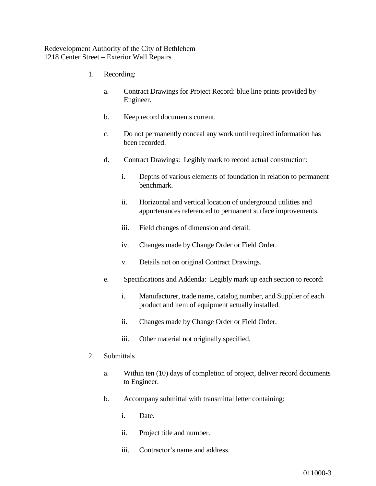- 1. Recording:
	- a. Contract Drawings for Project Record: blue line prints provided by Engineer.
	- b. Keep record documents current.
	- c. Do not permanently conceal any work until required information has been recorded.
	- d. Contract Drawings: Legibly mark to record actual construction:
		- i. Depths of various elements of foundation in relation to permanent benchmark.
		- ii. Horizontal and vertical location of underground utilities and appurtenances referenced to permanent surface improvements.
		- iii. Field changes of dimension and detail.
		- iv. Changes made by Change Order or Field Order.
		- v. Details not on original Contract Drawings.
	- e. Specifications and Addenda: Legibly mark up each section to record:
		- i. Manufacturer, trade name, catalog number, and Supplier of each product and item of equipment actually installed.
		- ii. Changes made by Change Order or Field Order.
		- iii. Other material not originally specified.

## 2. Submittals

- a. Within ten (10) days of completion of project, deliver record documents to Engineer.
- b. Accompany submittal with transmittal letter containing:
	- i. Date.
	- ii. Project title and number.
	- iii. Contractor's name and address.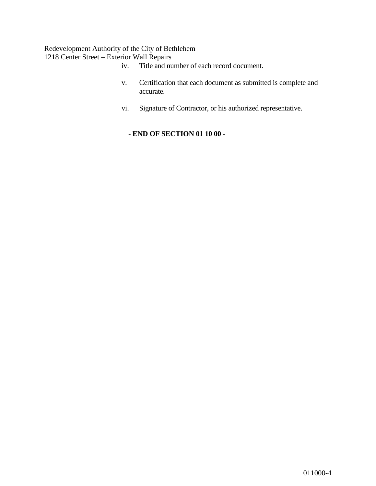1218 Center Street – Exterior Wall Repairs

- iv. Title and number of each record document.
- v. Certification that each document as submitted is complete and accurate.
- vi. Signature of Contractor, or his authorized representative.

## **- END OF SECTION 01 10 00 -**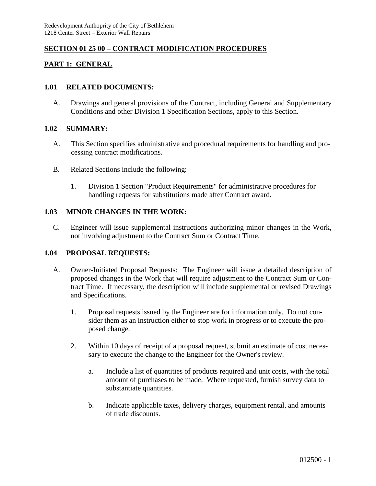### **SECTION 01 25 00 – CONTRACT MODIFICATION PROCEDURES**

## **PART 1: GENERAL**

#### **1.01 RELATED DOCUMENTS:**

A. Drawings and general provisions of the Contract, including General and Supplementary Conditions and other Division 1 Specification Sections, apply to this Section.

#### **1.02 SUMMARY:**

- A. This Section specifies administrative and procedural requirements for handling and processing contract modifications.
- B. Related Sections include the following:
	- 1. Division 1 Section "Product Requirements" for administrative procedures for handling requests for substitutions made after Contract award.

#### **1.03 MINOR CHANGES IN THE WORK:**

C. Engineer will issue supplemental instructions authorizing minor changes in the Work, not involving adjustment to the Contract Sum or Contract Time.

#### **1.04 PROPOSAL REQUESTS:**

- A. Owner-Initiated Proposal Requests: The Engineer will issue a detailed description of proposed changes in the Work that will require adjustment to the Contract Sum or Contract Time. If necessary, the description will include supplemental or revised Drawings and Specifications.
	- 1. Proposal requests issued by the Engineer are for information only. Do not consider them as an instruction either to stop work in progress or to execute the proposed change.
	- 2. Within 10 days of receipt of a proposal request, submit an estimate of cost necessary to execute the change to the Engineer for the Owner's review.
		- a. Include a list of quantities of products required and unit costs, with the total amount of purchases to be made. Where requested, furnish survey data to substantiate quantities.
		- b. Indicate applicable taxes, delivery charges, equipment rental, and amounts of trade discounts.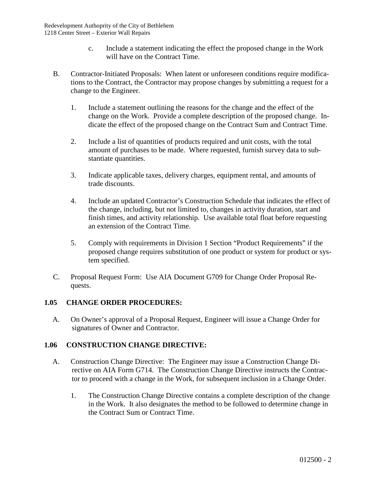- c. Include a statement indicating the effect the proposed change in the Work will have on the Contract Time.
- B. Contractor-Initiated Proposals: When latent or unforeseen conditions require modifications to the Contract, the Contractor may propose changes by submitting a request for a change to the Engineer.
	- 1. Include a statement outlining the reasons for the change and the effect of the change on the Work. Provide a complete description of the proposed change. Indicate the effect of the proposed change on the Contract Sum and Contract Time.
	- 2. Include a list of quantities of products required and unit costs, with the total amount of purchases to be made. Where requested, furnish survey data to substantiate quantities.
	- 3. Indicate applicable taxes, delivery charges, equipment rental, and amounts of trade discounts.
	- 4. Include an updated Contractor's Construction Schedule that indicates the effect of the change, including, but not limited to, changes in activity duration, start and finish times, and activity relationship. Use available total float before requesting an extension of the Contract Time.
	- 5. Comply with requirements in Division 1 Section "Product Requirements" if the proposed change requires substitution of one product or system for product or system specified.
- C. Proposal Request Form: Use AIA Document G709 for Change Order Proposal Requests.

## **1.05 CHANGE ORDER PROCEDURES:**

A. On Owner's approval of a Proposal Request, Engineer will issue a Change Order for signatures of Owner and Contractor.

## **1.06 CONSTRUCTION CHANGE DIRECTIVE:**

- A. Construction Change Directive: The Engineer may issue a Construction Change Directive on AIA Form G714. The Construction Change Directive instructs the Contractor to proceed with a change in the Work, for subsequent inclusion in a Change Order.
	- 1. The Construction Change Directive contains a complete description of the change in the Work. It also designates the method to be followed to determine change in the Contract Sum or Contract Time.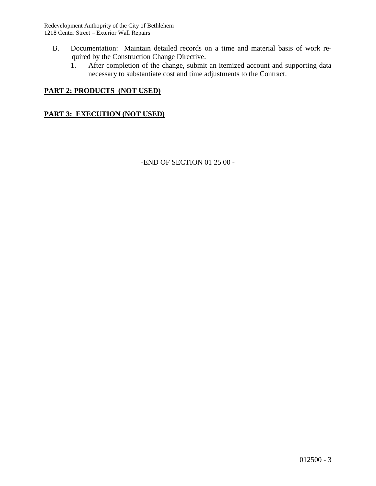- B. Documentation: Maintain detailed records on a time and material basis of work required by the Construction Change Directive.
	- 1. After completion of the change, submit an itemized account and supporting data necessary to substantiate cost and time adjustments to the Contract.

## **PART 2: PRODUCTS (NOT USED)**

## **PART 3: EXECUTION (NOT USED)**

-END OF SECTION 01 25 00 -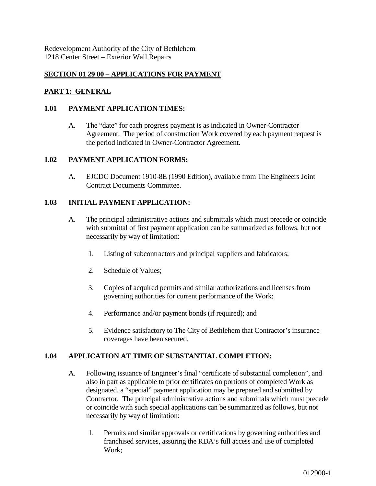### **SECTION 01 29 00 – APPLICATIONS FOR PAYMENT**

### **PART 1: GENERAL**

#### **1.01 PAYMENT APPLICATION TIMES:**

A. The "date" for each progress payment is as indicated in Owner-Contractor Agreement. The period of construction Work covered by each payment request is the period indicated in Owner-Contractor Agreement.

#### **1.02 PAYMENT APPLICATION FORMS:**

A. EJCDC Document 1910-8E (1990 Edition), available from The Engineers Joint Contract Documents Committee.

### **1.03 INITIAL PAYMENT APPLICATION:**

- A. The principal administrative actions and submittals which must precede or coincide with submittal of first payment application can be summarized as follows, but not necessarily by way of limitation:
	- 1. Listing of subcontractors and principal suppliers and fabricators;
	- 2. Schedule of Values;
	- 3. Copies of acquired permits and similar authorizations and licenses from governing authorities for current performance of the Work;
	- 4. Performance and/or payment bonds (if required); and
	- 5. Evidence satisfactory to The City of Bethlehem that Contractor's insurance coverages have been secured.

#### **1.04 APPLICATION AT TIME OF SUBSTANTIAL COMPLETION:**

- A. Following issuance of Engineer's final "certificate of substantial completion", and also in part as applicable to prior certificates on portions of completed Work as designated, a "special" payment application may be prepared and submitted by Contractor. The principal administrative actions and submittals which must precede or coincide with such special applications can be summarized as follows, but not necessarily by way of limitation:
	- 1. Permits and similar approvals or certifications by governing authorities and franchised services, assuring the RDA's full access and use of completed Work;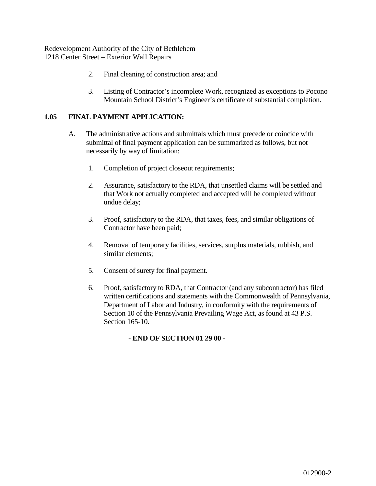- 2. Final cleaning of construction area; and
- 3. Listing of Contractor's incomplete Work, recognized as exceptions to Pocono Mountain School District's Engineer's certificate of substantial completion.

### **1.05 FINAL PAYMENT APPLICATION:**

- A. The administrative actions and submittals which must precede or coincide with submittal of final payment application can be summarized as follows, but not necessarily by way of limitation:
	- 1. Completion of project closeout requirements;
	- 2. Assurance, satisfactory to the RDA, that unsettled claims will be settled and that Work not actually completed and accepted will be completed without undue delay;
	- 3. Proof, satisfactory to the RDA, that taxes, fees, and similar obligations of Contractor have been paid;
	- 4. Removal of temporary facilities, services, surplus materials, rubbish, and similar elements;
	- 5. Consent of surety for final payment.
	- 6. Proof, satisfactory to RDA, that Contractor (and any subcontractor) has filed written certifications and statements with the Commonwealth of Pennsylvania, Department of Labor and Industry, in conformity with the requirements of Section 10 of the Pennsylvania Prevailing Wage Act, as found at 43 P.S. Section 165-10.

## **- END OF SECTION 01 29 00 -**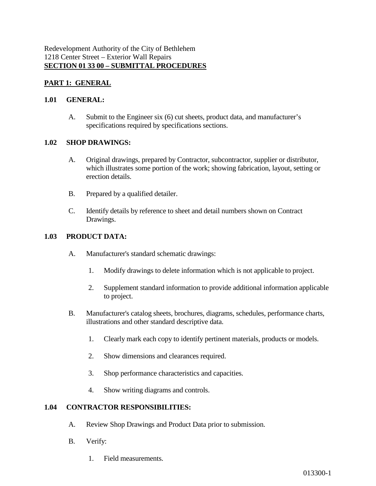## **PART 1: GENERAL**

#### **1.01 GENERAL:**

A. Submit to the Engineer six (6) cut sheets, product data, and manufacturer's specifications required by specifications sections.

#### **1.02 SHOP DRAWINGS:**

- A. Original drawings, prepared by Contractor, subcontractor, supplier or distributor, which illustrates some portion of the work; showing fabrication, layout, setting or erection details.
- B. Prepared by a qualified detailer.
- C. Identify details by reference to sheet and detail numbers shown on Contract Drawings.

### **1.03 PRODUCT DATA:**

- A. Manufacturer's standard schematic drawings:
	- 1. Modify drawings to delete information which is not applicable to project.
	- 2. Supplement standard information to provide additional information applicable to project.
- B. Manufacturer's catalog sheets, brochures, diagrams, schedules, performance charts, illustrations and other standard descriptive data.
	- 1. Clearly mark each copy to identify pertinent materials, products or models.
	- 2. Show dimensions and clearances required.
	- 3. Shop performance characteristics and capacities.
	- 4. Show writing diagrams and controls.

#### **1.04 CONTRACTOR RESPONSIBILITIES:**

- A. Review Shop Drawings and Product Data prior to submission.
- B. Verify:
	- 1. Field measurements.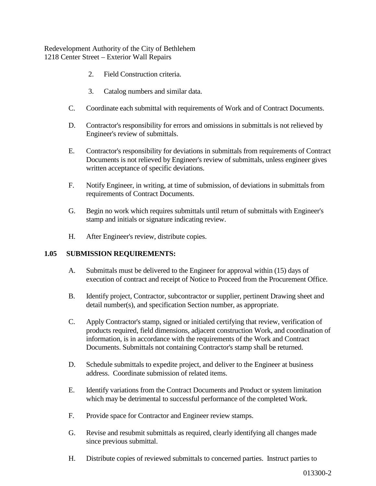- 2. Field Construction criteria.
- 3. Catalog numbers and similar data.
- C. Coordinate each submittal with requirements of Work and of Contract Documents.
- D. Contractor's responsibility for errors and omissions in submittals is not relieved by Engineer's review of submittals.
- E. Contractor's responsibility for deviations in submittals from requirements of Contract Documents is not relieved by Engineer's review of submittals, unless engineer gives written acceptance of specific deviations.
- F. Notify Engineer, in writing, at time of submission, of deviations in submittals from requirements of Contract Documents.
- G. Begin no work which requires submittals until return of submittals with Engineer's stamp and initials or signature indicating review.
- H. After Engineer's review, distribute copies.

#### **1.05 SUBMISSION REQUIREMENTS:**

- A. Submittals must be delivered to the Engineer for approval within (15) days of execution of contract and receipt of Notice to Proceed from the Procurement Office.
- B. Identify project, Contractor, subcontractor or supplier, pertinent Drawing sheet and detail number(s), and specification Section number, as appropriate.
- C. Apply Contractor's stamp, signed or initialed certifying that review, verification of products required, field dimensions, adjacent construction Work, and coordination of information, is in accordance with the requirements of the Work and Contract Documents. Submittals not containing Contractor's stamp shall be returned.
- D. Schedule submittals to expedite project, and deliver to the Engineer at business address. Coordinate submission of related items.
- E. Identify variations from the Contract Documents and Product or system limitation which may be detrimental to successful performance of the completed Work.
- F. Provide space for Contractor and Engineer review stamps.
- G. Revise and resubmit submittals as required, clearly identifying all changes made since previous submittal.
- H. Distribute copies of reviewed submittals to concerned parties. Instruct parties to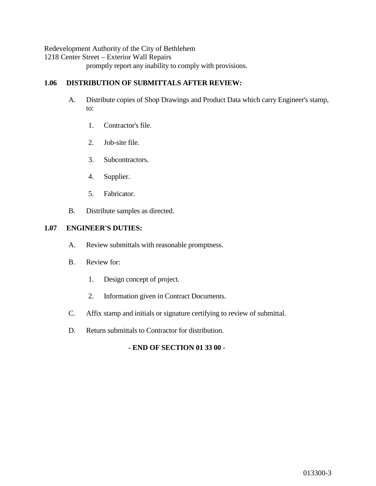1218 Center Street – Exterior Wall Repairs

promptly report any inability to comply with provisions.

## **1.06 DISTRIBUTION OF SUBMITTALS AFTER REVIEW:**

- A. Distribute copies of Shop Drawings and Product Data which carry Engineer's stamp, to:
	- 1. Contractor's file.
	- 2. Job-site file.
	- 3. Subcontractors.
	- 4. Supplier.
	- 5. Fabricator.
- B. Distribute samples as directed.

### **1.07 ENGINEER'S DUTIES:**

- A. Review submittals with reasonable promptness.
- B. Review for:
	- 1. Design concept of project.
	- 2. Information given in Contract Documents.
- C. Affix stamp and initials or signature certifying to review of submittal.
- D. Return submittals to Contractor for distribution.

## **- END OF SECTION 01 33 00 -**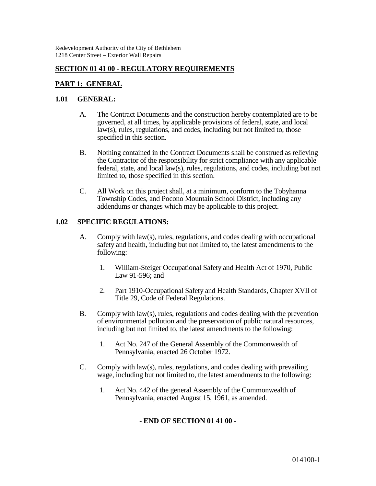### **SECTION 01 41 00 - REGULATORY REQUIREMENTS**

### **PART 1: GENERAL**

#### **1.01 GENERAL:**

- A. The Contract Documents and the construction hereby contemplated are to be governed, at all times, by applicable provisions of federal, state, and local law(s), rules, regulations, and codes, including but not limited to, those specified in this section.
- B. Nothing contained in the Contract Documents shall be construed as relieving the Contractor of the responsibility for strict compliance with any applicable federal, state, and local law(s), rules, regulations, and codes, including but not limited to, those specified in this section.
- C. All Work on this project shall, at a minimum, conform to the Tobyhanna Township Codes, and Pocono Mountain School District, including any addendums or changes which may be applicable to this project.

#### **1.02 SPECIFIC REGULATIONS:**

- A. Comply with law(s), rules, regulations, and codes dealing with occupational safety and health, including but not limited to, the latest amendments to the following:
	- 1. William-Steiger Occupational Safety and Health Act of 1970, Public Law 91-596; and
	- 2. Part 1910-Occupational Safety and Health Standards, Chapter XVII of Title 29, Code of Federal Regulations.
- B. Comply with law(s), rules, regulations and codes dealing with the prevention of environmental pollution and the preservation of public natural resources, including but not limited to, the latest amendments to the following:
	- 1. Act No. 247 of the General Assembly of the Commonwealth of Pennsylvania, enacted 26 October 1972.
- C. Comply with law(s), rules, regulations, and codes dealing with prevailing wage, including but not limited to, the latest amendments to the following:
	- 1. Act No. 442 of the general Assembly of the Commonwealth of Pennsylvania, enacted August 15, 1961, as amended.

#### **- END OF SECTION 01 41 00 -**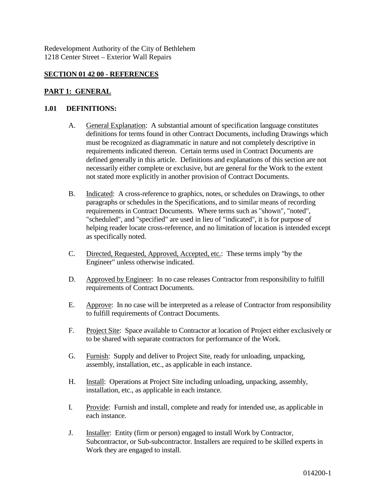### **SECTION 01 42 00 - REFERENCES**

### **PART 1: GENERAL**

#### **1.01 DEFINITIONS:**

- A. General Explanation: A substantial amount of specification language constitutes definitions for terms found in other Contract Documents, including Drawings which must be recognized as diagrammatic in nature and not completely descriptive in requirements indicated thereon. Certain terms used in Contract Documents are defined generally in this article. Definitions and explanations of this section are not necessarily either complete or exclusive, but are general for the Work to the extent not stated more explicitly in another provision of Contract Documents.
- B. Indicated: A cross-reference to graphics, notes, or schedules on Drawings, to other paragraphs or schedules in the Specifications, and to similar means of recording requirements in Contract Documents. Where terms such as "shown", "noted", "scheduled", and "specified" are used in lieu of "indicated", it is for purpose of helping reader locate cross-reference, and no limitation of location is intended except as specifically noted.
- C. Directed, Requested, Approved, Accepted, etc.: These terms imply "by the Engineer" unless otherwise indicated.
- D. Approved by Engineer: In no case releases Contractor from responsibility to fulfill requirements of Contract Documents.
- E. Approve: In no case will be interpreted as a release of Contractor from responsibility to fulfill requirements of Contract Documents.
- F. Project Site: Space available to Contractor at location of Project either exclusively or to be shared with separate contractors for performance of the Work.
- G. Furnish: Supply and deliver to Project Site, ready for unloading, unpacking, assembly, installation, etc., as applicable in each instance.
- H. Install: Operations at Project Site including unloading, unpacking, assembly, installation, etc., as applicable in each instance.
- I. Provide: Furnish and install, complete and ready for intended use, as applicable in each instance.
- J. Installer: Entity (firm or person) engaged to install Work by Contractor, Subcontractor, or Sub-subcontractor. Installers are required to be skilled experts in Work they are engaged to install.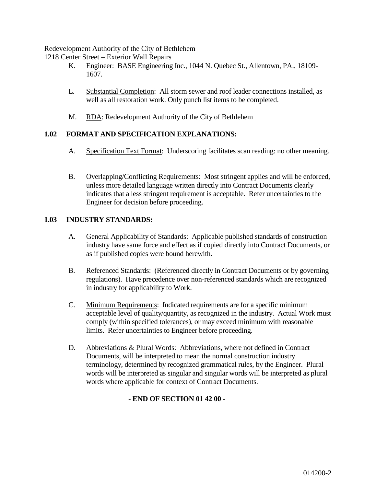1218 Center Street – Exterior Wall Repairs

- K. Engineer: BASE Engineering Inc., 1044 N. Quebec St., Allentown, PA., 18109- 1607.
- L. Substantial Completion: All storm sewer and roof leader connections installed, as well as all restoration work. Only punch list items to be completed.
- M. RDA: Redevelopment Authority of the City of Bethlehem

### **1.02 FORMAT AND SPECIFICATION EXPLANATIONS:**

- A. Specification Text Format: Underscoring facilitates scan reading: no other meaning.
- B. Overlapping/Conflicting Requirements: Most stringent applies and will be enforced, unless more detailed language written directly into Contract Documents clearly indicates that a less stringent requirement is acceptable. Refer uncertainties to the Engineer for decision before proceeding.

#### **1.03 INDUSTRY STANDARDS:**

- A. General Applicability of Standards: Applicable published standards of construction industry have same force and effect as if copied directly into Contract Documents, or as if published copies were bound herewith.
- B. Referenced Standards: (Referenced directly in Contract Documents or by governing regulations). Have precedence over non-referenced standards which are recognized in industry for applicability to Work.
- C. Minimum Requirements: Indicated requirements are for a specific minimum acceptable level of quality/quantity, as recognized in the industry. Actual Work must comply (within specified tolerances), or may exceed minimum with reasonable limits. Refer uncertainties to Engineer before proceeding.
- D. Abbreviations & Plural Words: Abbreviations, where not defined in Contract Documents, will be interpreted to mean the normal construction industry terminology, determined by recognized grammatical rules, by the Engineer. Plural words will be interpreted as singular and singular words will be interpreted as plural words where applicable for context of Contract Documents.

## **- END OF SECTION 01 42 00 -**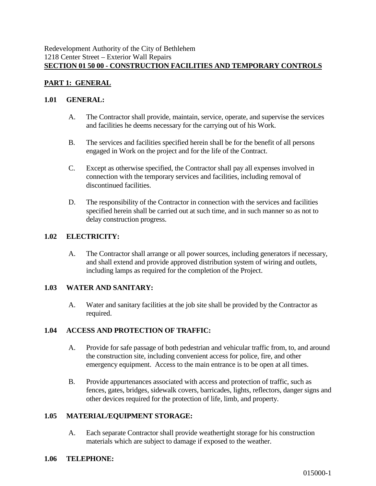## **PART 1: GENERAL**

### **1.01 GENERAL:**

- A. The Contractor shall provide, maintain, service, operate, and supervise the services and facilities he deems necessary for the carrying out of his Work.
- B. The services and facilities specified herein shall be for the benefit of all persons engaged in Work on the project and for the life of the Contract.
- C. Except as otherwise specified, the Contractor shall pay all expenses involved in connection with the temporary services and facilities, including removal of discontinued facilities.
- D. The responsibility of the Contractor in connection with the services and facilities specified herein shall be carried out at such time, and in such manner so as not to delay construction progress.

### **1.02 ELECTRICITY:**

A. The Contractor shall arrange or all power sources, including generators if necessary, and shall extend and provide approved distribution system of wiring and outlets, including lamps as required for the completion of the Project.

#### **1.03 WATER AND SANITARY:**

A. Water and sanitary facilities at the job site shall be provided by the Contractor as required.

## **1.04 ACCESS AND PROTECTION OF TRAFFIC:**

- A. Provide for safe passage of both pedestrian and vehicular traffic from, to, and around the construction site, including convenient access for police, fire, and other emergency equipment. Access to the main entrance is to be open at all times.
- B. Provide appurtenances associated with access and protection of traffic, such as fences, gates, bridges, sidewalk covers, barricades, lights, reflectors, danger signs and other devices required for the protection of life, limb, and property.

### **1.05 MATERIAL/EQUIPMENT STORAGE:**

A. Each separate Contractor shall provide weathertight storage for his construction materials which are subject to damage if exposed to the weather.

#### **1.06 TELEPHONE:**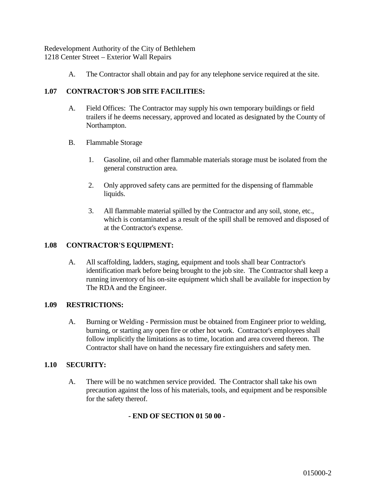A. The Contractor shall obtain and pay for any telephone service required at the site.

## **1.07 CONTRACTOR'S JOB SITE FACILITIES:**

- A. Field Offices: The Contractor may supply his own temporary buildings or field trailers if he deems necessary, approved and located as designated by the County of Northampton.
- B. Flammable Storage
	- 1. Gasoline, oil and other flammable materials storage must be isolated from the general construction area.
	- 2. Only approved safety cans are permitted for the dispensing of flammable liquids.
	- 3. All flammable material spilled by the Contractor and any soil, stone, etc., which is contaminated as a result of the spill shall be removed and disposed of at the Contractor's expense.

#### **1.08 CONTRACTOR'S EQUIPMENT:**

A. All scaffolding, ladders, staging, equipment and tools shall bear Contractor's identification mark before being brought to the job site. The Contractor shall keep a running inventory of his on-site equipment which shall be available for inspection by The RDA and the Engineer.

#### **1.09 RESTRICTIONS:**

A. Burning or Welding - Permission must be obtained from Engineer prior to welding, burning, or starting any open fire or other hot work. Contractor's employees shall follow implicitly the limitations as to time, location and area covered thereon. The Contractor shall have on hand the necessary fire extinguishers and safety men.

#### **1.10 SECURITY:**

A. There will be no watchmen service provided. The Contractor shall take his own precaution against the loss of his materials, tools, and equipment and be responsible for the safety thereof.

#### **- END OF SECTION 01 50 00 -**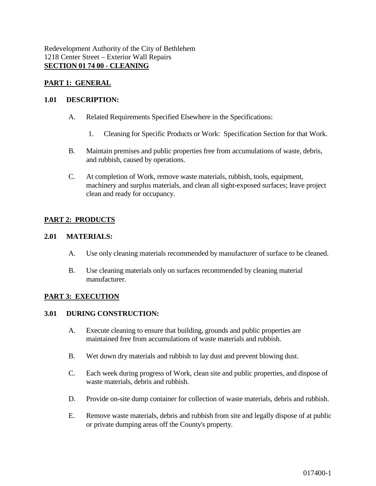## **PART 1: GENERAL**

### **1.01 DESCRIPTION:**

- A. Related Requirements Specified Elsewhere in the Specifications:
	- 1. Cleaning for Specific Products or Work: Specification Section for that Work.
- B. Maintain premises and public properties free from accumulations of waste, debris, and rubbish, caused by operations.
- C. At completion of Work, remove waste materials, rubbish, tools, equipment, machinery and surplus materials, and clean all sight-exposed surfaces; leave project clean and ready for occupancy.

## **PART 2: PRODUCTS**

#### **2.01 MATERIALS:**

- A. Use only cleaning materials recommended by manufacturer of surface to be cleaned.
- B. Use cleaning materials only on surfaces recommended by cleaning material manufacturer.

## **PART 3: EXECUTION**

#### **3.01 DURING CONSTRUCTION:**

- A. Execute cleaning to ensure that building, grounds and public properties are maintained free from accumulations of waste materials and rubbish.
- B. Wet down dry materials and rubbish to lay dust and prevent blowing dust.
- C. Each week during progress of Work, clean site and public properties, and dispose of waste materials, debris and rubbish.
- D. Provide on-site dump container for collection of waste materials, debris and rubbish.
- E. Remove waste materials, debris and rubbish from site and legally dispose of at public or private dumping areas off the County's property.